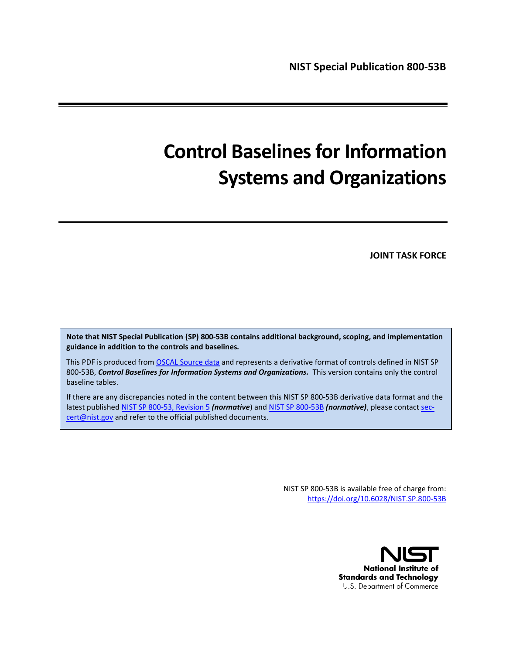# **Control Baselines for Information Systems and Organizations**

#### **JOINT TASK FORCE**

**Note that NIST Special Publication (SP) 800-53B contains additional background, scoping, and implementation guidance in addition to the controls and baselines.**

This PDF is produced fro[m OSCAL Source data](https://github.com/usnistgov/oscal-content/blob/master/nist.gov/SP800-53/rev5/xml/NIST_SP-800-53_rev5_catalog.xml) and represents a derivative format of controls defined in NIST SP 800-53B, *Control Baselines for Information Systems and Organizations.* This version contains only the control baseline tables.

If there are any discrepancies noted in the content between this NIST SP 800-53B derivative data format and the latest published [NIST SP 800-53, Revision 5](file://///publications/detail/sp/800-53/rev-5/final) *(normative*) an[d NIST SP 800-53B](file://///publications/detail/sp/800-53b/final) *(normative)*, please contac[t sec](mailto:sec-cert@nist.gov)[cert@nist.gov](mailto:sec-cert@nist.gov) and refer to the official published documents.

> NIST SP 800-53B is available free of charge from: <https://doi.org/10.6028/NIST.SP.800-53B>

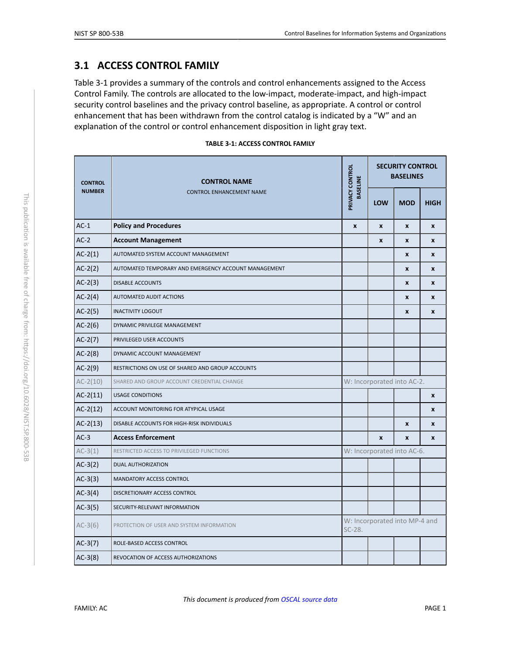# <span id="page-1-1"></span>**3.1 ACCESS CONTROL FAMILY**

Table 3-1 provides a summary of the controls and control enhancements assigned to the Access Control Family. The controls are allocated to the low-impact, moderate-impact, and high-impact security control baselines and the privacy control baseline, as appropriate. A control or control enhancement that has been withdrawn from the control catalog is indicated by a "W" and an explanation of the control or control enhancement disposition in light gray text.

| <b>TABLE 3-1: ACCESS CONTROL FAMILY</b> |  |  |  |  |  |
|-----------------------------------------|--|--|--|--|--|
|-----------------------------------------|--|--|--|--|--|

<span id="page-1-2"></span><span id="page-1-0"></span>

| <b>CONTROL</b> | <b>CONTROL NAME</b>                                  | PRIVACY CONTROL<br><b>BASELINE</b> | <b>SECURITY CONTROL</b><br><b>BASELINES</b> |                    |              |  |
|----------------|------------------------------------------------------|------------------------------------|---------------------------------------------|--------------------|--------------|--|
| <b>NUMBER</b>  | <b>CONTROL ENHANCEMENT NAME</b>                      |                                    | <b>LOW</b>                                  | <b>MOD</b>         | <b>HIGH</b>  |  |
| $AC-1$         | <b>Policy and Procedures</b>                         | $\boldsymbol{x}$                   | X                                           | X                  | X            |  |
| $AC-2$         | <b>Account Management</b>                            |                                    | X                                           | X                  | $\pmb{\chi}$ |  |
| $AC-2(1)$      | AUTOMATED SYSTEM ACCOUNT MANAGEMENT                  |                                    |                                             | $\pmb{\mathsf{x}}$ | X            |  |
| $AC-2(2)$      | AUTOMATED TEMPORARY AND EMERGENCY ACCOUNT MANAGEMENT |                                    |                                             | X                  | X            |  |
| $AC-2(3)$      | <b>DISABLE ACCOUNTS</b>                              |                                    |                                             | $\pmb{\mathsf{x}}$ | X            |  |
| $AC-2(4)$      | AUTOMATED AUDIT ACTIONS                              |                                    |                                             | X                  | X            |  |
| $AC-2(5)$      | <b>INACTIVITY LOGOUT</b>                             |                                    |                                             | X                  | $\mathbf{x}$ |  |
| $AC-2(6)$      | DYNAMIC PRIVILEGE MANAGEMENT                         |                                    |                                             |                    |              |  |
| $AC-2(7)$      | PRIVILEGED USER ACCOUNTS                             |                                    |                                             |                    |              |  |
| $AC-2(8)$      | DYNAMIC ACCOUNT MANAGEMENT                           |                                    |                                             |                    |              |  |
| $AC-2(9)$      | RESTRICTIONS ON USE OF SHARED AND GROUP ACCOUNTS     |                                    |                                             |                    |              |  |
| $AC-2(10)$     | SHARED AND GROUP ACCOUNT CREDENTIAL CHANGE           |                                    | W: Incorporated into AC-2.                  |                    |              |  |
| $AC-2(11)$     | <b>USAGE CONDITIONS</b>                              |                                    |                                             |                    | X            |  |
| $AC-2(12)$     | ACCOUNT MONITORING FOR ATYPICAL USAGE                |                                    |                                             |                    | X            |  |
| $AC-2(13)$     | DISABLE ACCOUNTS FOR HIGH-RISK INDIVIDUALS           |                                    |                                             | $\pmb{\mathsf{x}}$ | X            |  |
| $AC-3$         | <b>Access Enforcement</b>                            |                                    | $\mathbf{x}$                                | $\mathbf{x}$       | X            |  |
| $AC-3(1)$      | RESTRICTED ACCESS TO PRIVILEGED FUNCTIONS            |                                    | W: Incorporated into AC-6.                  |                    |              |  |
| $AC-3(2)$      | <b>DUAL AUTHORIZATION</b>                            |                                    |                                             |                    |              |  |
| $AC-3(3)$      | MANDATORY ACCESS CONTROL                             |                                    |                                             |                    |              |  |
| $AC-3(4)$      | DISCRETIONARY ACCESS CONTROL                         |                                    |                                             |                    |              |  |
| $AC-3(5)$      | SECURITY-RELEVANT INFORMATION                        |                                    |                                             |                    |              |  |
| $AC-3(6)$      | PROTECTION OF USER AND SYSTEM INFORMATION            | $SC-28.$                           | W: Incorporated into MP-4 and               |                    |              |  |
| $AC-3(7)$      | ROLE-BASED ACCESS CONTROL                            |                                    |                                             |                    |              |  |
| $AC-3(8)$      | REVOCATION OF ACCESS AUTHORIZATIONS                  |                                    |                                             |                    |              |  |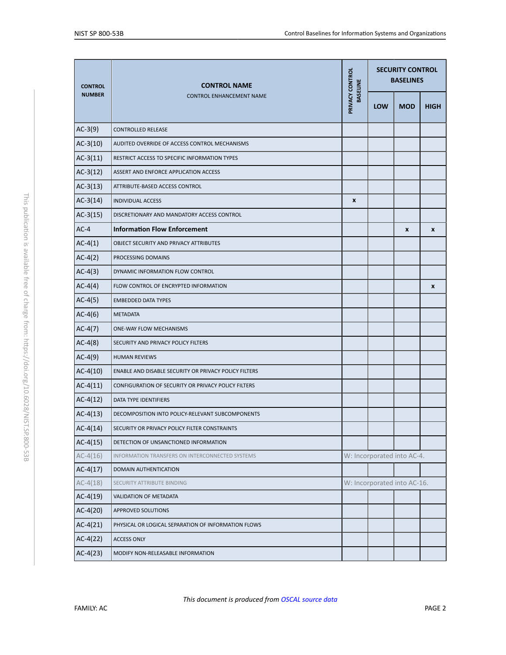<span id="page-2-1"></span><span id="page-2-0"></span>

| <b>CONTROL</b> | <b>CONTROL NAME</b>                                   |                                    | <b>SECURITY CONTROL</b><br><b>BASELINES</b> |                             |             |  |
|----------------|-------------------------------------------------------|------------------------------------|---------------------------------------------|-----------------------------|-------------|--|
| <b>NUMBER</b>  | <b>CONTROL ENHANCEMENT NAME</b>                       | PRIVACY CONTROL<br><b>BASELINE</b> | <b>LOW</b>                                  | <b>MOD</b>                  | <b>HIGH</b> |  |
| $AC-3(9)$      | <b>CONTROLLED RELEASE</b>                             |                                    |                                             |                             |             |  |
| $AC-3(10)$     | AUDITED OVERRIDE OF ACCESS CONTROL MECHANISMS         |                                    |                                             |                             |             |  |
| $AC-3(11)$     | RESTRICT ACCESS TO SPECIFIC INFORMATION TYPES         |                                    |                                             |                             |             |  |
| $AC-3(12)$     | ASSERT AND ENFORCE APPLICATION ACCESS                 |                                    |                                             |                             |             |  |
| $AC-3(13)$     | ATTRIBUTE-BASED ACCESS CONTROL                        |                                    |                                             |                             |             |  |
| $AC-3(14)$     | <b>INDIVIDUAL ACCESS</b>                              | X                                  |                                             |                             |             |  |
| $AC-3(15)$     | DISCRETIONARY AND MANDATORY ACCESS CONTROL            |                                    |                                             |                             |             |  |
| $AC-4$         | <b>Information Flow Enforcement</b>                   |                                    |                                             | $\pmb{\chi}$                | X           |  |
| $AC-4(1)$      | <b>OBJECT SECURITY AND PRIVACY ATTRIBUTES</b>         |                                    |                                             |                             |             |  |
| $AC-4(2)$      | PROCESSING DOMAINS                                    |                                    |                                             |                             |             |  |
| $AC-4(3)$      | DYNAMIC INFORMATION FLOW CONTROL                      |                                    |                                             |                             |             |  |
| $AC-4(4)$      | FLOW CONTROL OF ENCRYPTED INFORMATION                 |                                    |                                             |                             | X           |  |
| $AC-4(5)$      | <b>EMBEDDED DATA TYPES</b>                            |                                    |                                             |                             |             |  |
| $AC-4(6)$      | <b>METADATA</b>                                       |                                    |                                             |                             |             |  |
| $AC-4(7)$      | ONE-WAY FLOW MECHANISMS                               |                                    |                                             |                             |             |  |
| $AC-4(8)$      | SECURITY AND PRIVACY POLICY FILTERS                   |                                    |                                             |                             |             |  |
| $AC-4(9)$      | <b>HUMAN REVIEWS</b>                                  |                                    |                                             |                             |             |  |
| $AC-4(10)$     | ENABLE AND DISABLE SECURITY OR PRIVACY POLICY FILTERS |                                    |                                             |                             |             |  |
| $AC-4(11)$     | CONFIGURATION OF SECURITY OR PRIVACY POLICY FILTERS   |                                    |                                             |                             |             |  |
| $AC-4(12)$     | <b>DATA TYPE IDENTIFIERS</b>                          |                                    |                                             |                             |             |  |
| $AC-4(13)$     | DECOMPOSITION INTO POLICY-RELEVANT SUBCOMPONENTS      |                                    |                                             |                             |             |  |
| $AC-4(14)$     | SECURITY OR PRIVACY POLICY FILTER CONSTRAINTS         |                                    |                                             |                             |             |  |
| $AC-4(15)$     | DETECTION OF UNSANCTIONED INFORMATION                 |                                    |                                             |                             |             |  |
| $AC-4(16)$     | INFORMATION TRANSFERS ON INTERCONNECTED SYSTEMS       |                                    |                                             | W: Incorporated into AC-4.  |             |  |
| $AC-4(17)$     | DOMAIN AUTHENTICATION                                 |                                    |                                             |                             |             |  |
| $AC-4(18)$     | SECURITY ATTRIBUTE BINDING                            |                                    |                                             | W: Incorporated into AC-16. |             |  |
| $AC-4(19)$     | VALIDATION OF METADATA                                |                                    |                                             |                             |             |  |
| $AC-4(20)$     | APPROVED SOLUTIONS                                    |                                    |                                             |                             |             |  |
| $AC-4(21)$     | PHYSICAL OR LOGICAL SEPARATION OF INFORMATION FLOWS   |                                    |                                             |                             |             |  |
| $AC-4(22)$     | <b>ACCESS ONLY</b>                                    |                                    |                                             |                             |             |  |
| $AC-4(23)$     | MODIFY NON-RELEASABLE INFORMATION                     |                                    |                                             |                             |             |  |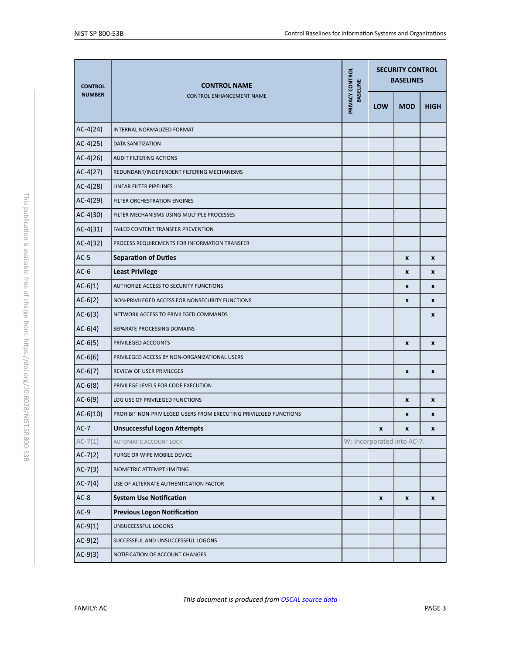<span id="page-3-4"></span><span id="page-3-3"></span><span id="page-3-2"></span><span id="page-3-1"></span><span id="page-3-0"></span>

| <b>CONTROL</b> | <b>CONTROL NAME</b>                                               |                                    | <b>SECURITY CONTROL</b><br><b>BASELINES</b> |                            |             |  |
|----------------|-------------------------------------------------------------------|------------------------------------|---------------------------------------------|----------------------------|-------------|--|
| <b>NUMBER</b>  | <b>CONTROL ENHANCEMENT NAME</b>                                   | PRIVACY CONTROL<br><b>BASELINE</b> | <b>LOW</b>                                  | <b>MOD</b>                 | <b>HIGH</b> |  |
| $AC-4(24)$     | INTERNAL NORMALIZED FORMAT                                        |                                    |                                             |                            |             |  |
| $AC-4(25)$     | DATA SANITIZATION                                                 |                                    |                                             |                            |             |  |
| $AC-4(26)$     | AUDIT FILTERING ACTIONS                                           |                                    |                                             |                            |             |  |
| $AC-4(27)$     | REDUNDANT/INDEPENDENT FILTERING MECHANISMS                        |                                    |                                             |                            |             |  |
| $AC-4(28)$     | LINEAR FILTER PIPELINES                                           |                                    |                                             |                            |             |  |
| $AC-4(29)$     | FILTER ORCHESTRATION ENGINES                                      |                                    |                                             |                            |             |  |
| $AC-4(30)$     | FILTER MECHANISMS USING MULTIPLE PROCESSES                        |                                    |                                             |                            |             |  |
| $AC-4(31)$     | FAILED CONTENT TRANSFER PREVENTION                                |                                    |                                             |                            |             |  |
| $AC-4(32)$     | PROCESS REQUIREMENTS FOR INFORMATION TRANSFER                     |                                    |                                             |                            |             |  |
| $AC-5$         | <b>Separation of Duties</b>                                       |                                    |                                             | $\pmb{\chi}$               | X           |  |
| $AC-6$         | <b>Least Privilege</b>                                            |                                    |                                             | X                          | X           |  |
| $AC-6(1)$      | AUTHORIZE ACCESS TO SECURITY FUNCTIONS                            |                                    |                                             | X                          | X           |  |
| $AC-6(2)$      | NON-PRIVILEGED ACCESS FOR NONSECURITY FUNCTIONS                   |                                    |                                             | X                          | X           |  |
| $AC-6(3)$      | NETWORK ACCESS TO PRIVILEGED COMMANDS                             |                                    |                                             |                            | x           |  |
| $AC-6(4)$      | SEPARATE PROCESSING DOMAINS                                       |                                    |                                             |                            |             |  |
| $AC-6(5)$      | PRIVILEGED ACCOUNTS                                               |                                    |                                             | $\pmb{\mathsf{x}}$         | X           |  |
| $AC-6(6)$      | PRIVILEGED ACCESS BY NON-ORGANIZATIONAL USERS                     |                                    |                                             |                            |             |  |
| $AC-6(7)$      | REVIEW OF USER PRIVILEGES                                         |                                    |                                             | X                          | X           |  |
| $AC-6(8)$      | PRIVILEGE LEVELS FOR CODE EXECUTION                               |                                    |                                             |                            |             |  |
| $AC-6(9)$      | LOG USE OF PRIVILEGED FUNCTIONS                                   |                                    |                                             | X                          | X           |  |
| $AC-6(10)$     | PROHIBIT NON-PRIVILEGED USERS FROM EXECUTING PRIVILEGED FUNCTIONS |                                    |                                             | X                          | X           |  |
| $AC-7$         | <b>Unsuccessful Logon Attempts</b>                                |                                    | x                                           | x                          | x           |  |
| $AC-7(1)$      | AUTOMATIC ACCOUNT LOCK                                            |                                    |                                             | W: Incorporated into AC-7. |             |  |
| $AC-7(2)$      | PURGE OR WIPE MOBILE DEVICE                                       |                                    |                                             |                            |             |  |
| $AC-7(3)$      | BIOMETRIC ATTEMPT LIMITING                                        |                                    |                                             |                            |             |  |
| $AC-7(4)$      | USE OF ALTERNATE AUTHENTICATION FACTOR                            |                                    |                                             |                            |             |  |
| $AC-8$         | <b>System Use Notification</b>                                    |                                    | x                                           | X                          | x           |  |
| $AC-9$         | <b>Previous Logon Notification</b>                                |                                    |                                             |                            |             |  |
| $AC-9(1)$      | UNSUCCESSFUL LOGONS                                               |                                    |                                             |                            |             |  |
| $AC-9(2)$      | SUCCESSFUL AND UNSUCCESSFUL LOGONS                                |                                    |                                             |                            |             |  |
| $AC-9(3)$      | NOTIFICATION OF ACCOUNT CHANGES                                   |                                    |                                             |                            |             |  |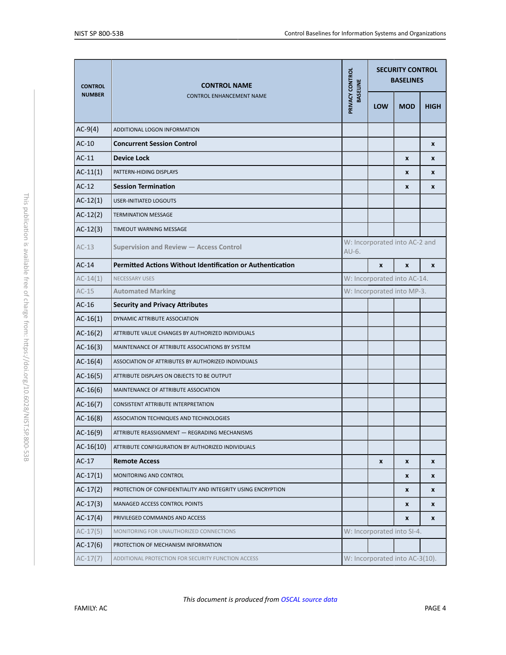<span id="page-4-2"></span><span id="page-4-1"></span><span id="page-4-0"></span>

| <b>CONTROL</b> | <b>CONTROL NAME</b>                                               | <b>SECURITY CONTROL</b><br>PRIVACY CONTROL<br><b>BASELINES</b><br><b>BASELINE</b> |                                |                  |             |  |
|----------------|-------------------------------------------------------------------|-----------------------------------------------------------------------------------|--------------------------------|------------------|-------------|--|
| <b>NUMBER</b>  | <b>CONTROL ENHANCEMENT NAME</b>                                   |                                                                                   | <b>LOW</b>                     | <b>MOD</b>       | <b>HIGH</b> |  |
| $AC-9(4)$      | ADDITIONAL LOGON INFORMATION                                      |                                                                                   |                                |                  |             |  |
| $AC-10$        | <b>Concurrent Session Control</b>                                 |                                                                                   |                                |                  | X           |  |
| $AC-11$        | <b>Device Lock</b>                                                |                                                                                   |                                | X                | X           |  |
| $AC-11(1)$     | PATTERN-HIDING DISPLAYS                                           |                                                                                   |                                | X                | X           |  |
| $AC-12$        | <b>Session Termination</b>                                        |                                                                                   |                                | $\boldsymbol{x}$ | X           |  |
| $AC-12(1)$     | <b>USER-INITIATED LOGOUTS</b>                                     |                                                                                   |                                |                  |             |  |
| $AC-12(2)$     | <b>TERMINATION MESSAGE</b>                                        |                                                                                   |                                |                  |             |  |
| $AC-12(3)$     | TIMEOUT WARNING MESSAGE                                           |                                                                                   |                                |                  |             |  |
| $AC-13$        | Supervision and Review - Access Control                           | AU-6.                                                                             | W: Incorporated into AC-2 and  |                  |             |  |
| $AC-14$        | <b>Permitted Actions Without Identification or Authentication</b> |                                                                                   | $\mathbf{x}$<br>$\mathbf{x}$   |                  |             |  |
| $AC-14(1)$     | NECESSARY USES                                                    |                                                                                   | W: Incorporated into AC-14.    |                  |             |  |
| $AC-15$        | <b>Automated Marking</b>                                          |                                                                                   | W: Incorporated into MP-3.     |                  |             |  |
| $AC-16$        | <b>Security and Privacy Attributes</b>                            |                                                                                   |                                |                  |             |  |
| $AC-16(1)$     | DYNAMIC ATTRIBUTE ASSOCIATION                                     |                                                                                   |                                |                  |             |  |
| $AC-16(2)$     | ATTRIBUTE VALUE CHANGES BY AUTHORIZED INDIVIDUALS                 |                                                                                   |                                |                  |             |  |
| $AC-16(3)$     | MAINTENANCE OF ATTRIBUTE ASSOCIATIONS BY SYSTEM                   |                                                                                   |                                |                  |             |  |
| $AC-16(4)$     | ASSOCIATION OF ATTRIBUTES BY AUTHORIZED INDIVIDUALS               |                                                                                   |                                |                  |             |  |
| $AC-16(5)$     | ATTRIBUTE DISPLAYS ON OBJECTS TO BE OUTPUT                        |                                                                                   |                                |                  |             |  |
| $AC-16(6)$     | MAINTENANCE OF ATTRIBUTE ASSOCIATION                              |                                                                                   |                                |                  |             |  |
| $AC-16(7)$     | CONSISTENT ATTRIBUTE INTERPRETATION                               |                                                                                   |                                |                  |             |  |
| $AC-16(8)$     | ASSOCIATION TECHNIQUES AND TECHNOLOGIES                           |                                                                                   |                                |                  |             |  |
| $AC-16(9)$     | ATTRIBUTE REASSIGNMENT - REGRADING MECHANISMS                     |                                                                                   |                                |                  |             |  |
| $AC-16(10)$    | ATTRIBUTE CONFIGURATION BY AUTHORIZED INDIVIDUALS                 |                                                                                   |                                |                  |             |  |
| $AC-17$        | <b>Remote Access</b>                                              |                                                                                   | X                              | $\boldsymbol{x}$ | X           |  |
| $AC-17(1)$     | MONITORING AND CONTROL                                            |                                                                                   |                                | X                | x           |  |
| $AC-17(2)$     | PROTECTION OF CONFIDENTIALITY AND INTEGRITY USING ENCRYPTION      |                                                                                   |                                | $\boldsymbol{x}$ | X           |  |
| $AC-17(3)$     | MANAGED ACCESS CONTROL POINTS                                     |                                                                                   |                                | x                | x           |  |
| $AC-17(4)$     | PRIVILEGED COMMANDS AND ACCESS                                    |                                                                                   |                                | X                | X           |  |
| $AC-17(5)$     | MONITORING FOR UNAUTHORIZED CONNECTIONS                           |                                                                                   | W: Incorporated into SI-4.     |                  |             |  |
| $AC-17(6)$     | PROTECTION OF MECHANISM INFORMATION                               |                                                                                   |                                |                  |             |  |
| $AC-17(7)$     | ADDITIONAL PROTECTION FOR SECURITY FUNCTION ACCESS                |                                                                                   | W: Incorporated into AC-3(10). |                  |             |  |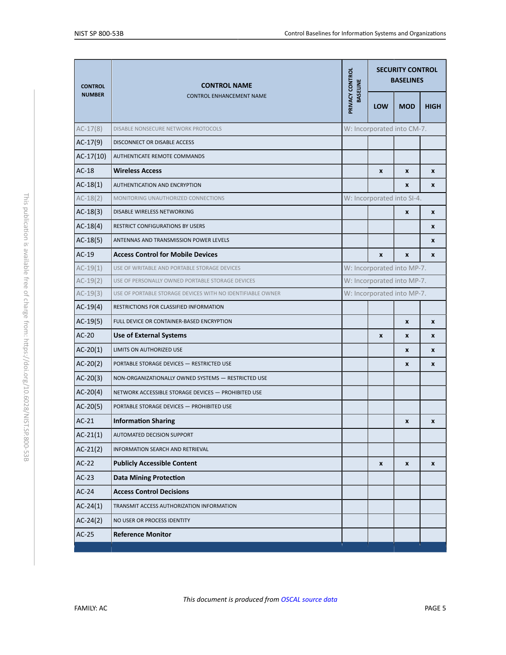<span id="page-5-0"></span>

| <b>CONTROL</b> | <b>CONTROL NAME</b>                                        | PRIVACY CONTROL<br><b>BASELINE</b> | <b>SECURITY CONTROL</b><br><b>BASELINES</b> |                            |                    |  |  |
|----------------|------------------------------------------------------------|------------------------------------|---------------------------------------------|----------------------------|--------------------|--|--|
| <b>NUMBER</b>  | <b>CONTROL ENHANCEMENT NAME</b>                            |                                    | <b>LOW</b>                                  | <b>MOD</b>                 | <b>HIGH</b>        |  |  |
| $AC-17(8)$     | DISABLE NONSECURE NETWORK PROTOCOLS                        |                                    |                                             | W: Incorporated into CM-7. |                    |  |  |
| $AC-17(9)$     | DISCONNECT OR DISABLE ACCESS                               |                                    |                                             |                            |                    |  |  |
| $AC-17(10)$    | AUTHENTICATE REMOTE COMMANDS                               |                                    |                                             |                            |                    |  |  |
| $AC-18$        | <b>Wireless Access</b>                                     |                                    | $\pmb{\chi}$                                | $\pmb{\mathsf{x}}$         | $\pmb{\chi}$       |  |  |
| $AC-18(1)$     | AUTHENTICATION AND ENCRYPTION                              |                                    |                                             | X                          | X                  |  |  |
| $AC-18(2)$     | MONITORING UNAUTHORIZED CONNECTIONS                        | W: Incorporated into SI-4.         |                                             |                            |                    |  |  |
| $AC-18(3)$     | DISABLE WIRELESS NETWORKING                                |                                    |                                             | $\pmb{\chi}$               | X                  |  |  |
| $AC-18(4)$     | RESTRICT CONFIGURATIONS BY USERS                           |                                    |                                             |                            | X                  |  |  |
| $AC-18(5)$     | ANTENNAS AND TRANSMISSION POWER LEVELS                     |                                    |                                             |                            | X                  |  |  |
| $AC-19$        | <b>Access Control for Mobile Devices</b>                   |                                    | $\mathbf{x}$                                | $\mathbf{x}$               | X                  |  |  |
| $AC-19(1)$     | USE OF WRITABLE AND PORTABLE STORAGE DEVICES               |                                    | W: Incorporated into MP-7.                  |                            |                    |  |  |
| $AC-19(2)$     | USE OF PERSONALLY OWNED PORTABLE STORAGE DEVICES           | W: Incorporated into MP-7.         |                                             |                            |                    |  |  |
| $AC-19(3)$     | USE OF PORTABLE STORAGE DEVICES WITH NO IDENTIFIABLE OWNER |                                    | W: Incorporated into MP-7.                  |                            |                    |  |  |
| $AC-19(4)$     | RESTRICTIONS FOR CLASSIFIED INFORMATION                    |                                    |                                             |                            |                    |  |  |
| $AC-19(5)$     | FULL DEVICE OR CONTAINER-BASED ENCRYPTION                  |                                    |                                             | X                          | X                  |  |  |
| $AC-20$        | <b>Use of External Systems</b>                             |                                    | X                                           | X                          | X                  |  |  |
| $AC-20(1)$     | LIMITS ON AUTHORIZED USE                                   |                                    |                                             | X                          | X                  |  |  |
| $AC-20(2)$     | PORTABLE STORAGE DEVICES - RESTRICTED USE                  |                                    |                                             | X                          | X                  |  |  |
| $AC-20(3)$     | NON-ORGANIZATIONALLY OWNED SYSTEMS - RESTRICTED USE        |                                    |                                             |                            |                    |  |  |
| $AC-20(4)$     | NETWORK ACCESSIBLE STORAGE DEVICES - PROHIBITED USE        |                                    |                                             |                            |                    |  |  |
| $AC-20(5)$     | PORTABLE STORAGE DEVICES - PROHIBITED USE                  |                                    |                                             |                            |                    |  |  |
| $AC-21$        | <b>Information Sharing</b>                                 |                                    |                                             | X                          | X                  |  |  |
| $AC-21(1)$     | AUTOMATED DECISION SUPPORT                                 |                                    |                                             |                            |                    |  |  |
| $AC-21(2)$     | INFORMATION SEARCH AND RETRIEVAL                           |                                    |                                             |                            |                    |  |  |
| $AC-22$        | <b>Publicly Accessible Content</b>                         |                                    | $\pmb{\mathsf{x}}$                          | $\pmb{\mathsf{x}}$         | $\pmb{\mathsf{x}}$ |  |  |
| $AC-23$        | <b>Data Mining Protection</b>                              |                                    |                                             |                            |                    |  |  |
| $AC-24$        | <b>Access Control Decisions</b>                            |                                    |                                             |                            |                    |  |  |
| $AC-24(1)$     | TRANSMIT ACCESS AUTHORIZATION INFORMATION                  |                                    |                                             |                            |                    |  |  |
| $AC-24(2)$     | NO USER OR PROCESS IDENTITY                                |                                    |                                             |                            |                    |  |  |
| $AC-25$        | <b>Reference Monitor</b>                                   |                                    |                                             |                            |                    |  |  |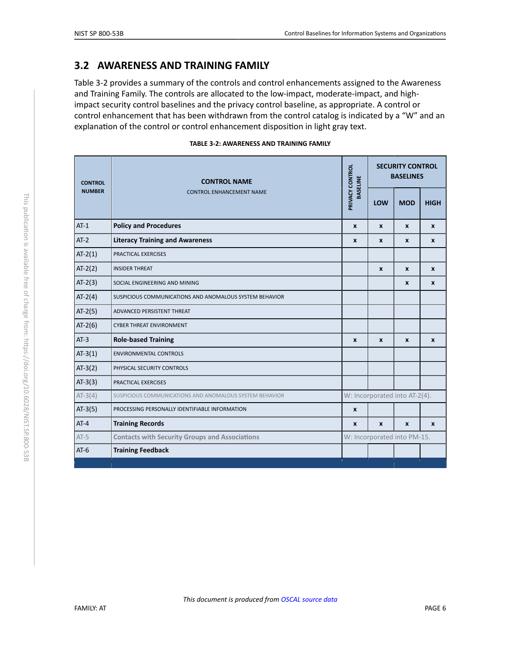# <span id="page-6-1"></span>**3.2 AWARENESS AND TRAINING FAMILY**

Table 3-2 provides a summary of the controls and control enhancements assigned to the Awareness and Training Family. The controls are allocated to the low-impact, moderate-impact, and highimpact security control baselines and the privacy control baseline, as appropriate. A control or control enhancement that has been withdrawn from the control catalog is indicated by a "W" and an explanation of the control or control enhancement disposition in light gray text.

| TABLE 3-2: AWARENESS AND TRAINING FAMILY |  |  |  |  |  |  |  |  |
|------------------------------------------|--|--|--|--|--|--|--|--|
|------------------------------------------|--|--|--|--|--|--|--|--|

<span id="page-6-0"></span>

| <b>CONTROL</b> | <b>CONTROL NAME</b>                                     | PRIVACY CONTROL<br><b>BASELINE</b> | <b>SECURITY CONTROL</b><br><b>BASELINES</b> |              |              |
|----------------|---------------------------------------------------------|------------------------------------|---------------------------------------------|--------------|--------------|
| <b>NUMBER</b>  | <b>CONTROL ENHANCEMENT NAME</b>                         |                                    | LOW                                         | <b>MOD</b>   | <b>HIGH</b>  |
| $AT-1$         | <b>Policy and Procedures</b>                            | $\boldsymbol{x}$                   | $\mathbf{x}$                                | X            | $\mathbf{x}$ |
| $AT-2$         | <b>Literacy Training and Awareness</b>                  | X                                  | X                                           | X            | X            |
| $AT-2(1)$      | PRACTICAL EXERCISES                                     |                                    |                                             |              |              |
| $AT-2(2)$      | <b>INSIDER THREAT</b>                                   |                                    | $\boldsymbol{x}$                            | X            | $\mathbf{x}$ |
| $AT-2(3)$      | SOCIAL ENGINEERING AND MINING                           |                                    |                                             | X            | X            |
| $AT-2(4)$      | SUSPICIOUS COMMUNICATIONS AND ANOMALOUS SYSTEM BEHAVIOR |                                    |                                             |              |              |
| $AT-2(5)$      | ADVANCED PERSISTENT THREAT                              |                                    |                                             |              |              |
| $AT-2(6)$      | <b>CYBER THREAT ENVIRONMENT</b>                         |                                    |                                             |              |              |
| $AT-3$         | <b>Role-based Training</b>                              | $\boldsymbol{x}$                   | $\mathbf{x}$                                | X            | $\mathbf{x}$ |
| $AT-3(1)$      | <b>ENVIRONMENTAL CONTROLS</b>                           |                                    |                                             |              |              |
| $AT-3(2)$      | PHYSICAL SECURITY CONTROLS                              |                                    |                                             |              |              |
| $AT-3(3)$      | PRACTICAL EXERCISES                                     |                                    |                                             |              |              |
| $AT-3(4)$      | SUSPICIOUS COMMUNICATIONS AND ANOMALOUS SYSTEM BEHAVIOR |                                    | W: Incorporated into AT-2(4).               |              |              |
| $AT-3(5)$      | PROCESSING PERSONALLY IDENTIFIABLE INFORMATION          | X                                  |                                             |              |              |
| $AT-4$         | <b>Training Records</b>                                 | $\mathbf{x}$                       | X                                           | $\mathbf{x}$ | $\mathbf{x}$ |
| $AT-5$         | <b>Contacts with Security Groups and Associations</b>   |                                    | W: Incorporated into PM-15.                 |              |              |
| $AT-6$         | <b>Training Feedback</b>                                |                                    |                                             |              |              |
|                |                                                         |                                    |                                             |              |              |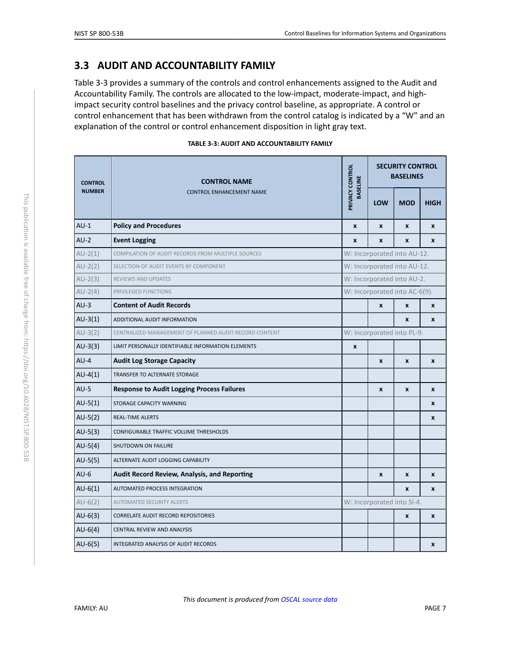## <span id="page-7-2"></span>**3.3 AUDIT AND ACCOUNTABILITY FAMILY**

Table 3-3 provides a summary of the controls and control enhancements assigned to the Audit and Accountability Family. The controls are allocated to the low-impact, moderate-impact, and highimpact security control baselines and the privacy control baseline, as appropriate. A control or control enhancement that has been withdrawn from the control catalog is indicated by a "W" and an explanation of the control or control enhancement disposition in light gray text.

|  | TABLE 3-3: AUDIT AND ACCOUNTABILITY FAMILY |  |  |  |
|--|--------------------------------------------|--|--|--|
|--|--------------------------------------------|--|--|--|

<span id="page-7-3"></span><span id="page-7-1"></span><span id="page-7-0"></span>

| <b>CONTROL</b> | <b>CONTROL NAME</b>                                    |                                    |                               | <b>SECURITY CONTROL</b><br><b>BASELINES</b> |                  |  |  |
|----------------|--------------------------------------------------------|------------------------------------|-------------------------------|---------------------------------------------|------------------|--|--|
| <b>NUMBER</b>  | <b>CONTROL ENHANCEMENT NAME</b>                        | PRIVACY CONTROL<br><b>BASELINE</b> | LOW                           | <b>MOD</b>                                  | <b>HIGH</b>      |  |  |
| $AU-1$         | <b>Policy and Procedures</b>                           | $\pmb{\chi}$                       | X                             | $\pmb{\chi}$                                | $\pmb{\chi}$     |  |  |
| $AU-2$         | <b>Event Logging</b>                                   | $\pmb{\mathsf{x}}$                 | X                             | $\boldsymbol{x}$                            | $\mathbf{x}$     |  |  |
| $AU-2(1)$      | COMPILATION OF AUDIT RECORDS FROM MULTIPLE SOURCES     |                                    |                               | W: Incorporated into AU-12.                 |                  |  |  |
| $AU-2(2)$      | SELECTION OF AUDIT EVENTS BY COMPONENT                 |                                    |                               | W: Incorporated into AU-12.                 |                  |  |  |
| $AU-2(3)$      | REVIEWS AND UPDATES                                    |                                    |                               | W: Incorporated into AU-2.                  |                  |  |  |
| $AU-2(4)$      | PRIVILEGED FUNCTIONS                                   |                                    | W: Incorporated into AC-6(9). |                                             |                  |  |  |
| $AU-3$         | <b>Content of Audit Records</b>                        |                                    | $\pmb{\times}$                | $\pmb{\mathsf{x}}$                          | $\pmb{\chi}$     |  |  |
| $AU-3(1)$      | ADDITIONAL AUDIT INFORMATION                           |                                    |                               | $\boldsymbol{x}$                            | $\boldsymbol{x}$ |  |  |
| $AU-3(2)$      | CENTRALIZED MANAGEMENT OF PLANNED AUDIT RECORD CONTENT |                                    | W: Incorporated into PL-9.    |                                             |                  |  |  |
| $AU-3(3)$      | LIMIT PERSONALLY IDENTIFIABLE INFORMATION ELEMENTS     | $\pmb{\mathsf{x}}$                 |                               |                                             |                  |  |  |
| $AU-4$         | <b>Audit Log Storage Capacity</b>                      |                                    | X                             | $\mathbf{x}$                                | $\boldsymbol{x}$ |  |  |
| $AU-4(1)$      | TRANSFER TO ALTERNATE STORAGE                          |                                    |                               |                                             |                  |  |  |
| $AU-5$         | <b>Response to Audit Logging Process Failures</b>      |                                    | X                             | $\pmb{\chi}$                                | $\mathbf{x}$     |  |  |
| $AU-5(1)$      | STORAGE CAPACITY WARNING                               |                                    |                               |                                             | $\mathbf{x}$     |  |  |
| $AU-5(2)$      | <b>REAL-TIME ALERTS</b>                                |                                    |                               |                                             | $\pmb{\chi}$     |  |  |
| $AU-5(3)$      | CONFIGURABLE TRAFFIC VOLUME THRESHOLDS                 |                                    |                               |                                             |                  |  |  |
| $AU-5(4)$      | SHUTDOWN ON FAILURE                                    |                                    |                               |                                             |                  |  |  |
| $AU-5(5)$      | ALTERNATE AUDIT LOGGING CAPABILITY                     |                                    |                               |                                             |                  |  |  |
| $AU-6$         | <b>Audit Record Review, Analysis, and Reporting</b>    |                                    | X                             | X                                           | X                |  |  |
| $AU-6(1)$      | AUTOMATED PROCESS INTEGRATION                          |                                    |                               | X                                           | X                |  |  |
| $AU-6(2)$      | <b>AUTOMATED SECURITY ALERTS</b>                       |                                    |                               | W: Incorporated into SI-4.                  |                  |  |  |
| $AU-6(3)$      | <b>CORRELATE AUDIT RECORD REPOSITORIES</b>             |                                    |                               | $\pmb{\chi}$                                | $\pmb{\chi}$     |  |  |
| $AU-6(4)$      | CENTRAL REVIEW AND ANALYSIS                            |                                    |                               |                                             |                  |  |  |
| $AU-6(5)$      | INTEGRATED ANALYSIS OF AUDIT RECORDS                   |                                    |                               |                                             | X                |  |  |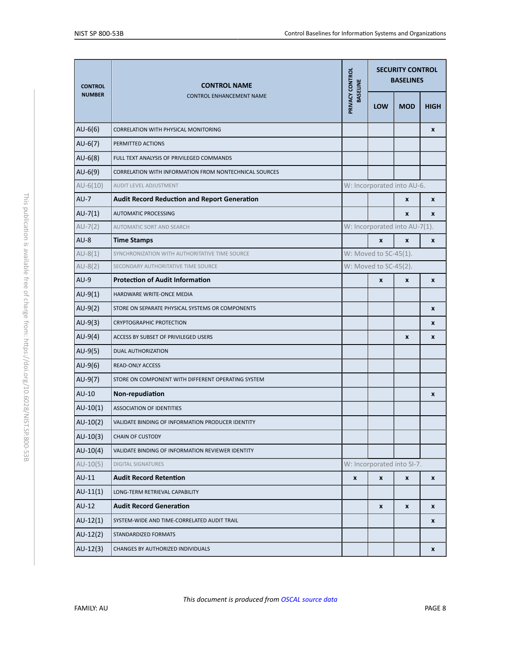<span id="page-8-1"></span><span id="page-8-0"></span>

| <b>CONTROL</b> | <b>CONTROL NAME</b>                                    | PRIVACY CONTROL<br><b>BASELINE</b> |                       | <b>SECURITY CONTROL</b><br><b>BASELINES</b> |              |  |
|----------------|--------------------------------------------------------|------------------------------------|-----------------------|---------------------------------------------|--------------|--|
| <b>NUMBER</b>  | <b>CONTROL ENHANCEMENT NAME</b>                        |                                    | <b>LOW</b>            | <b>MOD</b>                                  | <b>HIGH</b>  |  |
| $AU-6(6)$      | CORRELATION WITH PHYSICAL MONITORING                   |                                    |                       |                                             | X            |  |
| $AU-6(7)$      | PERMITTED ACTIONS                                      |                                    |                       |                                             |              |  |
| $AU-6(8)$      | FULL TEXT ANALYSIS OF PRIVILEGED COMMANDS              |                                    |                       |                                             |              |  |
| $AU-6(9)$      | CORRELATION WITH INFORMATION FROM NONTECHNICAL SOURCES |                                    |                       |                                             |              |  |
| $AU-6(10)$     | <b>AUDIT LEVEL ADJUSTMENT</b>                          |                                    |                       | W: Incorporated into AU-6.                  |              |  |
| $AU-7$         | <b>Audit Record Reduction and Report Generation</b>    |                                    |                       | X                                           | X            |  |
| $AU-7(1)$      | <b>AUTOMATIC PROCESSING</b>                            |                                    |                       | X                                           | X            |  |
| $AU-7(2)$      | <b>AUTOMATIC SORT AND SEARCH</b>                       |                                    |                       | W: Incorporated into AU-7(1).               |              |  |
| $AU-8$         | <b>Time Stamps</b>                                     |                                    | X                     | X                                           | $\pmb{\chi}$ |  |
| $AU-8(1)$      | SYNCHRONIZATION WITH AUTHORITATIVE TIME SOURCE         |                                    | W: Moved to SC-45(1). |                                             |              |  |
| $AU-8(2)$      | SECONDARY AUTHORITATIVE TIME SOURCE                    |                                    | W: Moved to SC-45(2). |                                             |              |  |
| $AU-9$         | <b>Protection of Audit Information</b>                 |                                    | $\pmb{\chi}$          | $\pmb{\chi}$                                | $\pmb{\chi}$ |  |
| $AU-9(1)$      | HARDWARE WRITE-ONCE MEDIA                              |                                    |                       |                                             |              |  |
| $AU-9(2)$      | STORE ON SEPARATE PHYSICAL SYSTEMS OR COMPONENTS       |                                    |                       |                                             | X            |  |
| $AU-9(3)$      | <b>CRYPTOGRAPHIC PROTECTION</b>                        |                                    |                       |                                             | X            |  |
| $AU-9(4)$      | ACCESS BY SUBSET OF PRIVILEGED USERS                   |                                    |                       | X                                           | X            |  |
| $AU-9(5)$      | DUAL AUTHORIZATION                                     |                                    |                       |                                             |              |  |
| $AU-9(6)$      | <b>READ-ONLY ACCESS</b>                                |                                    |                       |                                             |              |  |
| $AU-9(7)$      | STORE ON COMPONENT WITH DIFFERENT OPERATING SYSTEM     |                                    |                       |                                             |              |  |
| AU-10          | Non-repudiation                                        |                                    |                       |                                             | X            |  |
| $AU-10(1)$     | ASSOCIATION OF IDENTITIES                              |                                    |                       |                                             |              |  |
| $AU-10(2)$     | VALIDATE BINDING OF INFORMATION PRODUCER IDENTITY      |                                    |                       |                                             |              |  |
| $AU-10(3)$     | <b>CHAIN OF CUSTODY</b>                                |                                    |                       |                                             |              |  |
| $AU-10(4)$     | VALIDATE BINDING OF INFORMATION REVIEWER IDENTITY      |                                    |                       |                                             |              |  |
| $AU-10(5)$     | <b>DIGITAL SIGNATURES</b>                              |                                    |                       | W: Incorporated into SI-7.                  |              |  |
| $AU-11$        | <b>Audit Record Retention</b>                          | $\pmb{\mathsf{x}}$                 | $\pmb{\mathsf{x}}$    | $\pmb{\mathsf{x}}$                          | x            |  |
| $AU-11(1)$     | LONG-TERM RETRIEVAL CAPABILITY                         |                                    |                       |                                             |              |  |
| $AU-12$        | <b>Audit Record Generation</b>                         |                                    | X                     | X                                           | X            |  |
| $AU-12(1)$     | SYSTEM-WIDE AND TIME-CORRELATED AUDIT TRAIL            |                                    |                       |                                             | x            |  |
| $AU-12(2)$     | STANDARDIZED FORMATS                                   |                                    |                       |                                             |              |  |
| $AU-12(3)$     | CHANGES BY AUTHORIZED INDIVIDUALS                      |                                    |                       |                                             | X            |  |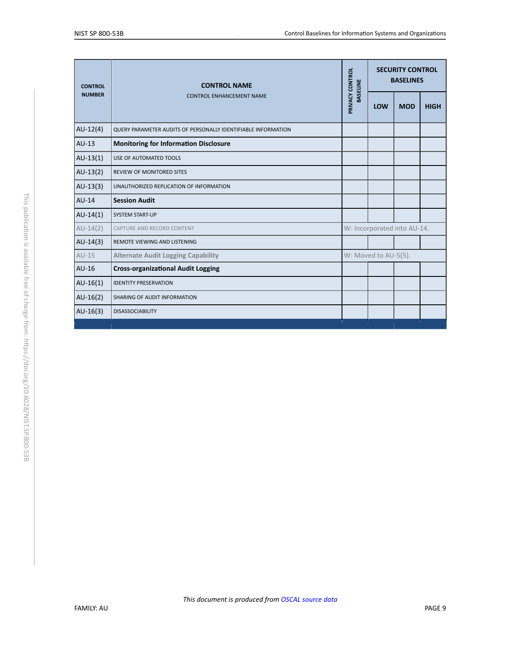<span id="page-9-0"></span>

| <b>CONTROL</b> | <b>CONTROL NAME</b><br><b>CONTROL ENHANCEMENT NAME</b>        | PRIVACY CONTROL<br><b>BASELINE</b> | <b>SECURITY CONTROL</b><br><b>BASELINES</b> |            |             |
|----------------|---------------------------------------------------------------|------------------------------------|---------------------------------------------|------------|-------------|
| <b>NUMBER</b>  |                                                               |                                    | LOW                                         | <b>MOD</b> | <b>HIGH</b> |
| $AU-12(4)$     | QUERY PARAMETER AUDITS OF PERSONALLY IDENTIFIABLE INFORMATION |                                    |                                             |            |             |
| $AU-13$        | <b>Monitoring for Information Disclosure</b>                  |                                    |                                             |            |             |
| $AU-13(1)$     | USE OF AUTOMATED TOOLS                                        |                                    |                                             |            |             |
| $AU-13(2)$     | <b>REVIEW OF MONITORED SITES</b>                              |                                    |                                             |            |             |
| $AU-13(3)$     | UNAUTHORIZED REPLICATION OF INFORMATION                       |                                    |                                             |            |             |
| $AU-14$        | <b>Session Audit</b>                                          |                                    |                                             |            |             |
| $AU-14(1)$     | <b>SYSTEM START-UP</b>                                        |                                    |                                             |            |             |
| $AU-14(2)$     | CAPTURE AND RECORD CONTENT                                    | W: Incorporated into AU-14.        |                                             |            |             |
| $AU-14(3)$     | REMOTE VIEWING AND LISTENING                                  |                                    |                                             |            |             |
| $AU-15$        | <b>Alternate Audit Logging Capability</b>                     | W: Moved to AU-5(5).               |                                             |            |             |
| $AU-16$        | <b>Cross-organizational Audit Logging</b>                     |                                    |                                             |            |             |
| $AU-16(1)$     | <b>IDENTITY PRESERVATION</b>                                  |                                    |                                             |            |             |
| $AU-16(2)$     | SHARING OF AUDIT INFORMATION                                  |                                    |                                             |            |             |
| $AU-16(3)$     | <b>DISASSOCIABILITY</b>                                       |                                    |                                             |            |             |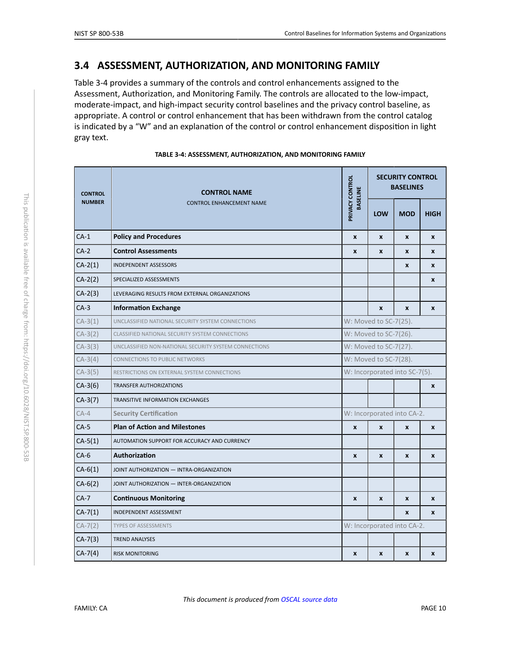## <span id="page-10-1"></span>**3.4 ASSESSMENT, AUTHORIZATION, AND MONITORING FAMILY**

Table 3-4 provides a summary of the controls and control enhancements assigned to the Assessment, Authorization, and Monitoring Family. The controls are allocated to the low-impact, moderate-impact, and high-impact security control baselines and the privacy control baseline, as appropriate. A control or control enhancement that has been withdrawn from the control catalog is indicated by a "W" and an explanation of the control or control enhancement disposition in light gray text.

<span id="page-10-0"></span>

| <b>CONTROL</b><br><b>NUMBER</b> | <b>CONTROL NAME</b>                                   | PRIVACY CONTROL<br><b>BASELINE</b> | <b>SECURITY CONTROL</b><br><b>BASELINES</b> |              |              |  |
|---------------------------------|-------------------------------------------------------|------------------------------------|---------------------------------------------|--------------|--------------|--|
|                                 | <b>CONTROL ENHANCEMENT NAME</b>                       |                                    | <b>LOW</b>                                  | <b>MOD</b>   | <b>HIGH</b>  |  |
| $CA-1$                          | <b>Policy and Procedures</b>                          | $\boldsymbol{x}$                   | X                                           | $\mathbf{x}$ | $\mathbf{x}$ |  |
| $CA-2$                          | <b>Control Assessments</b>                            | $\pmb{\mathsf{x}}$                 | X                                           | $\pmb{\chi}$ | $\mathbf{x}$ |  |
| $CA-2(1)$                       | <b>INDEPENDENT ASSESSORS</b>                          |                                    |                                             | $\pmb{\chi}$ | $\mathbf{x}$ |  |
| $CA-2(2)$                       | SPECIALIZED ASSESSMENTS                               |                                    |                                             |              | X            |  |
| $CA-2(3)$                       | LEVERAGING RESULTS FROM EXTERNAL ORGANIZATIONS        |                                    |                                             |              |              |  |
| $CA-3$                          | <b>Information Exchange</b>                           |                                    | X                                           | $\mathbf{x}$ | $\mathbf{x}$ |  |
| $CA-3(1)$                       | UNCLASSIFIED NATIONAL SECURITY SYSTEM CONNECTIONS     | W: Moved to SC-7(25).              |                                             |              |              |  |
| $CA-3(2)$                       | CLASSIFIED NATIONAL SECURITY SYSTEM CONNECTIONS       | W: Moved to SC-7(26).              |                                             |              |              |  |
| $CA-3(3)$                       | UNCLASSIFIED NON-NATIONAL SECURITY SYSTEM CONNECTIONS | W: Moved to SC-7(27).              |                                             |              |              |  |
| $CA-3(4)$                       | <b>CONNECTIONS TO PUBLIC NETWORKS</b>                 | W: Moved to SC-7(28).              |                                             |              |              |  |
| $CA-3(5)$                       | RESTRICTIONS ON EXTERNAL SYSTEM CONNECTIONS           | W: Incorporated into SC-7(5).      |                                             |              |              |  |
| $CA-3(6)$                       | <b>TRANSFER AUTHORIZATIONS</b>                        |                                    |                                             |              | $\pmb{\chi}$ |  |
| $CA-3(7)$                       | <b>TRANSITIVE INFORMATION EXCHANGES</b>               |                                    |                                             |              |              |  |
| $CA-4$                          | <b>Security Certification</b>                         |                                    | W: Incorporated into CA-2.                  |              |              |  |
| $CA-5$                          | <b>Plan of Action and Milestones</b>                  | X                                  | X                                           | $\mathbf{x}$ | $\pmb{\chi}$ |  |
| $CA-5(1)$                       | AUTOMATION SUPPORT FOR ACCURACY AND CURRENCY          |                                    |                                             |              |              |  |
| $CA-6$                          | Authorization                                         | X                                  | X                                           | $\mathbf{x}$ | $\mathbf{x}$ |  |
| $CA-6(1)$                       | JOINT AUTHORIZATION - INTRA-ORGANIZATION              |                                    |                                             |              |              |  |
| $CA-6(2)$                       | JOINT AUTHORIZATION - INTER-ORGANIZATION              |                                    |                                             |              |              |  |
| $CA-7$                          | <b>Continuous Monitoring</b>                          | X                                  | X                                           | X            | $\mathbf{x}$ |  |
| $CA-7(1)$                       | INDEPENDENT ASSESSMENT                                |                                    |                                             | $\mathbf{x}$ | $\mathbf{x}$ |  |
| $CA-7(2)$                       | <b>TYPES OF ASSESSMENTS</b>                           |                                    | W: Incorporated into CA-2.                  |              |              |  |
| $CA-7(3)$                       | <b>TREND ANALYSES</b>                                 |                                    |                                             |              |              |  |
| $CA-7(4)$                       | <b>RISK MONITORING</b>                                | X                                  | X                                           | X            | X            |  |

| TABLE 3-4: ASSESSMENT, AUTHORIZATION, AND MONITORING FAMILY |  |  |
|-------------------------------------------------------------|--|--|
|                                                             |  |  |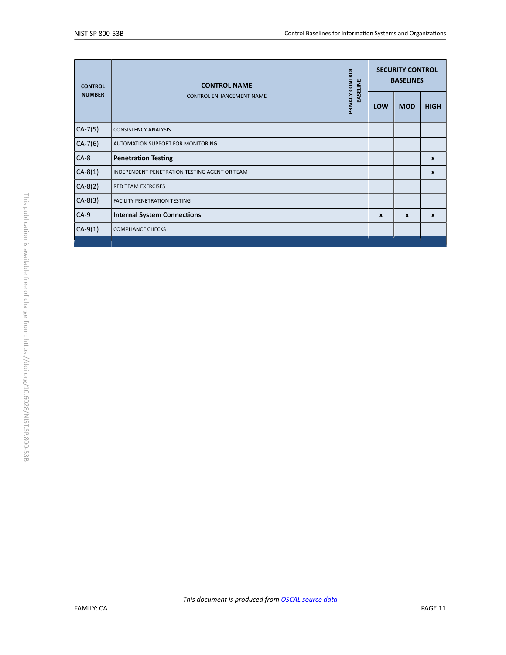<span id="page-11-0"></span>

| <b>CONTROL</b><br><b>NUMBER</b> | <b>CONTROL NAME</b><br><b>CONTROL ENHANCEMENT NAME</b> | PRIVACY CONTROL<br><b>BASELINE</b> | <b>SECURITY CONTROL</b><br><b>BASELINES</b> |              |                  |
|---------------------------------|--------------------------------------------------------|------------------------------------|---------------------------------------------|--------------|------------------|
|                                 |                                                        |                                    | LOW                                         | <b>MOD</b>   | <b>HIGH</b>      |
| $CA-7(5)$                       | <b>CONSISTENCY ANALYSIS</b>                            |                                    |                                             |              |                  |
| $CA-7(6)$                       | <b>AUTOMATION SUPPORT FOR MONITORING</b>               |                                    |                                             |              |                  |
| $CA-8$                          | <b>Penetration Testing</b>                             |                                    |                                             |              | X                |
| $CA-8(1)$                       | INDEPENDENT PENETRATION TESTING AGENT OR TEAM          |                                    |                                             |              | X                |
| $CA-8(2)$                       | <b>RED TEAM EXERCISES</b>                              |                                    |                                             |              |                  |
| $CA-8(3)$                       | <b>FACILITY PENETRATION TESTING</b>                    |                                    |                                             |              |                  |
| $CA-9$                          | <b>Internal System Connections</b>                     |                                    | $\boldsymbol{x}$                            | $\mathbf{x}$ | $\boldsymbol{x}$ |
| $CA-9(1)$                       | <b>COMPLIANCE CHECKS</b>                               |                                    |                                             |              |                  |
|                                 |                                                        |                                    |                                             |              |                  |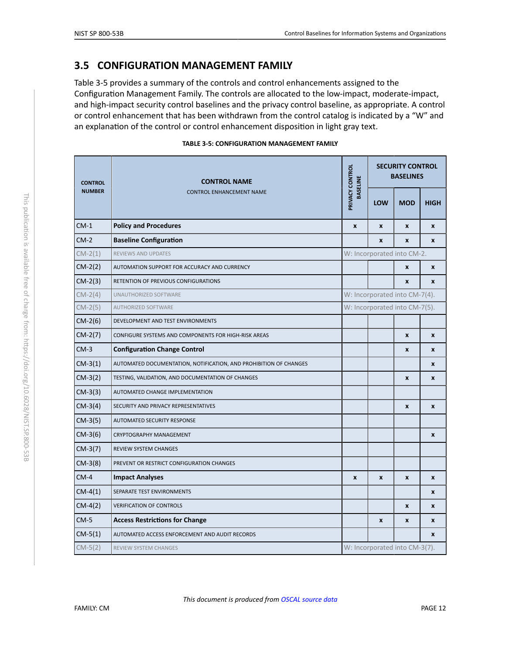## <span id="page-12-2"></span>**3.5 CONFIGURATION MANAGEMENT FAMILY**

Table 3-5 provides a summary of the controls and control enhancements assigned to the Configuration Management Family. The controls are allocated to the low-impact, moderate-impact, and high-impact security control baselines and the privacy control baseline, as appropriate. A control or control enhancement that has been withdrawn from the control catalog is indicated by a "W" and an explanation of the control or control enhancement disposition in light gray text.

| <b>TABLE 3-5: CONFIGURATION MANAGEMENT FAMILY</b> |  |  |  |  |  |
|---------------------------------------------------|--|--|--|--|--|
|---------------------------------------------------|--|--|--|--|--|

<span id="page-12-3"></span><span id="page-12-1"></span><span id="page-12-0"></span>

| <b>CONTROL</b><br><b>NUMBER</b> | <b>CONTROL NAME</b>                                               |                                    | <b>SECURITY CONTROL</b><br><b>BASELINES</b> |                    |              |  |
|---------------------------------|-------------------------------------------------------------------|------------------------------------|---------------------------------------------|--------------------|--------------|--|
|                                 | <b>CONTROL ENHANCEMENT NAME</b>                                   | PRIVACY CONTROL<br><b>BASELINE</b> | LOW                                         | <b>MOD</b>         | <b>HIGH</b>  |  |
| $CM-1$                          | <b>Policy and Procedures</b>                                      | $\pmb{\chi}$                       | X                                           | $\pmb{\mathsf{x}}$ | X            |  |
| $CM-2$                          | <b>Baseline Configuration</b>                                     |                                    | X                                           | X                  | X            |  |
| $CM-2(1)$                       | <b>REVIEWS AND UPDATES</b>                                        |                                    | W: Incorporated into CM-2.                  |                    |              |  |
| $CM-2(2)$                       | AUTOMATION SUPPORT FOR ACCURACY AND CURRENCY                      |                                    |                                             | $\pmb{\mathsf{x}}$ | $\mathbf{x}$ |  |
| $CM-2(3)$                       | RETENTION OF PREVIOUS CONFIGURATIONS                              |                                    |                                             | X                  | X            |  |
| $CM-2(4)$                       | UNAUTHORIZED SOFTWARE                                             |                                    | W: Incorporated into CM-7(4).               |                    |              |  |
| $CM-2(5)$                       | <b>AUTHORIZED SOFTWARE</b>                                        | W: Incorporated into CM-7(5).      |                                             |                    |              |  |
| $CM-2(6)$                       | DEVELOPMENT AND TEST ENVIRONMENTS                                 |                                    |                                             |                    |              |  |
| $CM-2(7)$                       | CONFIGURE SYSTEMS AND COMPONENTS FOR HIGH-RISK AREAS              |                                    |                                             | $\boldsymbol{x}$   | $\mathbf{x}$ |  |
| $CM-3$                          | <b>Configuration Change Control</b>                               |                                    |                                             | $\pmb{\mathsf{x}}$ | $\pmb{\chi}$ |  |
| $CM-3(1)$                       | AUTOMATED DOCUMENTATION, NOTIFICATION, AND PROHIBITION OF CHANGES |                                    |                                             |                    | X            |  |
| $CM-3(2)$                       | TESTING, VALIDATION, AND DOCUMENTATION OF CHANGES                 |                                    |                                             | X                  | X            |  |
| $CM-3(3)$                       | AUTOMATED CHANGE IMPLEMENTATION                                   |                                    |                                             |                    |              |  |
| $CM-3(4)$                       | SECURITY AND PRIVACY REPRESENTATIVES                              |                                    |                                             | $\pmb{\times}$     | $\pmb{\chi}$ |  |
| $CM-3(5)$                       | AUTOMATED SECURITY RESPONSE                                       |                                    |                                             |                    |              |  |
| $CM-3(6)$                       | CRYPTOGRAPHY MANAGEMENT                                           |                                    |                                             |                    | X            |  |
| $CM-3(7)$                       | REVIEW SYSTEM CHANGES                                             |                                    |                                             |                    |              |  |
| $CM-3(8)$                       | PREVENT OR RESTRICT CONFIGURATION CHANGES                         |                                    |                                             |                    |              |  |
| $CM-4$                          | <b>Impact Analyses</b>                                            | $\boldsymbol{x}$                   | X                                           | $\pmb{\mathsf{x}}$ | X            |  |
| $CM-4(1)$                       | SEPARATE TEST ENVIRONMENTS                                        |                                    |                                             |                    | X            |  |
| $CM-4(2)$                       | <b>VERIFICATION OF CONTROLS</b>                                   |                                    |                                             | $\pmb{\mathsf{x}}$ | $\pmb{\chi}$ |  |
| $CM-5$                          | <b>Access Restrictions for Change</b>                             |                                    | X                                           | X                  | X            |  |
| $CM-5(1)$                       | AUTOMATED ACCESS ENFORCEMENT AND AUDIT RECORDS                    |                                    |                                             |                    | X            |  |
| $CM-5(2)$                       | <b>REVIEW SYSTEM CHANGES</b>                                      |                                    | W: Incorporated into CM-3(7).               |                    |              |  |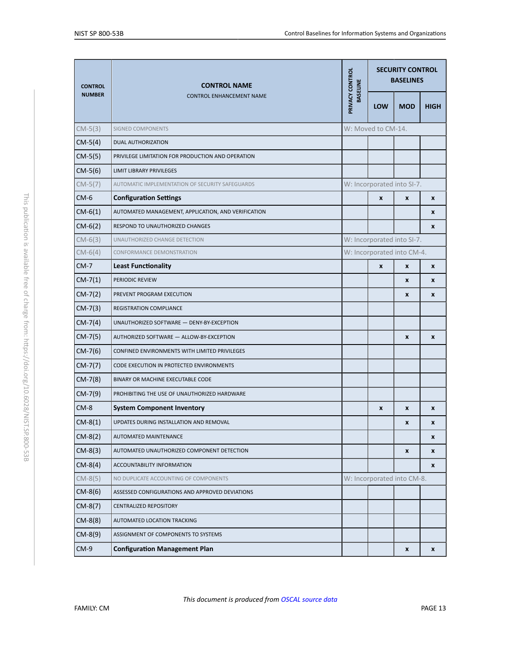<span id="page-13-8"></span><span id="page-13-7"></span><span id="page-13-6"></span><span id="page-13-5"></span><span id="page-13-4"></span><span id="page-13-3"></span><span id="page-13-2"></span><span id="page-13-1"></span><span id="page-13-0"></span>

| <b>CONTROL</b><br><b>NUMBER</b> | <b>CONTROL NAME</b><br><b>CONTROL ENHANCEMENT NAME</b> |                                    | <b>SECURITY CONTROL</b><br><b>BASELINES</b> |              |              |  |
|---------------------------------|--------------------------------------------------------|------------------------------------|---------------------------------------------|--------------|--------------|--|
|                                 |                                                        | PRIVACY CONTROL<br><b>BASELINE</b> | <b>LOW</b>                                  | <b>MOD</b>   | <b>HIGH</b>  |  |
| $CM-5(3)$                       | <b>SIGNED COMPONENTS</b>                               |                                    | W: Moved to CM-14.                          |              |              |  |
| $CM-5(4)$                       | <b>DUAL AUTHORIZATION</b>                              |                                    |                                             |              |              |  |
| $CM-5(5)$                       | PRIVILEGE LIMITATION FOR PRODUCTION AND OPERATION      |                                    |                                             |              |              |  |
| $CM-5(6)$                       | <b>LIMIT LIBRARY PRIVILEGES</b>                        |                                    |                                             |              |              |  |
| $CM-5(7)$                       | AUTOMATIC IMPLEMENTATION OF SECURITY SAFEGUARDS        |                                    | W: Incorporated into SI-7.                  |              |              |  |
| $CM-6$                          | <b>Configuration Settings</b>                          |                                    | X                                           | X            | X            |  |
| $CM-6(1)$                       | AUTOMATED MANAGEMENT, APPLICATION, AND VERIFICATION    |                                    |                                             |              | X            |  |
| $CM-6(2)$                       | RESPOND TO UNAUTHORIZED CHANGES                        |                                    |                                             |              | X            |  |
| $CM-6(3)$                       | UNAUTHORIZED CHANGE DETECTION                          |                                    | W: Incorporated into SI-7.                  |              |              |  |
| $CM-6(4)$                       | <b>CONFORMANCE DEMONSTRATION</b>                       |                                    | W: Incorporated into CM-4.                  |              |              |  |
| $CM-7$                          | <b>Least Functionality</b>                             |                                    | X                                           | X            | X            |  |
| $CM-7(1)$                       | PERIODIC REVIEW                                        |                                    |                                             | X            | X            |  |
| $CM-7(2)$                       | PREVENT PROGRAM EXECUTION                              |                                    |                                             | X            | X            |  |
| $CM-7(3)$                       | REGISTRATION COMPLIANCE                                |                                    |                                             |              |              |  |
| $CM-7(4)$                       | UNAUTHORIZED SOFTWARE - DENY-BY-EXCEPTION              |                                    |                                             |              |              |  |
| $CM-7(5)$                       | AUTHORIZED SOFTWARE - ALLOW-BY-EXCEPTION               |                                    |                                             | $\pmb{\chi}$ | $\pmb{\chi}$ |  |
| $CM-7(6)$                       | CONFINED ENVIRONMENTS WITH LIMITED PRIVILEGES          |                                    |                                             |              |              |  |
| $CM-7(7)$                       | CODE EXECUTION IN PROTECTED ENVIRONMENTS               |                                    |                                             |              |              |  |
| $CM-7(8)$                       | BINARY OR MACHINE EXECUTABLE CODE                      |                                    |                                             |              |              |  |
| $CM-7(9)$                       | PROHIBITING THE USE OF UNAUTHORIZED HARDWARE           |                                    |                                             |              |              |  |
| $CM-8$                          | <b>System Component Inventory</b>                      |                                    | X                                           | X            | X            |  |
| $CM-8(1)$                       | UPDATES DURING INSTALLATION AND REMOVAL                |                                    |                                             | X            | x            |  |
| $CM-8(2)$                       | AUTOMATED MAINTENANCE                                  |                                    |                                             |              | X            |  |
| $CM-8(3)$                       | AUTOMATED UNAUTHORIZED COMPONENT DETECTION             |                                    |                                             | X            | X            |  |
| $CM-8(4)$                       | ACCOUNTABILITY INFORMATION                             |                                    |                                             |              | X            |  |
| $CM-8(5)$                       | NO DUPLICATE ACCOUNTING OF COMPONENTS                  |                                    | W: Incorporated into CM-8.                  |              |              |  |
| $CM-8(6)$                       | ASSESSED CONFIGURATIONS AND APPROVED DEVIATIONS        |                                    |                                             |              |              |  |
| $CM-8(7)$                       | <b>CENTRALIZED REPOSITORY</b>                          |                                    |                                             |              |              |  |
| $CM-8(8)$                       | AUTOMATED LOCATION TRACKING                            |                                    |                                             |              |              |  |
| $CM-8(9)$                       | ASSIGNMENT OF COMPONENTS TO SYSTEMS                    |                                    |                                             |              |              |  |
| $CM-9$                          | <b>Configuration Management Plan</b>                   |                                    |                                             | X            | X            |  |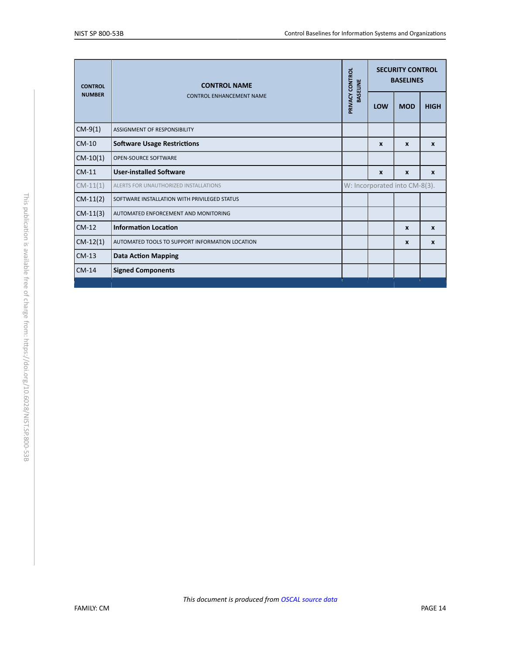<span id="page-14-2"></span><span id="page-14-1"></span><span id="page-14-0"></span>

| <b>CONTROL</b><br><b>NUMBER</b> | <b>CONTROL NAME</b><br><b>CONTROL ENHANCEMENT NAME</b> | PRIVACY CONTROL<br><b>BASELINE</b> | <b>SECURITY CONTROL</b><br><b>BASELINES</b> |                  |              |  |
|---------------------------------|--------------------------------------------------------|------------------------------------|---------------------------------------------|------------------|--------------|--|
|                                 |                                                        |                                    | <b>LOW</b>                                  | <b>MOD</b>       | <b>HIGH</b>  |  |
| $CM-9(1)$                       | ASSIGNMENT OF RESPONSIBILITY                           |                                    |                                             |                  |              |  |
| $CM-10$                         | <b>Software Usage Restrictions</b>                     |                                    | $\mathbf{x}$                                | $\mathbf{x}$     | $\mathbf{x}$ |  |
| $CM-10(1)$                      | OPEN-SOURCE SOFTWARE                                   |                                    |                                             |                  |              |  |
| $CM-11$                         | <b>User-installed Software</b>                         |                                    | $\boldsymbol{x}$                            | $\mathbf{x}$     | X            |  |
| $CM-11(1)$                      | ALERTS FOR UNAUTHORIZED INSTALLATIONS                  |                                    | W: Incorporated into CM-8(3).               |                  |              |  |
| $CM-11(2)$                      | SOFTWARE INSTALLATION WITH PRIVILEGED STATUS           |                                    |                                             |                  |              |  |
| $CM-11(3)$                      | AUTOMATED ENFORCEMENT AND MONITORING                   |                                    |                                             |                  |              |  |
| $CM-12$                         | <b>Information Location</b>                            |                                    |                                             | $\boldsymbol{x}$ | $\mathbf{x}$ |  |
| $CM-12(1)$                      | AUTOMATED TOOLS TO SUPPORT INFORMATION LOCATION        |                                    |                                             | $\mathbf{x}$     | $\mathbf{x}$ |  |
| $CM-13$                         | <b>Data Action Mapping</b>                             |                                    |                                             |                  |              |  |
| $CM-14$                         | <b>Signed Components</b>                               |                                    |                                             |                  |              |  |
|                                 |                                                        |                                    |                                             |                  |              |  |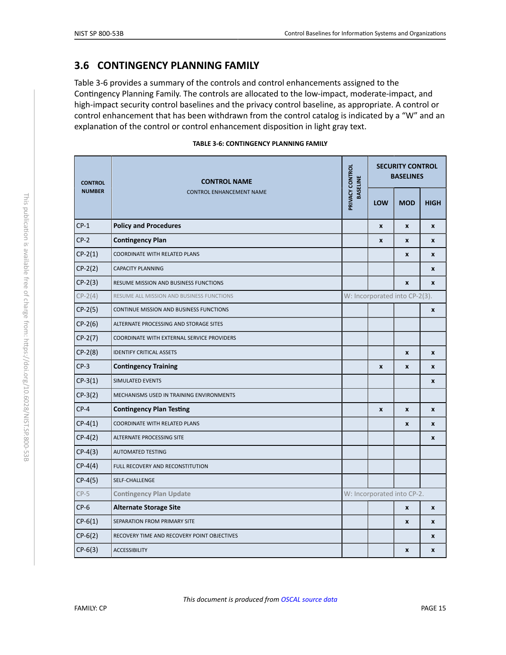### <span id="page-15-2"></span>**3.6 CONTINGENCY PLANNING FAMILY**

Table 3-6 provides a summary of the controls and control enhancements assigned to the Contingency Planning Family. The controls are allocated to the low-impact, moderate-impact, and high-impact security control baselines and the privacy control baseline, as appropriate. A control or control enhancement that has been withdrawn from the control catalog is indicated by a "W" and an explanation of the control or control enhancement disposition in light gray text.

<span id="page-15-3"></span><span id="page-15-1"></span><span id="page-15-0"></span>

| <b>CONTROL</b><br><b>NUMBER</b> | <b>CONTROL NAME</b>                            | PRIVACY CONTROL<br><b>BASELINE</b> | <b>SECURITY CONTROL</b><br><b>BASELINES</b> |                    |                    |
|---------------------------------|------------------------------------------------|------------------------------------|---------------------------------------------|--------------------|--------------------|
|                                 | <b>CONTROL ENHANCEMENT NAME</b>                |                                    | <b>LOW</b>                                  | <b>MOD</b>         | <b>HIGH</b>        |
| $CP-1$                          | <b>Policy and Procedures</b>                   |                                    | $\boldsymbol{x}$                            | X                  | X                  |
| $CP-2$                          | <b>Contingency Plan</b>                        |                                    | $\boldsymbol{x}$                            | $\mathbf{x}$       | X                  |
| $CP-2(1)$                       | COORDINATE WITH RELATED PLANS                  |                                    |                                             | $\mathbf{x}$       | X                  |
| $CP-2(2)$                       | <b>CAPACITY PLANNING</b>                       |                                    |                                             |                    | X                  |
| $CP-2(3)$                       | RESUME MISSION AND BUSINESS FUNCTIONS          |                                    |                                             | $\mathbf{x}$       | X                  |
| $CP-2(4)$                       | RESUME ALL MISSION AND BUSINESS FUNCTIONS      |                                    | W: Incorporated into CP-2(3).               |                    |                    |
| $CP-2(5)$                       | <b>CONTINUE MISSION AND BUSINESS FUNCTIONS</b> |                                    |                                             |                    | X                  |
| $CP-2(6)$                       | ALTERNATE PROCESSING AND STORAGE SITES         |                                    |                                             |                    |                    |
| $CP-2(7)$                       | COORDINATE WITH EXTERNAL SERVICE PROVIDERS     |                                    |                                             |                    |                    |
| $CP-2(8)$                       | <b>IDENTIFY CRITICAL ASSETS</b>                |                                    |                                             | $\pmb{\mathsf{x}}$ | $\pmb{\mathsf{x}}$ |
| $CP-3$                          | <b>Contingency Training</b>                    |                                    | $\boldsymbol{x}$                            | $\pmb{\mathsf{x}}$ | X                  |
| $CP-3(1)$                       | SIMULATED EVENTS                               |                                    |                                             |                    | X                  |
| $CP-3(2)$                       | MECHANISMS USED IN TRAINING ENVIRONMENTS       |                                    |                                             |                    |                    |
| $CP-4$                          | <b>Contingency Plan Testing</b>                |                                    | $\pmb{\chi}$                                | X                  | X                  |
| $CP-4(1)$                       | COORDINATE WITH RELATED PLANS                  |                                    |                                             | $\pmb{\mathsf{x}}$ | X                  |
| $CP-4(2)$                       | ALTERNATE PROCESSING SITE                      |                                    |                                             |                    | X                  |
| $CP-4(3)$                       | <b>AUTOMATED TESTING</b>                       |                                    |                                             |                    |                    |
| $CP-4(4)$                       | FULL RECOVERY AND RECONSTITUTION               |                                    |                                             |                    |                    |
| $CP-4(5)$                       | SELF-CHALLENGE                                 |                                    |                                             |                    |                    |
| $CP-5$                          | <b>Contingency Plan Update</b>                 |                                    | W: Incorporated into CP-2.                  |                    |                    |
| $CP-6$                          | <b>Alternate Storage Site</b>                  |                                    |                                             | X                  | X                  |
| $CP-6(1)$                       | SEPARATION FROM PRIMARY SITE                   |                                    |                                             | $\pmb{\mathsf{x}}$ | X                  |
| $CP-6(2)$                       | RECOVERY TIME AND RECOVERY POINT OBJECTIVES    |                                    |                                             |                    | X                  |
| $CP-6(3)$                       | <b>ACCESSIBILITY</b>                           |                                    |                                             | $\pmb{\mathsf{x}}$ | X                  |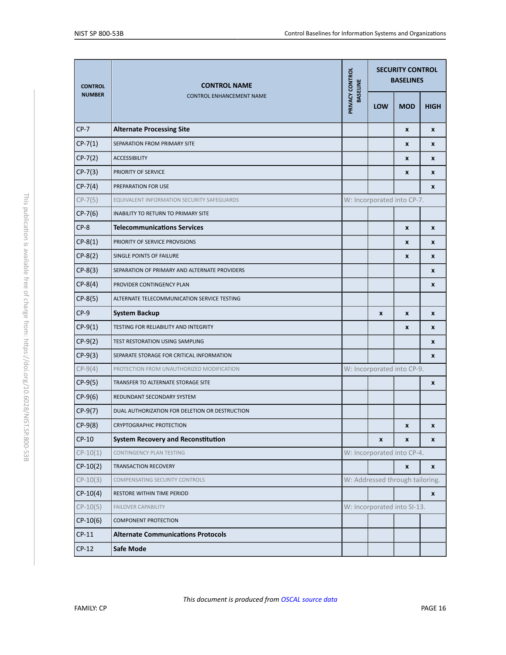<span id="page-16-1"></span><span id="page-16-0"></span>

| <b>CONTROL</b><br><b>NUMBER</b> | <b>CONTROL NAME</b><br><b>CONTROL ENHANCEMENT NAME</b> |                                    | <b>SECURITY CONTROL</b><br><b>BASELINES</b> |            |                    |  |
|---------------------------------|--------------------------------------------------------|------------------------------------|---------------------------------------------|------------|--------------------|--|
|                                 |                                                        | PRIVACY CONTROL<br><b>BASELINE</b> | <b>LOW</b>                                  | <b>MOD</b> | <b>HIGH</b>        |  |
| $CP-7$                          | <b>Alternate Processing Site</b>                       |                                    |                                             | X          | X                  |  |
| $CP-7(1)$                       | SEPARATION FROM PRIMARY SITE                           |                                    |                                             | X          | X                  |  |
| $CP-7(2)$                       | <b>ACCESSIBILITY</b>                                   |                                    |                                             | X          | X                  |  |
| $CP-7(3)$                       | PRIORITY OF SERVICE                                    |                                    |                                             | X          | X                  |  |
| $CP-7(4)$                       | PREPARATION FOR USE                                    |                                    |                                             |            | X                  |  |
| $CP-7(5)$                       | EQUIVALENT INFORMATION SECURITY SAFEGUARDS             |                                    | W: Incorporated into CP-7.                  |            |                    |  |
| $CP-7(6)$                       | INABILITY TO RETURN TO PRIMARY SITE                    |                                    |                                             |            |                    |  |
| $CP-8$                          | <b>Telecommunications Services</b>                     |                                    |                                             | X          | X                  |  |
| $CP-8(1)$                       | PRIORITY OF SERVICE PROVISIONS                         |                                    |                                             | X          | X                  |  |
| $CP-8(2)$                       | SINGLE POINTS OF FAILURE                               |                                    |                                             | X          | X                  |  |
| $CP-8(3)$                       | SEPARATION OF PRIMARY AND ALTERNATE PROVIDERS          |                                    |                                             |            | X                  |  |
| $CP-8(4)$                       | PROVIDER CONTINGENCY PLAN                              |                                    |                                             |            | X                  |  |
| $CP-8(5)$                       | ALTERNATE TELECOMMUNICATION SERVICE TESTING            |                                    |                                             |            |                    |  |
| $CP-9$                          | <b>System Backup</b>                                   |                                    | $\pmb{\mathsf{x}}$                          | X          | X                  |  |
| $CP-9(1)$                       | TESTING FOR RELIABILITY AND INTEGRITY                  |                                    |                                             | X          | X                  |  |
| $CP-9(2)$                       | TEST RESTORATION USING SAMPLING                        |                                    |                                             |            | X                  |  |
| $CP-9(3)$                       | SEPARATE STORAGE FOR CRITICAL INFORMATION              |                                    |                                             |            | $\pmb{\chi}$       |  |
| $CP-9(4)$                       | PROTECTION FROM UNAUTHORIZED MODIFICATION              |                                    | W: Incorporated into CP-9.                  |            |                    |  |
| $CP-9(5)$                       | TRANSFER TO ALTERNATE STORAGE SITE                     |                                    |                                             |            | X                  |  |
| $CP-9(6)$                       | REDUNDANT SECONDARY SYSTEM                             |                                    |                                             |            |                    |  |
| $CP-9(7)$                       | DUAL AUTHORIZATION FOR DELETION OR DESTRUCTION         |                                    |                                             |            |                    |  |
| $CP-9(8)$                       | <b>CRYPTOGRAPHIC PROTECTION</b>                        |                                    |                                             | X          | X                  |  |
| $CP-10$                         | <b>System Recovery and Reconstitution</b>              |                                    | $\pmb{\mathsf{x}}$                          | X          | X                  |  |
| $CP-10(1)$                      | CONTINGENCY PLAN TESTING                               |                                    | W: Incorporated into CP-4.                  |            |                    |  |
| $CP-10(2)$                      | TRANSACTION RECOVERY                                   |                                    |                                             | X          | X                  |  |
| $CP-10(3)$                      | COMPENSATING SECURITY CONTROLS                         |                                    | W: Addressed through tailoring.             |            |                    |  |
| $CP-10(4)$                      | RESTORE WITHIN TIME PERIOD                             |                                    |                                             |            | $\pmb{\mathsf{x}}$ |  |
| $CP-10(5)$                      | <b>FAILOVER CAPABILITY</b>                             |                                    | W: Incorporated into SI-13.                 |            |                    |  |
| $CP-10(6)$                      | <b>COMPONENT PROTECTION</b>                            |                                    |                                             |            |                    |  |
| $CP-11$                         | <b>Alternate Communications Protocols</b>              |                                    |                                             |            |                    |  |
| $CP-12$                         | Safe Mode                                              |                                    |                                             |            |                    |  |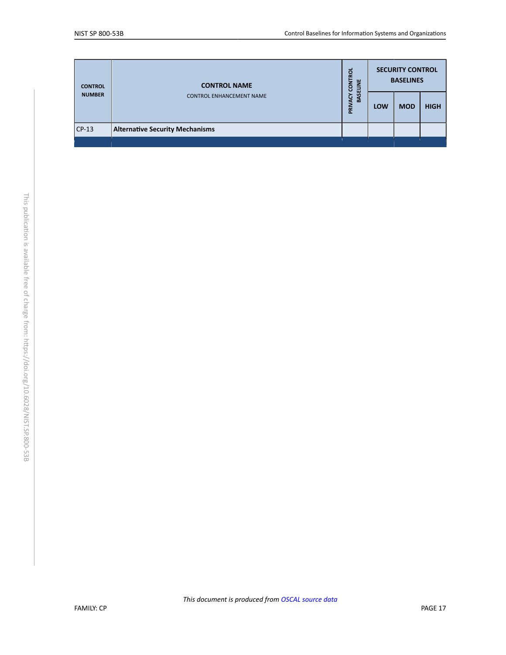| <b>CONTROL</b> | <b>CONTROL NAME</b>                    | ខ្ព<br><b>NOC</b><br>BASELINE<br>্রু<br>Ē | <b>SECURITY CONTROL</b><br><b>BASELINES</b> |            |             |  |
|----------------|----------------------------------------|-------------------------------------------|---------------------------------------------|------------|-------------|--|
| <b>NUMBER</b>  | <b>CONTROL ENHANCEMENT NAME</b>        |                                           | LOW                                         | <b>MOD</b> | <b>HIGH</b> |  |
| $CP-13$        | <b>Alternative Security Mechanisms</b> |                                           |                                             |            |             |  |
|                |                                        |                                           |                                             |            |             |  |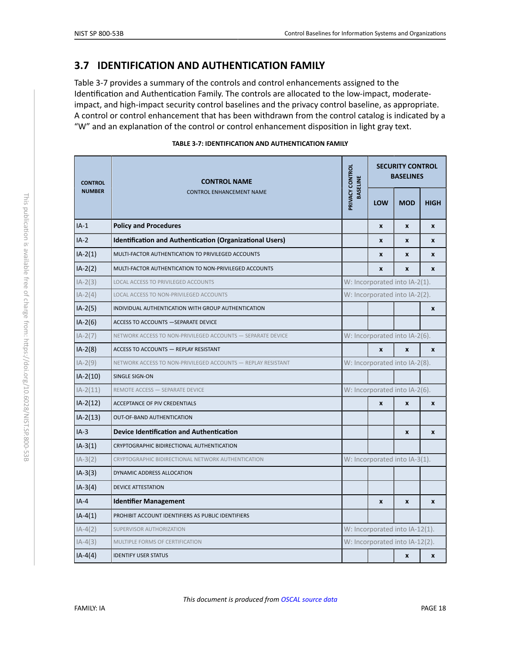# <span id="page-18-5"></span>**3.7 IDENTIFICATION AND AUTHENTICATION FAMILY**

Table 3-7 provides a summary of the controls and control enhancements assigned to the Identification and Authentication Family. The controls are allocated to the low-impact, moderateimpact, and high-impact security control baselines and the privacy control baseline, as appropriate. A control or control enhancement that has been withdrawn from the control catalog is indicated by a "W" and an explanation of the control or control enhancement disposition in light gray text.

<span id="page-18-4"></span><span id="page-18-3"></span><span id="page-18-2"></span><span id="page-18-1"></span><span id="page-18-0"></span>

| <b>CONTROL</b> | <b>CONTROL NAME</b><br><b>CONTROL ENHANCEMENT NAME</b>          | PRIVACY CONTROL<br><b>BASELINE</b> | <b>SECURITY CONTROL</b><br><b>BASELINES</b> |                  |                  |  |
|----------------|-----------------------------------------------------------------|------------------------------------|---------------------------------------------|------------------|------------------|--|
| <b>NUMBER</b>  |                                                                 |                                    | LOW                                         | <b>MOD</b>       | <b>HIGH</b>      |  |
| $IA-1$         | <b>Policy and Procedures</b>                                    |                                    | X                                           | $\pmb{\chi}$     | $\mathbf{x}$     |  |
| $IA-2$         | <b>Identification and Authentication (Organizational Users)</b> |                                    | X                                           | $\mathbf{x}$     | $\mathbf{x}$     |  |
| $IA-2(1)$      | MULTI-FACTOR AUTHENTICATION TO PRIVILEGED ACCOUNTS              |                                    | X                                           | $\boldsymbol{x}$ | X                |  |
| $IA-2(2)$      | MULTI-FACTOR AUTHENTICATION TO NON-PRIVILEGED ACCOUNTS          |                                    | $\mathbf{x}$                                | $\boldsymbol{x}$ | $\mathbf{x}$     |  |
| $IA-2(3)$      | LOCAL ACCESS TO PRIVILEGED ACCOUNTS                             |                                    | W: Incorporated into IA-2(1).               |                  |                  |  |
| $IA-2(4)$      | LOCAL ACCESS TO NON-PRIVILEGED ACCOUNTS                         |                                    | W: Incorporated into IA-2(2).               |                  |                  |  |
| $IA-2(5)$      | INDIVIDUAL AUTHENTICATION WITH GROUP AUTHENTICATION             |                                    |                                             |                  | $\pmb{\chi}$     |  |
| $IA-2(6)$      | ACCESS TO ACCOUNTS - SEPARATE DEVICE                            |                                    |                                             |                  |                  |  |
| $IA-2(7)$      | NETWORK ACCESS TO NON-PRIVILEGED ACCOUNTS - SEPARATE DEVICE     |                                    | W: Incorporated into IA-2(6).               |                  |                  |  |
| $IA-2(8)$      | ACCESS TO ACCOUNTS - REPLAY RESISTANT                           |                                    | $\mathbf{x}$                                | $\mathbf{x}$     | $\mathbf{x}$     |  |
| $IA-2(9)$      | NETWORK ACCESS TO NON-PRIVILEGED ACCOUNTS - REPLAY RESISTANT    |                                    | W: Incorporated into IA-2(8).               |                  |                  |  |
| $IA-2(10)$     | SINGLE SIGN-ON                                                  |                                    |                                             |                  |                  |  |
| $IA-2(11)$     | REMOTE ACCESS - SEPARATE DEVICE                                 |                                    | W: Incorporated into IA-2(6).               |                  |                  |  |
| $IA-2(12)$     | ACCEPTANCE OF PIV CREDENTIALS                                   |                                    | $\mathbf{x}$                                | $\boldsymbol{x}$ | $\pmb{\chi}$     |  |
| $IA-2(13)$     | OUT-OF-BAND AUTHENTICATION                                      |                                    |                                             |                  |                  |  |
| $IA-3$         | <b>Device Identification and Authentication</b>                 |                                    |                                             | $\boldsymbol{x}$ | $\boldsymbol{x}$ |  |
| $IA-3(1)$      | CRYPTOGRAPHIC BIDIRECTIONAL AUTHENTICATION                      |                                    |                                             |                  |                  |  |
| $IA-3(2)$      | CRYPTOGRAPHIC BIDIRECTIONAL NETWORK AUTHENTICATION              |                                    | W: Incorporated into IA-3(1).               |                  |                  |  |
| $IA-3(3)$      | DYNAMIC ADDRESS ALLOCATION                                      |                                    |                                             |                  |                  |  |
| $IA-3(4)$      | <b>DEVICE ATTESTATION</b>                                       |                                    |                                             |                  |                  |  |
| $IA-4$         | <b>Identifier Management</b>                                    |                                    | $\mathbf{x}$                                | $\boldsymbol{x}$ | $\boldsymbol{x}$ |  |
| $IA-4(1)$      | PROHIBIT ACCOUNT IDENTIFIERS AS PUBLIC IDENTIFIERS              |                                    |                                             |                  |                  |  |
| $IA-4(2)$      | SUPERVISOR AUTHORIZATION                                        |                                    | W: Incorporated into IA-12(1).              |                  |                  |  |
| $IA-4(3)$      | MULTIPLE FORMS OF CERTIFICATION                                 |                                    | W: Incorporated into IA-12(2).              |                  |                  |  |
| $IA-4(4)$      | <b>IDENTIFY USER STATUS</b>                                     |                                    |                                             | $\pmb{\times}$   | X                |  |

*This document is produced from [OSCAL source data](https://github.com/usnistgov/oscal-content/blob/master/nist.gov/SP800-53/rev5/xml/NIST_SP-800-53_rev5_catalog.xml)*

#### **TABLE 3-7: IDENTIFICATION AND AUTHENTICATION FAMILY**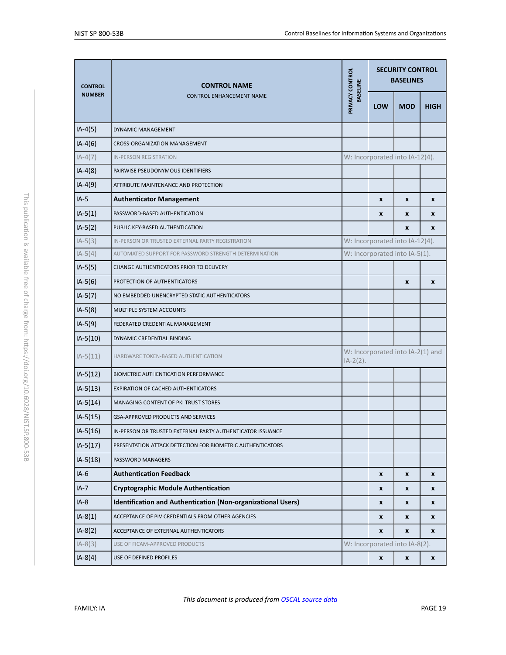<span id="page-19-1"></span><span id="page-19-0"></span>

| <b>CONTROL</b> | <b>CONTROL NAME</b><br><b>CONTROL ENHANCEMENT NAME</b>       | PRIVACY CONTROL<br><b>BASELINE</b>              | <b>SECURITY CONTROL</b><br><b>BASELINES</b> |                    |                    |  |
|----------------|--------------------------------------------------------------|-------------------------------------------------|---------------------------------------------|--------------------|--------------------|--|
| <b>NUMBER</b>  |                                                              |                                                 | LOW                                         | <b>MOD</b>         | <b>HIGH</b>        |  |
| $IA-4(5)$      | DYNAMIC MANAGEMENT                                           |                                                 |                                             |                    |                    |  |
| $IA-4(6)$      | CROSS-ORGANIZATION MANAGEMENT                                |                                                 |                                             |                    |                    |  |
| $IA-4(7)$      | <b>IN-PERSON REGISTRATION</b>                                |                                                 | W: Incorporated into IA-12(4).              |                    |                    |  |
| $IA-4(8)$      | PAIRWISE PSEUDONYMOUS IDENTIFIERS                            |                                                 |                                             |                    |                    |  |
| $IA-4(9)$      | ATTRIBUTE MAINTENANCE AND PROTECTION                         |                                                 |                                             |                    |                    |  |
| $IA-5$         | <b>Authenticator Management</b>                              |                                                 | X                                           | X                  | X                  |  |
| $IA-5(1)$      | PASSWORD-BASED AUTHENTICATION                                |                                                 | X                                           | X                  | X                  |  |
| $IA-5(2)$      | PUBLIC KEY-BASED AUTHENTICATION                              |                                                 |                                             | $\pmb{\chi}$       | $\mathbf{x}$       |  |
| $IA-5(3)$      | IN-PERSON OR TRUSTED EXTERNAL PARTY REGISTRATION             |                                                 | W: Incorporated into IA-12(4).              |                    |                    |  |
| $IA-5(4)$      | AUTOMATED SUPPORT FOR PASSWORD STRENGTH DETERMINATION        |                                                 | W: Incorporated into IA-5(1).               |                    |                    |  |
| $IA-5(5)$      | CHANGE AUTHENTICATORS PRIOR TO DELIVERY                      |                                                 |                                             |                    |                    |  |
| $IA-5(6)$      | PROTECTION OF AUTHENTICATORS                                 |                                                 |                                             | $\pmb{\chi}$       | X                  |  |
| $IA-5(7)$      | NO EMBEDDED UNENCRYPTED STATIC AUTHENTICATORS                |                                                 |                                             |                    |                    |  |
| $IA-5(8)$      | MULTIPLE SYSTEM ACCOUNTS                                     |                                                 |                                             |                    |                    |  |
| $IA-5(9)$      | FEDERATED CREDENTIAL MANAGEMENT                              |                                                 |                                             |                    |                    |  |
| $IA-5(10)$     | DYNAMIC CREDENTIAL BINDING                                   |                                                 |                                             |                    |                    |  |
| $IA-5(11)$     | HARDWARE TOKEN-BASED AUTHENTICATION                          | W: Incorporated into IA-2(1) and<br>$IA-2(2)$ . |                                             |                    |                    |  |
| $IA-5(12)$     | BIOMETRIC AUTHENTICATION PERFORMANCE                         |                                                 |                                             |                    |                    |  |
| $IA-5(13)$     | <b>EXPIRATION OF CACHED AUTHENTICATORS</b>                   |                                                 |                                             |                    |                    |  |
| $IA-5(14)$     | MANAGING CONTENT OF PKI TRUST STORES                         |                                                 |                                             |                    |                    |  |
| $IA-5(15)$     | GSA-APPROVED PRODUCTS AND SERVICES                           |                                                 |                                             |                    |                    |  |
| IA-5(16)       | IN-PERSON OR TRUSTED EXTERNAL PARTY AUTHENTICATOR ISSUANCE   |                                                 |                                             |                    |                    |  |
| $IA-5(17)$     | PRESENTATION ATTACK DETECTION FOR BIOMETRIC AUTHENTICATORS   |                                                 |                                             |                    |                    |  |
| $IA-5(18)$     | PASSWORD MANAGERS                                            |                                                 |                                             |                    |                    |  |
| $IA-6$         | <b>Authentication Feedback</b>                               |                                                 | X                                           | $\pmb{\mathsf{x}}$ | $\pmb{\mathsf{x}}$ |  |
| $IA-7$         | <b>Cryptographic Module Authentication</b>                   |                                                 | x                                           | $\pmb{\mathsf{x}}$ | X                  |  |
| $IA-8$         | Identification and Authentication (Non-organizational Users) |                                                 | X                                           | X                  | x                  |  |
| $IA-8(1)$      | ACCEPTANCE OF PIV CREDENTIALS FROM OTHER AGENCIES            |                                                 | X                                           | X                  | X                  |  |
| $IA-8(2)$      | ACCEPTANCE OF EXTERNAL AUTHENTICATORS                        |                                                 | X                                           | $\pmb{\mathsf{x}}$ | X                  |  |
| $IA-8(3)$      | USE OF FICAM-APPROVED PRODUCTS                               |                                                 | W: Incorporated into IA-8(2).               |                    |                    |  |
| $IA-8(4)$      | USE OF DEFINED PROFILES                                      |                                                 | x                                           | x                  | X                  |  |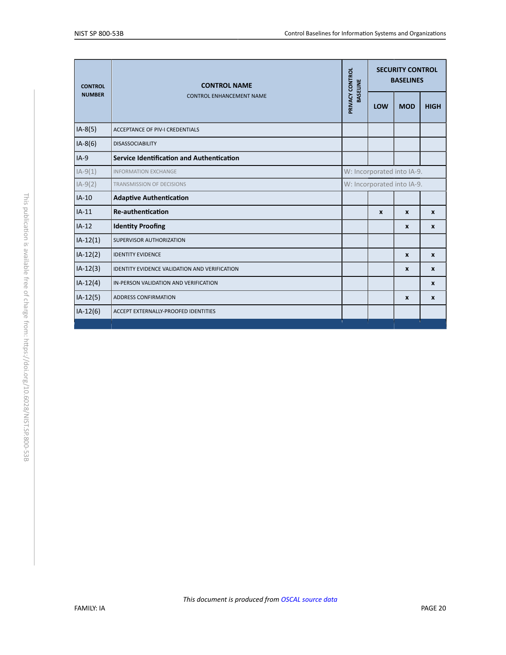<span id="page-20-3"></span><span id="page-20-2"></span><span id="page-20-1"></span><span id="page-20-0"></span>

| <b>CONTROL</b> | <b>CONTROL NAME</b><br><b>CONTROL ENHANCEMENT NAME</b> | PRIVACY CONTROL<br><b>BASELINE</b> | <b>SECURITY CONTROL</b><br><b>BASELINES</b> |                  |                  |  |
|----------------|--------------------------------------------------------|------------------------------------|---------------------------------------------|------------------|------------------|--|
| <b>NUMBER</b>  |                                                        |                                    | LOW                                         | <b>MOD</b>       | <b>HIGH</b>      |  |
| $IA-8(5)$      | <b>ACCEPTANCE OF PIV-I CREDENTIALS</b>                 |                                    |                                             |                  |                  |  |
| $IA-8(6)$      | <b>DISASSOCIABILITY</b>                                |                                    |                                             |                  |                  |  |
| $IA-9$         | <b>Service Identification and Authentication</b>       |                                    |                                             |                  |                  |  |
| $IA-9(1)$      | <b>INFORMATION EXCHANGE</b>                            |                                    | W: Incorporated into IA-9.                  |                  |                  |  |
| $IA-9(2)$      | <b>TRANSMISSION OF DECISIONS</b>                       |                                    | W: Incorporated into IA-9.                  |                  |                  |  |
| $IA-10$        | <b>Adaptive Authentication</b>                         |                                    |                                             |                  |                  |  |
| $IA-11$        | <b>Re-authentication</b>                               |                                    | $\boldsymbol{x}$                            | $\mathbf{x}$     | $\boldsymbol{x}$ |  |
| $IA-12$        | <b>Identity Proofing</b>                               |                                    |                                             | X                | $\boldsymbol{x}$ |  |
| $IA-12(1)$     | SUPERVISOR AUTHORIZATION                               |                                    |                                             |                  |                  |  |
| $IA-12(2)$     | <b>IDENTITY EVIDENCE</b>                               |                                    |                                             | $\boldsymbol{x}$ | $\boldsymbol{x}$ |  |
| $IA-12(3)$     | <b>IDENTITY EVIDENCE VALIDATION AND VERIFICATION</b>   |                                    |                                             | $\mathbf{x}$     | $\mathbf{x}$     |  |
| $IA-12(4)$     | IN-PERSON VALIDATION AND VERIFICATION                  |                                    |                                             |                  | $\mathbf{x}$     |  |
| $IA-12(5)$     | <b>ADDRESS CONFIRMATION</b>                            |                                    |                                             | $\mathbf{x}$     | $\boldsymbol{x}$ |  |
| $IA-12(6)$     | ACCEPT EXTERNALLY-PROOFED IDENTITIES                   |                                    |                                             |                  |                  |  |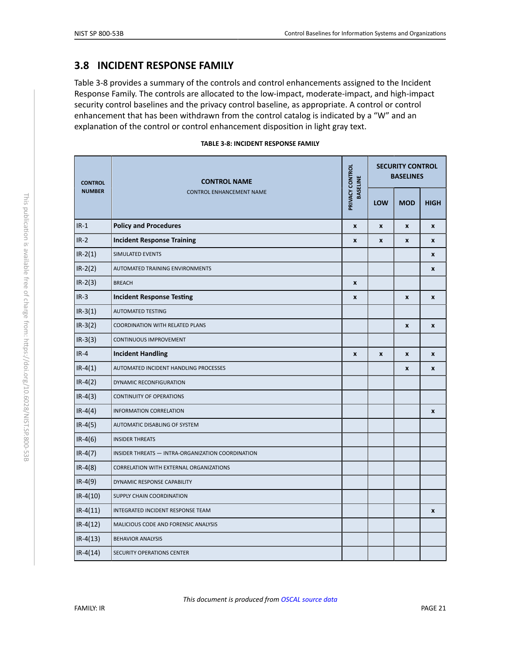# <span id="page-21-0"></span>**3.8 INCIDENT RESPONSE FAMILY**

Table 3-8 provides a summary of the controls and control enhancements assigned to the Incident Response Family. The controls are allocated to the low-impact, moderate-impact, and high-impact security control baselines and the privacy control baseline, as appropriate. A control or control enhancement that has been withdrawn from the control catalog is indicated by a "W" and an explanation of the control or control enhancement disposition in light gray text.

|  | TABLE 3-8: INCIDENT RESPONSE FAMILY |  |
|--|-------------------------------------|--|
|  |                                     |  |

<span id="page-21-1"></span>

| <b>CONTROL</b> | <b>CONTROL NAME</b>                               | PRIVACY CONTROL<br><b>BASELINE</b> | <b>SECURITY CONTROL</b><br><b>BASELINES</b> |                    |                    |  |
|----------------|---------------------------------------------------|------------------------------------|---------------------------------------------|--------------------|--------------------|--|
| <b>NUMBER</b>  | <b>CONTROL ENHANCEMENT NAME</b>                   |                                    | LOW                                         | <b>MOD</b>         | <b>HIGH</b>        |  |
| $IR-1$         | <b>Policy and Procedures</b>                      | $\pmb{\times}$                     | $\boldsymbol{x}$                            | $\pmb{\mathsf{x}}$ | $\pmb{\mathsf{x}}$ |  |
| $IR-2$         | <b>Incident Response Training</b>                 | $\pmb{\chi}$                       | X                                           | $\pmb{\mathsf{x}}$ | X                  |  |
| $IR-2(1)$      | SIMULATED EVENTS                                  |                                    |                                             |                    | X                  |  |
| $IR-2(2)$      | AUTOMATED TRAINING ENVIRONMENTS                   |                                    |                                             |                    | x                  |  |
| $IR-2(3)$      | <b>BREACH</b>                                     | $\pmb{\chi}$                       |                                             |                    |                    |  |
| $IR-3$         | <b>Incident Response Testing</b>                  | $\pmb{\chi}$                       |                                             | $\pmb{\mathsf{x}}$ | X                  |  |
| $IR-3(1)$      | <b>AUTOMATED TESTING</b>                          |                                    |                                             |                    |                    |  |
| $IR-3(2)$      | COORDINATION WITH RELATED PLANS                   |                                    |                                             | $\pmb{\mathsf{x}}$ | $\pmb{\mathsf{x}}$ |  |
| $IR-3(3)$      | <b>CONTINUOUS IMPROVEMENT</b>                     |                                    |                                             |                    |                    |  |
| $IR-4$         | <b>Incident Handling</b>                          | $\boldsymbol{x}$                   | $\mathbf{x}$                                | $\mathbf{x}$       | X                  |  |
| $IR-4(1)$      | AUTOMATED INCIDENT HANDLING PROCESSES             |                                    |                                             | X                  | X                  |  |
| $IR-4(2)$      | DYNAMIC RECONFIGURATION                           |                                    |                                             |                    |                    |  |
| $IR-4(3)$      | <b>CONTINUITY OF OPERATIONS</b>                   |                                    |                                             |                    |                    |  |
| $IR-4(4)$      | <b>INFORMATION CORRELATION</b>                    |                                    |                                             |                    | $\pmb{\mathsf{x}}$ |  |
| $IR-4(5)$      | AUTOMATIC DISABLING OF SYSTEM                     |                                    |                                             |                    |                    |  |
| $IR-4(6)$      | <b>INSIDER THREATS</b>                            |                                    |                                             |                    |                    |  |
| $IR-4(7)$      | INSIDER THREATS - INTRA-ORGANIZATION COORDINATION |                                    |                                             |                    |                    |  |
| $IR-4(8)$      | CORRELATION WITH EXTERNAL ORGANIZATIONS           |                                    |                                             |                    |                    |  |
| $IR-4(9)$      | DYNAMIC RESPONSE CAPABILITY                       |                                    |                                             |                    |                    |  |
| $IR-4(10)$     | SUPPLY CHAIN COORDINATION                         |                                    |                                             |                    |                    |  |
| $IR-4(11)$     | INTEGRATED INCIDENT RESPONSE TEAM                 |                                    |                                             |                    | $\pmb{\mathsf{x}}$ |  |
| $IR-4(12)$     | MALICIOUS CODE AND FORENSIC ANALYSIS              |                                    |                                             |                    |                    |  |
| $IR-4(13)$     | <b>BEHAVIOR ANALYSIS</b>                          |                                    |                                             |                    |                    |  |
| $IR-4(14)$     | SECURITY OPERATIONS CENTER                        |                                    |                                             |                    |                    |  |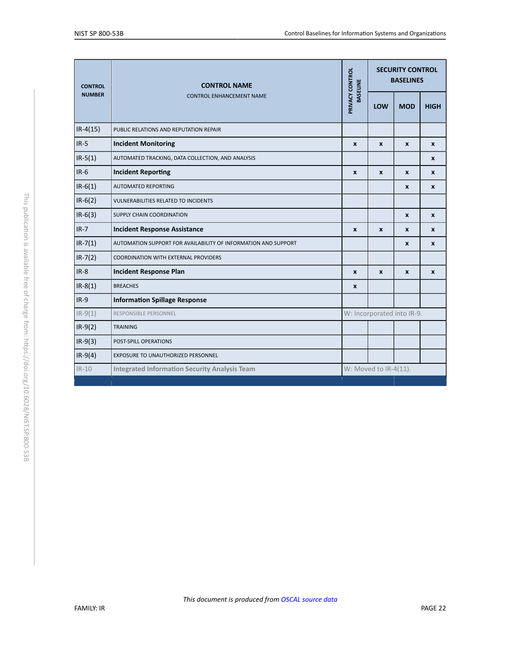<span id="page-22-0"></span>

| PRIVACY CONTROL<br><b>BASELINE</b><br><b>NUMBER</b><br><b>CONTROL ENHANCEMENT NAME</b><br>$IR-4(15)$<br>PUBLIC RELATIONS AND REPUTATION REPAIR<br>$IR-5$<br><b>Incident Monitoring</b><br>X<br>$IR-5(1)$<br>AUTOMATED TRACKING, DATA COLLECTION, AND ANALYSIS<br>$IR-6$<br><b>Incident Reporting</b><br>X<br>$IR-6(1)$<br><b>AUTOMATED REPORTING</b> |                            | <b>SECURITY CONTROL</b><br><b>BASELINES</b> |              |  |
|------------------------------------------------------------------------------------------------------------------------------------------------------------------------------------------------------------------------------------------------------------------------------------------------------------------------------------------------------|----------------------------|---------------------------------------------|--------------|--|
|                                                                                                                                                                                                                                                                                                                                                      | LOW                        | <b>MOD</b>                                  | <b>HIGH</b>  |  |
|                                                                                                                                                                                                                                                                                                                                                      |                            |                                             |              |  |
|                                                                                                                                                                                                                                                                                                                                                      | $\mathbf{x}$               | X                                           | $\mathbf{x}$ |  |
|                                                                                                                                                                                                                                                                                                                                                      |                            |                                             | $\mathbf{x}$ |  |
|                                                                                                                                                                                                                                                                                                                                                      | $\mathbf{x}$               | X                                           | X            |  |
|                                                                                                                                                                                                                                                                                                                                                      |                            | X                                           | $\mathbf{x}$ |  |
| $IR-6(2)$<br><b>VULNERABILITIES RELATED TO INCIDENTS</b>                                                                                                                                                                                                                                                                                             |                            |                                             |              |  |
| $IR-6(3)$<br>SUPPLY CHAIN COORDINATION                                                                                                                                                                                                                                                                                                               |                            | X                                           | X            |  |
| $IR-7$<br><b>Incident Response Assistance</b><br>X                                                                                                                                                                                                                                                                                                   | $\mathbf{x}$               | X                                           | $\mathbf{x}$ |  |
| $IR - 7(1)$<br>AUTOMATION SUPPORT FOR AVAILABILITY OF INFORMATION AND SUPPORT                                                                                                                                                                                                                                                                        |                            | X                                           | X            |  |
| $IR - 7(2)$<br>COORDINATION WITH EXTERNAL PROVIDERS                                                                                                                                                                                                                                                                                                  |                            |                                             |              |  |
| $IR-8$<br><b>Incident Response Plan</b><br>X                                                                                                                                                                                                                                                                                                         | $\mathbf{x}$               | X                                           | $\mathbf{x}$ |  |
| $IR-8(1)$<br><b>BREACHES</b><br>X                                                                                                                                                                                                                                                                                                                    |                            |                                             |              |  |
| $IR-9$<br><b>Information Spillage Response</b>                                                                                                                                                                                                                                                                                                       |                            |                                             |              |  |
| $IR-9(1)$<br><b>RESPONSIBLE PERSONNEL</b>                                                                                                                                                                                                                                                                                                            | W: Incorporated into IR-9. |                                             |              |  |
| $IR-9(2)$<br><b>TRAINING</b>                                                                                                                                                                                                                                                                                                                         |                            |                                             |              |  |
| $IR-9(3)$<br>POST-SPILL OPERATIONS                                                                                                                                                                                                                                                                                                                   |                            |                                             |              |  |
| $IR-9(4)$<br>EXPOSURE TO UNAUTHORIZED PERSONNEL                                                                                                                                                                                                                                                                                                      |                            |                                             |              |  |
| W: Moved to IR-4(11).<br>$IR-10$<br><b>Integrated Information Security Analysis Team</b>                                                                                                                                                                                                                                                             |                            |                                             |              |  |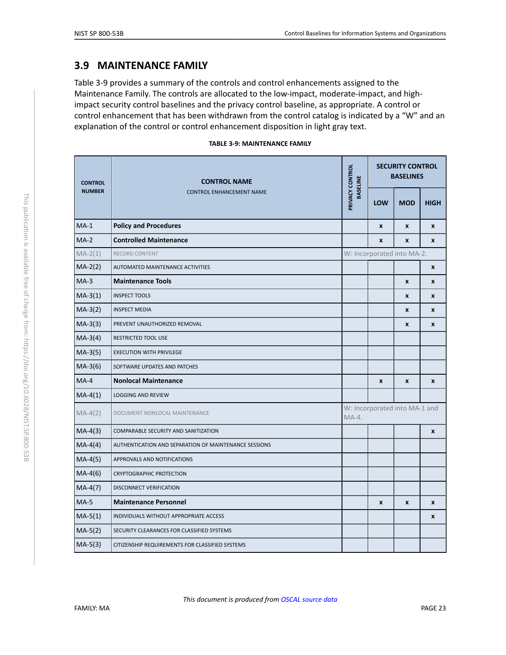#### <span id="page-23-3"></span>**3.9 MAINTENANCE FAMILY**

Table 3-9 provides a summary of the controls and control enhancements assigned to the Maintenance Family. The controls are allocated to the low-impact, moderate-impact, and highimpact security control baselines and the privacy control baseline, as appropriate. A control or control enhancement that has been withdrawn from the control catalog is indicated by a "W" and an explanation of the control or control enhancement disposition in light gray text.

| TABLE 3-9: MAINTENANCE FAMILY |  |  |  |  |  |  |
|-------------------------------|--|--|--|--|--|--|
|-------------------------------|--|--|--|--|--|--|

<span id="page-23-2"></span><span id="page-23-1"></span><span id="page-23-0"></span>

| <b>CONTROL</b> | <b>CONTROL NAME</b>                                   | PRIVACY CONTROL<br><b>BASELINE</b> | <b>SECURITY CONTROL</b><br><b>BASELINES</b> |                    |                    |  |
|----------------|-------------------------------------------------------|------------------------------------|---------------------------------------------|--------------------|--------------------|--|
| <b>NUMBER</b>  | <b>CONTROL ENHANCEMENT NAME</b>                       |                                    | <b>LOW</b>                                  | <b>MOD</b>         | <b>HIGH</b>        |  |
| $MA-1$         | <b>Policy and Procedures</b>                          |                                    | $\mathbf{x}$                                | $\pmb{\mathsf{x}}$ | $\pmb{\mathsf{x}}$ |  |
| $MA-2$         | <b>Controlled Maintenance</b>                         |                                    | X                                           | $\boldsymbol{x}$   | $\mathbf{x}$       |  |
| $MA-2(1)$      | <b>RECORD CONTENT</b>                                 |                                    | W: Incorporated into MA-2.                  |                    |                    |  |
| $MA-2(2)$      | AUTOMATED MAINTENANCE ACTIVITIES                      |                                    |                                             |                    | $\mathbf{x}$       |  |
| $MA-3$         | <b>Maintenance Tools</b>                              |                                    |                                             | $\mathbf{x}$       | X                  |  |
| $MA-3(1)$      | <b>INSPECT TOOLS</b>                                  |                                    |                                             | X                  | X                  |  |
| $MA-3(2)$      | <b>INSPECT MEDIA</b>                                  |                                    |                                             | X                  | X                  |  |
| $MA-3(3)$      | PREVENT UNAUTHORIZED REMOVAL                          |                                    |                                             | X                  | $\pmb{\chi}$       |  |
| $MA-3(4)$      | RESTRICTED TOOL USE                                   |                                    |                                             |                    |                    |  |
| $MA-3(5)$      | <b>EXECUTION WITH PRIVILEGE</b>                       |                                    |                                             |                    |                    |  |
| $MA-3(6)$      | SOFTWARE UPDATES AND PATCHES                          |                                    |                                             |                    |                    |  |
| $MA-4$         | <b>Nonlocal Maintenance</b>                           |                                    | $\pmb{\mathsf{x}}$                          | $\pmb{\mathsf{x}}$ | $\pmb{\mathsf{x}}$ |  |
| $MA-4(1)$      | <b>LOGGING AND REVIEW</b>                             |                                    |                                             |                    |                    |  |
| $MA-4(2)$      | DOCUMENT NONLOCAL MAINTENANCE                         | $MA-4.$                            | W: Incorporated into MA-1 and               |                    |                    |  |
| $MA-4(3)$      | COMPARABLE SECURITY AND SANITIZATION                  |                                    |                                             |                    | $\pmb{\chi}$       |  |
| $MA-4(4)$      | AUTHENTICATION AND SEPARATION OF MAINTENANCE SESSIONS |                                    |                                             |                    |                    |  |
| $MA-4(5)$      | APPROVALS AND NOTIFICATIONS                           |                                    |                                             |                    |                    |  |
| $MA-4(6)$      | <b>CRYPTOGRAPHIC PROTECTION</b>                       |                                    |                                             |                    |                    |  |
| $MA-4(7)$      | <b>DISCONNECT VERIFICATION</b>                        |                                    |                                             |                    |                    |  |
| $MA-5$         | <b>Maintenance Personnel</b>                          |                                    | X                                           | $\pmb{\chi}$       | X                  |  |
| $MA-5(1)$      | INDIVIDUALS WITHOUT APPROPRIATE ACCESS                |                                    |                                             |                    | X                  |  |
| $MA-5(2)$      | SECURITY CLEARANCES FOR CLASSIFIED SYSTEMS            |                                    |                                             |                    |                    |  |
| $MA-5(3)$      | CITIZENSHIP REQUIREMENTS FOR CLASSIFIED SYSTEMS       |                                    |                                             |                    |                    |  |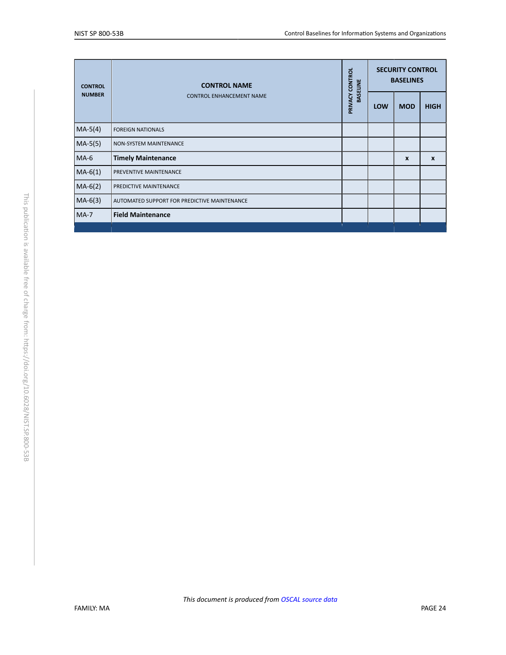<span id="page-24-0"></span>

| <b>CONTROL</b> | <b>CONTROL NAME</b>                          | PRIVACY CONTROL<br><b>BASELINE</b> | <b>SECURITY CONTROL</b><br><b>BASELINES</b> |                  |                  |
|----------------|----------------------------------------------|------------------------------------|---------------------------------------------|------------------|------------------|
| <b>NUMBER</b>  | <b>CONTROL ENHANCEMENT NAME</b>              |                                    | <b>LOW</b>                                  | <b>MOD</b>       | <b>HIGH</b>      |
| $MA-5(4)$      | <b>FOREIGN NATIONALS</b>                     |                                    |                                             |                  |                  |
| $MA-5(5)$      | <b>NON-SYSTEM MAINTENANCE</b>                |                                    |                                             |                  |                  |
| $MA-6$         | <b>Timely Maintenance</b>                    |                                    |                                             | $\boldsymbol{x}$ | $\boldsymbol{x}$ |
| $MA-6(1)$      | PREVENTIVE MAINTENANCE                       |                                    |                                             |                  |                  |
| $MA-6(2)$      | PREDICTIVE MAINTENANCE                       |                                    |                                             |                  |                  |
| $MA-6(3)$      | AUTOMATED SUPPORT FOR PREDICTIVE MAINTENANCE |                                    |                                             |                  |                  |
| $MA-7$         | <b>Field Maintenance</b>                     |                                    |                                             |                  |                  |
|                |                                              |                                    |                                             |                  |                  |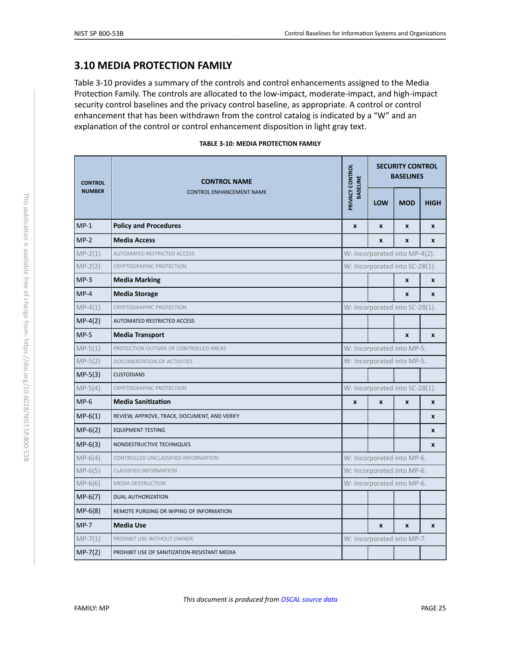### <span id="page-25-6"></span>**3.10 MEDIA PROTECTION FAMILY**

Table 3-10 provides a summary of the controls and control enhancements assigned to the Media Protection Family. The controls are allocated to the low-impact, moderate-impact, and high-impact security control baselines and the privacy control baseline, as appropriate. A control or control enhancement that has been withdrawn from the control catalog is indicated by a "W" and an explanation of the control or control enhancement disposition in light gray text.

|  |  |  | TABLE 3-10: MEDIA PROTECTION FAMILY |  |
|--|--|--|-------------------------------------|--|
|--|--|--|-------------------------------------|--|

<span id="page-25-5"></span><span id="page-25-4"></span><span id="page-25-3"></span><span id="page-25-2"></span><span id="page-25-1"></span><span id="page-25-0"></span>

| <b>CONTROL</b> | <b>CONTROL NAME</b>                          | PRIVACY CONTROL<br><b>BASELINE</b> | <b>SECURITY CONTROL</b><br><b>BASELINES</b> |                  |             |  |  |
|----------------|----------------------------------------------|------------------------------------|---------------------------------------------|------------------|-------------|--|--|
| <b>NUMBER</b>  | <b>CONTROL ENHANCEMENT NAME</b>              |                                    | LOW                                         | <b>MOD</b>       | <b>HIGH</b> |  |  |
| $MP-1$         | <b>Policy and Procedures</b>                 | $\boldsymbol{x}$                   | $\mathbf{x}$                                | $\boldsymbol{x}$ | X           |  |  |
| $MP-2$         | <b>Media Access</b>                          |                                    | X                                           | X                | X           |  |  |
| $MP-2(1)$      | AUTOMATED RESTRICTED ACCESS                  |                                    | W: Incorporated into MP-4(2).               |                  |             |  |  |
| $MP-2(2)$      | <b>CRYPTOGRAPHIC PROTECTION</b>              |                                    | W: Incorporated into SC-28(1).              |                  |             |  |  |
| $MP-3$         | <b>Media Marking</b>                         |                                    |                                             | $\boldsymbol{x}$ | X           |  |  |
| $MP-4$         | <b>Media Storage</b>                         |                                    |                                             | X                | X           |  |  |
| $MP-4(1)$      | <b>CRYPTOGRAPHIC PROTECTION</b>              |                                    | W: Incorporated into SC-28(1).              |                  |             |  |  |
| $MP-4(2)$      | AUTOMATED RESTRICTED ACCESS                  |                                    |                                             |                  |             |  |  |
| $MP-5$         | <b>Media Transport</b>                       |                                    |                                             | $\pmb{\chi}$     | X           |  |  |
| $MP-5(1)$      | PROTECTION OUTSIDE OF CONTROLLED AREAS       |                                    | W: Incorporated into MP-5.                  |                  |             |  |  |
| $MP-5(2)$      | DOCUMENTATION OF ACTIVITIES                  |                                    | W: Incorporated into MP-5.                  |                  |             |  |  |
| $MP-5(3)$      | <b>CUSTODIANS</b>                            |                                    |                                             |                  |             |  |  |
| $MP-5(4)$      | CRYPTOGRAPHIC PROTECTION                     |                                    | W: Incorporated into SC-28(1).              |                  |             |  |  |
| $MP-6$         | <b>Media Sanitization</b>                    | X                                  | $\mathbf{x}$                                | $\boldsymbol{x}$ | X           |  |  |
| $MP-6(1)$      | REVIEW, APPROVE, TRACK, DOCUMENT, AND VERIFY |                                    |                                             |                  | X           |  |  |
| $MP-6(2)$      | <b>EQUIPMENT TESTING</b>                     |                                    |                                             |                  | X           |  |  |
| $MP-6(3)$      | NONDESTRUCTIVE TECHNIQUES                    |                                    |                                             |                  | X           |  |  |
| $MP-6(4)$      | CONTROLLED UNCLASSIFIED INFORMATION          |                                    | W: Incorporated into MP-6.                  |                  |             |  |  |
| $MP-6(5)$      | <b>CLASSIFIED INFORMATION</b>                | W: Incorporated into MP-6.         |                                             |                  |             |  |  |
| $MP-6(6)$      | <b>MEDIA DESTRUCTION</b>                     | W: Incorporated into MP-6.         |                                             |                  |             |  |  |
| $MP-6(7)$      | <b>DUAL AUTHORIZATION</b>                    |                                    |                                             |                  |             |  |  |
| $MP-6(8)$      | REMOTE PURGING OR WIPING OF INFORMATION      |                                    |                                             |                  |             |  |  |
| $MP-7$         | <b>Media Use</b>                             |                                    | $\mathbf{x}$                                | $\mathbf{x}$     | X           |  |  |
| $MP-7(1)$      | PROHIBIT USE WITHOUT OWNER                   |                                    | W: Incorporated into MP-7.                  |                  |             |  |  |
| $MP-7(2)$      | PROHIBIT USE OF SANITIZATION-RESISTANT MEDIA |                                    |                                             |                  |             |  |  |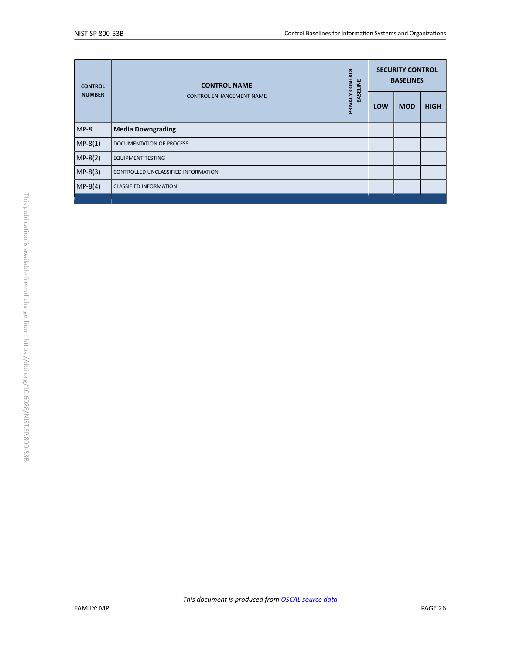| <b>CONTROL</b> | <b>CONTROL NAME</b>                 | <b>CONTROL</b><br>ELINE | <b>SECURITY CONTROL</b><br><b>BASELINES</b> |            |             |
|----------------|-------------------------------------|-------------------------|---------------------------------------------|------------|-------------|
| <b>NUMBER</b>  | <b>CONTROL ENHANCEMENT NAME</b>     | BASE<br>PRIVACY         | LOW                                         | <b>MOD</b> | <b>HIGH</b> |
| $MP-8$         | <b>Media Downgrading</b>            |                         |                                             |            |             |
| $MP-8(1)$      | <b>DOCUMENTATION OF PROCESS</b>     |                         |                                             |            |             |
| $MP-8(2)$      | <b>EQUIPMENT TESTING</b>            |                         |                                             |            |             |
| $MP-8(3)$      | CONTROLLED UNCLASSIFIED INFORMATION |                         |                                             |            |             |
| $MP-8(4)$      | <b>CLASSIFIED INFORMATION</b>       |                         |                                             |            |             |
|                |                                     |                         |                                             |            |             |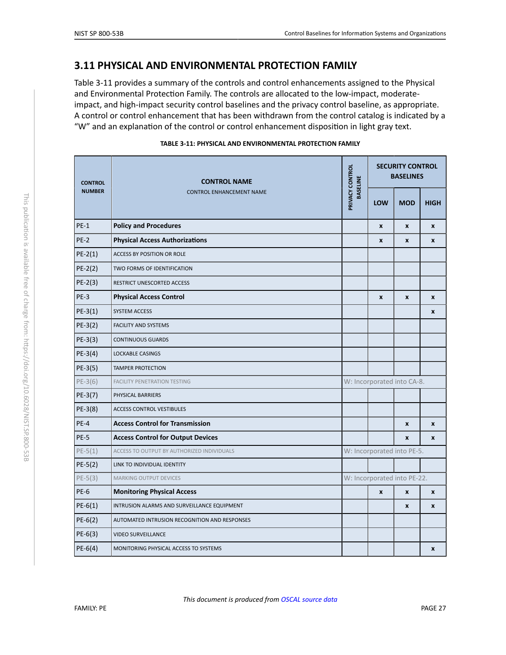## <span id="page-27-1"></span>**3.11 PHYSICAL AND ENVIRONMENTAL PROTECTION FAMILY**

Table 3-11 provides a summary of the controls and control enhancements assigned to the Physical and Environmental Protection Family. The controls are allocated to the low-impact, moderateimpact, and high-impact security control baselines and the privacy control baseline, as appropriate. A control or control enhancement that has been withdrawn from the control catalog is indicated by a "W" and an explanation of the control or control enhancement disposition in light gray text.

<span id="page-27-3"></span><span id="page-27-2"></span><span id="page-27-0"></span>

| <b>CONTROL</b><br><b>NUMBER</b> | <b>CONTROL NAME</b>                           | PRIVACY CONTROL<br><b>BASELINE</b> | <b>SECURITY CONTROL</b><br><b>BASELINES</b> |                  |              |  |
|---------------------------------|-----------------------------------------------|------------------------------------|---------------------------------------------|------------------|--------------|--|
|                                 | <b>CONTROL ENHANCEMENT NAME</b>               |                                    | LOW                                         | <b>MOD</b>       | <b>HIGH</b>  |  |
| $PE-1$                          | <b>Policy and Procedures</b>                  |                                    | $\pmb{\chi}$                                | $\pmb{\chi}$     | $\pmb{\chi}$ |  |
| $PE-2$                          | <b>Physical Access Authorizations</b>         |                                    | X                                           | $\mathbf{x}$     | $\mathbf{x}$ |  |
| $PE-2(1)$                       | ACCESS BY POSITION OR ROLE                    |                                    |                                             |                  |              |  |
| $PE-2(2)$                       | TWO FORMS OF IDENTIFICATION                   |                                    |                                             |                  |              |  |
| $PE-2(3)$                       | RESTRICT UNESCORTED ACCESS                    |                                    |                                             |                  |              |  |
| $PE-3$                          | <b>Physical Access Control</b>                |                                    | $\boldsymbol{x}$                            | $\boldsymbol{x}$ | $\mathbf{x}$ |  |
| $PE-3(1)$                       | <b>SYSTEM ACCESS</b>                          |                                    |                                             |                  | X            |  |
| $PE-3(2)$                       | <b>FACILITY AND SYSTEMS</b>                   |                                    |                                             |                  |              |  |
| $PE-3(3)$                       | <b>CONTINUOUS GUARDS</b>                      |                                    |                                             |                  |              |  |
| $PE-3(4)$                       | <b>LOCKABLE CASINGS</b>                       |                                    |                                             |                  |              |  |
| $PE-3(5)$                       | <b>TAMPER PROTECTION</b>                      |                                    |                                             |                  |              |  |
| $PE-3(6)$                       | <b>FACILITY PENETRATION TESTING</b>           |                                    | W: Incorporated into CA-8.                  |                  |              |  |
| PE-3(7)                         | PHYSICAL BARRIERS                             |                                    |                                             |                  |              |  |
| PE-3(8)                         | <b>ACCESS CONTROL VESTIBULES</b>              |                                    |                                             |                  |              |  |
| $PE-4$                          | <b>Access Control for Transmission</b>        |                                    |                                             | $\pmb{\chi}$     | $\pmb{\chi}$ |  |
| <b>PE-5</b>                     | <b>Access Control for Output Devices</b>      |                                    |                                             | X                | $\mathbf{x}$ |  |
| $PE-5(1)$                       | ACCESS TO OUTPUT BY AUTHORIZED INDIVIDUALS    |                                    | W: Incorporated into PE-5.                  |                  |              |  |
| $PE-5(2)$                       | LINK TO INDIVIDUAL IDENTITY                   |                                    |                                             |                  |              |  |
| $PE-5(3)$                       | MARKING OUTPUT DEVICES                        |                                    | W: Incorporated into PE-22.                 |                  |              |  |
| PE-6                            | <b>Monitoring Physical Access</b>             |                                    | $\pmb{\chi}$                                | $\pmb{\chi}$     | X            |  |
| $PE-6(1)$                       | INTRUSION ALARMS AND SURVEILLANCE EQUIPMENT   |                                    |                                             | $\mathbf{x}$     | $\mathbf{x}$ |  |
| $PE-6(2)$                       | AUTOMATED INTRUSION RECOGNITION AND RESPONSES |                                    |                                             |                  |              |  |
| $PE-6(3)$                       | <b>VIDEO SURVEILLANCE</b>                     |                                    |                                             |                  |              |  |
| $PE-6(4)$                       | MONITORING PHYSICAL ACCESS TO SYSTEMS         |                                    |                                             |                  | $\pmb{\chi}$ |  |

| TABLE 3-11: PHYSICAL AND ENVIRONMENTAL PROTECTION FAMILY |  |
|----------------------------------------------------------|--|
|                                                          |  |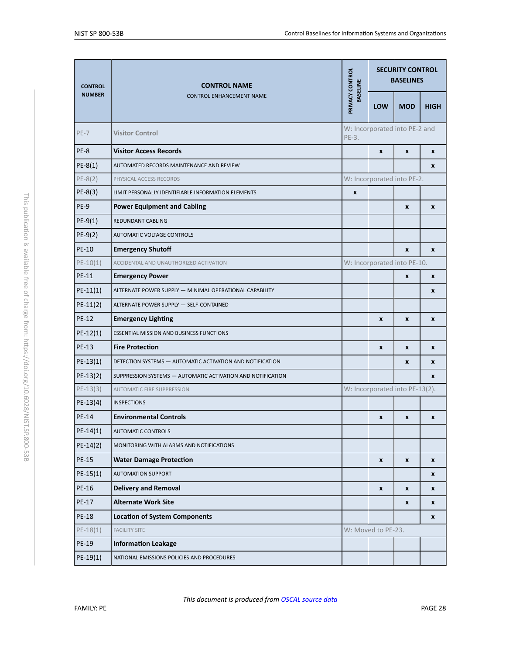<span id="page-28-1"></span><span id="page-28-0"></span>

| <b>CONTROL</b> | <b>CONTROL NAME</b>                                         |                                        | <b>SECURITY CONTROL</b><br><b>BASELINES</b> |                  |             |
|----------------|-------------------------------------------------------------|----------------------------------------|---------------------------------------------|------------------|-------------|
| <b>NUMBER</b>  | <b>CONTROL ENHANCEMENT NAME</b>                             | PRIVACY CONTROL<br><b>BASELINE</b>     | <b>LOW</b>                                  | <b>MOD</b>       | <b>HIGH</b> |
| $PE-7$         | <b>Visitor Control</b>                                      | W: Incorporated into PE-2 and<br>PE-3. |                                             |                  |             |
| PE-8           | <b>Visitor Access Records</b>                               | $\mathbf{x}$<br>$\boldsymbol{x}$       |                                             |                  | X           |
| $PE-8(1)$      | AUTOMATED RECORDS MAINTENANCE AND REVIEW                    |                                        |                                             |                  | X           |
| $PE-8(2)$      | PHYSICAL ACCESS RECORDS                                     |                                        | W: Incorporated into PE-2.                  |                  |             |
| $PE-8(3)$      | LIMIT PERSONALLY IDENTIFIABLE INFORMATION ELEMENTS          | X                                      |                                             |                  |             |
| PE-9           | <b>Power Equipment and Cabling</b>                          |                                        | $\pmb{\chi}$<br>X                           |                  |             |
| $PE-9(1)$      | REDUNDANT CABLING                                           |                                        |                                             |                  |             |
| $PE-9(2)$      | AUTOMATIC VOLTAGE CONTROLS                                  |                                        |                                             |                  |             |
| <b>PE-10</b>   | <b>Emergency Shutoff</b>                                    |                                        |                                             | $\mathbf{x}$     | X           |
| $PE-10(1)$     | ACCIDENTAL AND UNAUTHORIZED ACTIVATION                      | W: Incorporated into PE-10.            |                                             |                  |             |
| PE-11          | <b>Emergency Power</b>                                      |                                        | $\pmb{\chi}$                                |                  | X           |
| $PE-11(1)$     | ALTERNATE POWER SUPPLY - MINIMAL OPERATIONAL CAPABILITY     |                                        |                                             |                  | X           |
| $PE-11(2)$     | ALTERNATE POWER SUPPLY - SELF-CONTAINED                     |                                        |                                             |                  |             |
| <b>PE-12</b>   | <b>Emergency Lighting</b>                                   |                                        | X                                           | $\boldsymbol{x}$ | X           |
| $PE-12(1)$     | <b>ESSENTIAL MISSION AND BUSINESS FUNCTIONS</b>             |                                        |                                             |                  |             |
| <b>PE-13</b>   | <b>Fire Protection</b>                                      |                                        | X                                           | X                | X           |
| $PE-13(1)$     | DETECTION SYSTEMS - AUTOMATIC ACTIVATION AND NOTIFICATION   | $\boldsymbol{x}$<br>X                  |                                             |                  |             |
| $PE-13(2)$     | SUPPRESSION SYSTEMS - AUTOMATIC ACTIVATION AND NOTIFICATION |                                        |                                             | X                |             |
| $PE-13(3)$     | <b>AUTOMATIC FIRE SUPPRESSION</b>                           | W: Incorporated into PE-13(2).         |                                             |                  |             |
| $PE-13(4)$     | <b>INSPECTIONS</b>                                          |                                        |                                             |                  |             |
| <b>PE-14</b>   | <b>Environmental Controls</b>                               |                                        | X                                           | X                | X           |
| PE-14(1)       | <b>AUTOMATIC CONTROLS</b>                                   |                                        |                                             |                  |             |
| $PE-14(2)$     | MONITORING WITH ALARMS AND NOTIFICATIONS                    |                                        |                                             |                  |             |
| <b>PE-15</b>   | <b>Water Damage Protection</b>                              |                                        | X                                           | $\boldsymbol{x}$ | X           |
| $PE-15(1)$     | <b>AUTOMATION SUPPORT</b>                                   |                                        |                                             |                  | X           |
| PE-16          | <b>Delivery and Removal</b>                                 |                                        | $\pmb{\chi}$                                | $\boldsymbol{x}$ | X           |
| PE-17          | <b>Alternate Work Site</b>                                  |                                        |                                             | $\boldsymbol{x}$ | X           |
| <b>PE-18</b>   | <b>Location of System Components</b>                        |                                        |                                             |                  | X           |
| $PE-18(1)$     | <b>FACILITY SITE</b>                                        |                                        | W: Moved to PE-23.                          |                  |             |
| PE-19          | <b>Information Leakage</b>                                  |                                        |                                             |                  |             |
| $PE-19(1)$     | NATIONAL EMISSIONS POLICIES AND PROCEDURES                  |                                        |                                             |                  |             |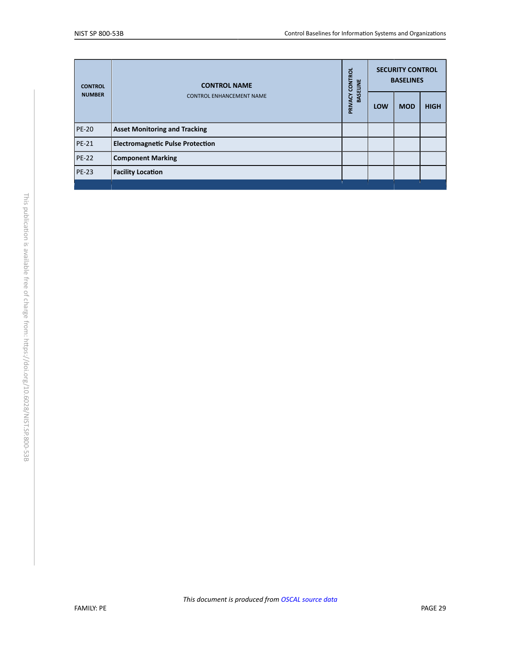<span id="page-29-1"></span><span id="page-29-0"></span>

| <b>CONTROL</b> | <b>CONTROL NAME</b><br><b>CONTROL ENHANCEMENT NAME</b> |  | <b>SECURITY CONTROL</b><br><b>BASELINES</b> |            |             |
|----------------|--------------------------------------------------------|--|---------------------------------------------|------------|-------------|
| <b>NUMBER</b>  |                                                        |  | <b>LOW</b>                                  | <b>MOD</b> | <b>HIGH</b> |
| <b>PE-20</b>   | <b>Asset Monitoring and Tracking</b>                   |  |                                             |            |             |
| <b>PE-21</b>   | <b>Electromagnetic Pulse Protection</b>                |  |                                             |            |             |
| $PE-22$        | <b>Component Marking</b>                               |  |                                             |            |             |
| $PE-23$        | <b>Facility Location</b>                               |  |                                             |            |             |
|                |                                                        |  |                                             |            |             |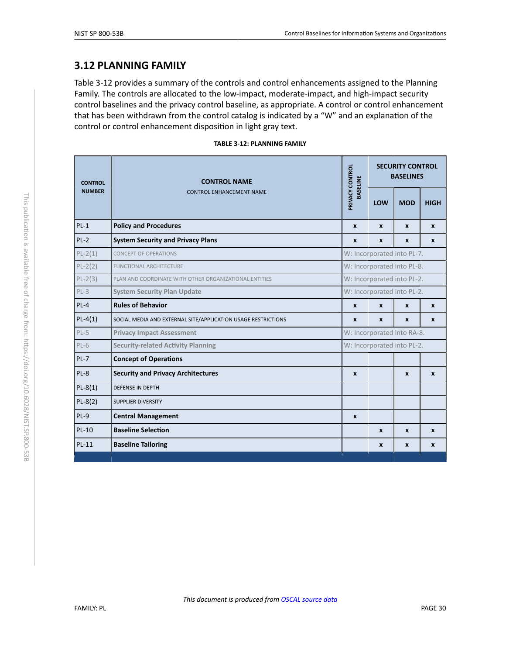#### <span id="page-30-4"></span>**3.12 PLANNING FAMILY**

Table 3-12 provides a summary of the controls and control enhancements assigned to the Planning Family. The controls are allocated to the low-impact, moderate-impact, and high-impact security control baselines and the privacy control baseline, as appropriate. A control or control enhancement that has been withdrawn from the control catalog is indicated by a "W" and an explanation of the control or control enhancement disposition in light gray text.

<span id="page-30-3"></span><span id="page-30-2"></span><span id="page-30-1"></span><span id="page-30-0"></span>

| <b>CONTROL</b> | <b>CONTROL NAME</b>                                           |                                    | <b>SECURITY CONTROL</b><br><b>BASELINES</b> |            |              |  |
|----------------|---------------------------------------------------------------|------------------------------------|---------------------------------------------|------------|--------------|--|
| <b>NUMBER</b>  | <b>CONTROL ENHANCEMENT NAME</b>                               | PRIVACY CONTROL<br><b>BASELINE</b> | LOW                                         | <b>MOD</b> | <b>HIGH</b>  |  |
| $PL-1$         | <b>Policy and Procedures</b>                                  | X                                  | X                                           | X          | $\mathbf{x}$ |  |
| $PL-2$         | <b>System Security and Privacy Plans</b>                      | X                                  | X                                           | X          | X            |  |
| $PL-2(1)$      | <b>CONCEPT OF OPERATIONS</b>                                  |                                    | W: Incorporated into PL-7.                  |            |              |  |
| $PL-2(2)$      | FUNCTIONAL ARCHITECTURE                                       |                                    | W: Incorporated into PL-8.                  |            |              |  |
| $PL-2(3)$      | PLAN AND COORDINATE WITH OTHER ORGANIZATIONAL ENTITIES        |                                    | W: Incorporated into PL-2.                  |            |              |  |
| $PL-3$         | <b>System Security Plan Update</b>                            |                                    | W: Incorporated into PL-2.                  |            |              |  |
| $PL-4$         | <b>Rules of Behavior</b>                                      | X                                  | X<br>X<br>X                                 |            |              |  |
| $PL-4(1)$      | SOCIAL MEDIA AND EXTERNAL SITE/APPLICATION USAGE RESTRICTIONS | X                                  | $\mathbf{x}$                                | X          | X            |  |
| $PL-5$         | <b>Privacy Impact Assessment</b>                              |                                    | W: Incorporated into RA-8.                  |            |              |  |
| $PL-6$         | <b>Security-related Activity Planning</b>                     |                                    | W: Incorporated into PL-2.                  |            |              |  |
| $PL-7$         | <b>Concept of Operations</b>                                  |                                    |                                             |            |              |  |
| $PL-8$         | <b>Security and Privacy Architectures</b>                     | X                                  |                                             | X          | $\mathbf{x}$ |  |
| $PL-8(1)$      | <b>DEFENSE IN DEPTH</b>                                       |                                    |                                             |            |              |  |
| $PL-8(2)$      | SUPPLIER DIVERSITY                                            |                                    |                                             |            |              |  |
| $PL-9$         | <b>Central Management</b>                                     | X                                  |                                             |            |              |  |
| <b>PL-10</b>   | <b>Baseline Selection</b>                                     |                                    | X                                           | X          | X            |  |
| $PL-11$        | <b>Baseline Tailoring</b>                                     |                                    | X                                           | X          | X            |  |

#### **TABLE 3-12: PLANNING FAMILY**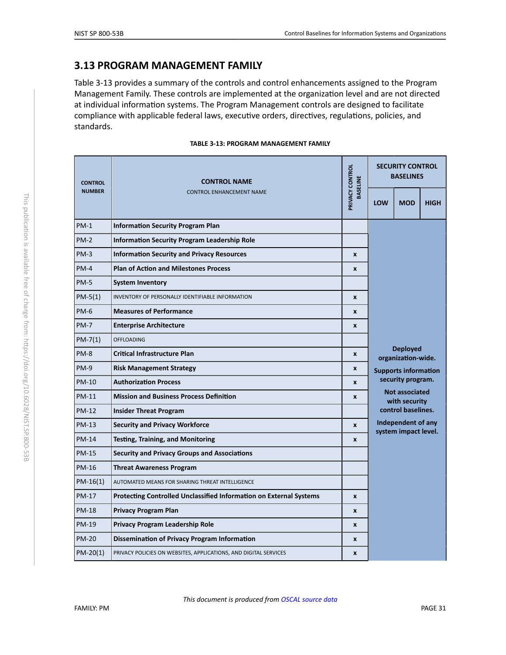#### <span id="page-31-1"></span>**3.13 PROGRAM MANAGEMENT FAMILY**

Table 3-13 provides a summary of the controls and control enhancements assigned to the Program Management Family. These controls are implemented at the organization level and are not directed at individual information systems. The Program Management controls are designed to facilitate compliance with applicable federal laws, executive orders, directives, regulations, policies, and standards.

|  |  |  | TABLE 3-13: PROGRAM MANAGEMENT FAMILY |  |
|--|--|--|---------------------------------------|--|
|--|--|--|---------------------------------------|--|

<span id="page-31-0"></span>

| <b>CONTROL</b> | <b>CONTROL NAME</b><br><b>NUMBER</b><br><b>CONTROL ENHANCEMENT NAME</b> | PRIVACY CONTROL<br><b>BASELINE</b> | <b>SECURITY CONTROL</b><br><b>BASELINES</b>                                                                                                                    |            |             |  |
|----------------|-------------------------------------------------------------------------|------------------------------------|----------------------------------------------------------------------------------------------------------------------------------------------------------------|------------|-------------|--|
|                |                                                                         |                                    | <b>LOW</b>                                                                                                                                                     | <b>MOD</b> | <b>HIGH</b> |  |
| $PM-1$         | <b>Information Security Program Plan</b>                                |                                    |                                                                                                                                                                |            |             |  |
| $PM-2$         | <b>Information Security Program Leadership Role</b>                     |                                    |                                                                                                                                                                |            |             |  |
| $PM-3$         | <b>Information Security and Privacy Resources</b>                       | $\boldsymbol{x}$                   |                                                                                                                                                                |            |             |  |
| $PM-4$         | <b>Plan of Action and Milestones Process</b>                            | $\boldsymbol{x}$                   |                                                                                                                                                                |            |             |  |
| <b>PM-5</b>    | <b>System Inventory</b>                                                 |                                    |                                                                                                                                                                |            |             |  |
| $PM-5(1)$      | INVENTORY OF PERSONALLY IDENTIFIABLE INFORMATION                        | $\boldsymbol{x}$                   |                                                                                                                                                                |            |             |  |
| $PM-6$         | <b>Measures of Performance</b>                                          | X                                  |                                                                                                                                                                |            |             |  |
| $PM-7$         | <b>Enterprise Architecture</b>                                          | X                                  |                                                                                                                                                                |            |             |  |
| $PM-7(1)$      | <b>OFFLOADING</b>                                                       |                                    | <b>Deployed</b><br>organization-wide.                                                                                                                          |            |             |  |
| $PM-8$         | <b>Critical Infrastructure Plan</b>                                     | X                                  |                                                                                                                                                                |            |             |  |
| $PM-9$         | <b>Risk Management Strategy</b>                                         | X                                  | <b>Supports information</b><br>security program.<br><b>Not associated</b><br>with security<br>control baselines.<br>Independent of any<br>system impact level. |            |             |  |
| <b>PM-10</b>   | <b>Authorization Process</b>                                            | X                                  |                                                                                                                                                                |            |             |  |
| <b>PM-11</b>   | <b>Mission and Business Process Definition</b>                          | $\boldsymbol{x}$                   |                                                                                                                                                                |            |             |  |
| <b>PM-12</b>   | <b>Insider Threat Program</b>                                           |                                    |                                                                                                                                                                |            |             |  |
| <b>PM-13</b>   | <b>Security and Privacy Workforce</b>                                   | $\boldsymbol{x}$                   |                                                                                                                                                                |            |             |  |
| <b>PM-14</b>   | <b>Testing, Training, and Monitoring</b>                                | X                                  |                                                                                                                                                                |            |             |  |
| <b>PM-15</b>   | <b>Security and Privacy Groups and Associations</b>                     |                                    |                                                                                                                                                                |            |             |  |
| <b>PM-16</b>   | <b>Threat Awareness Program</b>                                         |                                    |                                                                                                                                                                |            |             |  |
| $PM-16(1)$     | AUTOMATED MEANS FOR SHARING THREAT INTELLIGENCE                         |                                    |                                                                                                                                                                |            |             |  |
| <b>PM-17</b>   | Protecting Controlled Unclassified Information on External Systems      | X                                  |                                                                                                                                                                |            |             |  |
| <b>PM-18</b>   | <b>Privacy Program Plan</b>                                             | $\boldsymbol{x}$                   |                                                                                                                                                                |            |             |  |
| <b>PM-19</b>   | <b>Privacy Program Leadership Role</b>                                  | $\boldsymbol{x}$                   |                                                                                                                                                                |            |             |  |
| <b>PM-20</b>   | Dissemination of Privacy Program Information                            | X                                  |                                                                                                                                                                |            |             |  |
| $PM-20(1)$     | PRIVACY POLICIES ON WEBSITES, APPLICATIONS, AND DIGITAL SERVICES        | X                                  |                                                                                                                                                                |            |             |  |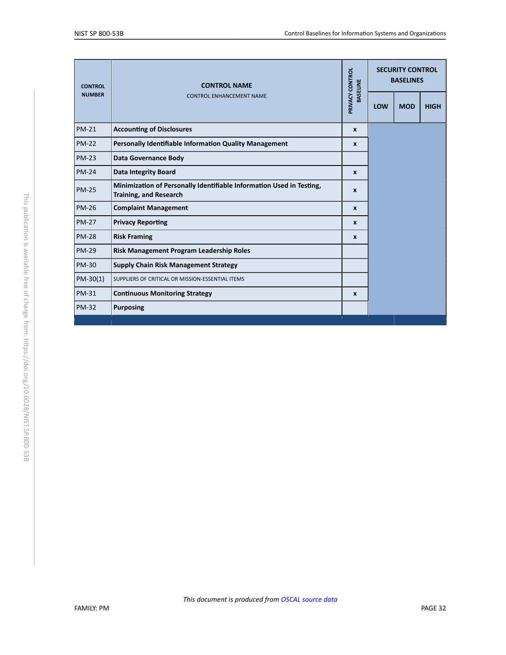| <b>CONTROL</b> | <b>CONTROL NAME</b>                                                                                   | PRIVACY CONTROL<br><b>BASELINE</b> | <b>SECURITY CONTROL</b><br><b>BASELINES</b> |            |             |
|----------------|-------------------------------------------------------------------------------------------------------|------------------------------------|---------------------------------------------|------------|-------------|
| <b>NUMBER</b>  | <b>CONTROL ENHANCEMENT NAME</b>                                                                       |                                    | LOW                                         | <b>MOD</b> | <b>HIGH</b> |
| <b>PM-21</b>   | <b>Accounting of Disclosures</b>                                                                      | $\boldsymbol{x}$                   |                                             |            |             |
| <b>PM-22</b>   | Personally Identifiable Information Quality Management                                                | $\boldsymbol{x}$                   |                                             |            |             |
| <b>PM-23</b>   | <b>Data Governance Body</b>                                                                           |                                    |                                             |            |             |
| <b>PM-24</b>   | <b>Data Integrity Board</b>                                                                           | $\mathbf{x}$                       |                                             |            |             |
| <b>PM-25</b>   | Minimization of Personally Identifiable Information Used in Testing,<br><b>Training, and Research</b> | $\mathbf{x}$                       |                                             |            |             |
| <b>PM-26</b>   | <b>Complaint Management</b>                                                                           | $\mathbf{x}$                       |                                             |            |             |
| <b>PM-27</b>   | <b>Privacy Reporting</b>                                                                              | $\mathbf{x}$                       |                                             |            |             |
| <b>PM-28</b>   | <b>Risk Framing</b>                                                                                   | $\mathbf{x}$                       |                                             |            |             |
| <b>PM-29</b>   | Risk Management Program Leadership Roles                                                              |                                    |                                             |            |             |
| <b>PM-30</b>   | <b>Supply Chain Risk Management Strategy</b>                                                          |                                    |                                             |            |             |
| $PM-30(1)$     | SUPPLIERS OF CRITICAL OR MISSION-ESSENTIAL ITEMS                                                      |                                    |                                             |            |             |
| <b>PM-31</b>   | <b>Continuous Monitoring Strategy</b>                                                                 | $\mathbf{x}$                       |                                             |            |             |
| <b>PM-32</b>   | <b>Purposing</b>                                                                                      |                                    |                                             |            |             |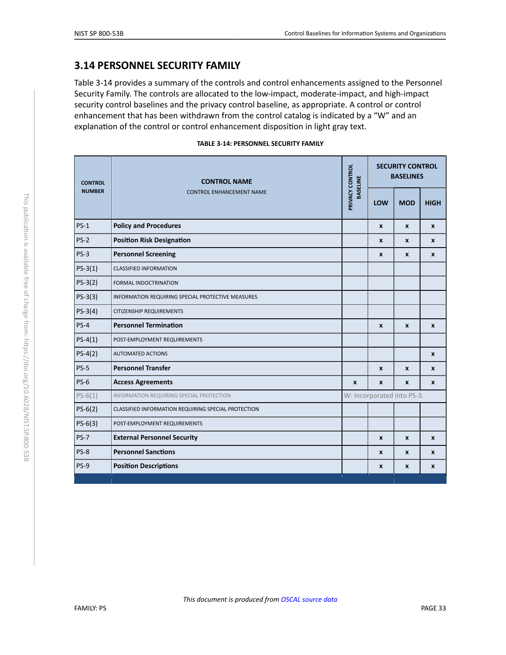#### <span id="page-33-1"></span>**3.14 PERSONNEL SECURITY FAMILY**

Table 3-14 provides a summary of the controls and control enhancements assigned to the Personnel Security Family. The controls are allocated to the low-impact, moderate-impact, and high-impact security control baselines and the privacy control baseline, as appropriate. A control or control enhancement that has been withdrawn from the control catalog is indicated by a "W" and an explanation of the control or control enhancement disposition in light gray text.

|  |  |  | <b>TABLE 3-14: PERSONNEL SECURITY FAMILY</b> |  |  |
|--|--|--|----------------------------------------------|--|--|
|--|--|--|----------------------------------------------|--|--|

<span id="page-33-0"></span>

| <b>CONTROL</b>                                   | <b>CONTROL NAME</b>                                 | PRIVACY CONTROL<br><b>BASELINE</b> | <b>SECURITY CONTROL</b><br><b>BASELINES</b> |                  |             |
|--------------------------------------------------|-----------------------------------------------------|------------------------------------|---------------------------------------------|------------------|-------------|
| <b>NUMBER</b><br><b>CONTROL ENHANCEMENT NAME</b> |                                                     |                                    | LOW                                         | <b>MOD</b>       | <b>HIGH</b> |
| $PS-1$                                           | <b>Policy and Procedures</b>                        |                                    | X                                           | $\boldsymbol{x}$ | X           |
| $PS-2$                                           | <b>Position Risk Designation</b>                    |                                    | X                                           | $\boldsymbol{x}$ | X           |
| $PS-3$                                           | <b>Personnel Screening</b>                          |                                    | X<br>$\mathbf{x}$<br>X                      |                  |             |
| $PS-3(1)$                                        | <b>CLASSIFIED INFORMATION</b>                       |                                    |                                             |                  |             |
| $PS-3(2)$                                        | <b>FORMAL INDOCTRINATION</b>                        |                                    |                                             |                  |             |
| $PS-3(3)$                                        | INFORMATION REQUIRING SPECIAL PROTECTIVE MEASURES   |                                    |                                             |                  |             |
| $PS-3(4)$                                        | <b>CITIZENSHIP REQUIREMENTS</b>                     |                                    |                                             |                  |             |
| $PS-4$                                           | <b>Personnel Termination</b>                        |                                    | $\mathbf{x}$<br>$\boldsymbol{x}$            |                  |             |
| $PS-4(1)$                                        | POST-EMPLOYMENT REQUIREMENTS                        |                                    |                                             |                  |             |
| $PS-4(2)$                                        | <b>AUTOMATED ACTIONS</b>                            |                                    |                                             |                  | X           |
| $PS-5$                                           | <b>Personnel Transfer</b>                           |                                    |                                             |                  |             |
| $PS-6$                                           | <b>Access Agreements</b>                            | X                                  | X                                           | X                | X           |
| $PS-6(1)$                                        | INFORMATION REQUIRING SPECIAL PROTECTION            |                                    | W: Incorporated into PS-3.                  |                  |             |
| $PS-6(2)$                                        | CLASSIFIED INFORMATION REQUIRING SPECIAL PROTECTION |                                    |                                             |                  |             |
| $PS-6(3)$                                        | POST-EMPLOYMENT REQUIREMENTS                        |                                    |                                             |                  |             |
| $PS-7$                                           | <b>External Personnel Security</b>                  |                                    | $\boldsymbol{x}$                            | $\boldsymbol{x}$ | X           |
| $PS-8$                                           | <b>Personnel Sanctions</b>                          |                                    | X                                           | $\boldsymbol{x}$ | X           |
| $PS-9$                                           | <b>Position Descriptions</b>                        |                                    | $\boldsymbol{x}$<br>X<br>X                  |                  |             |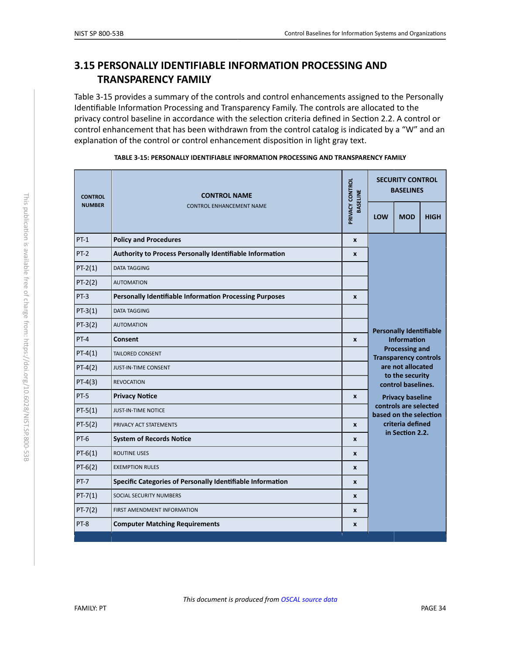# <span id="page-34-0"></span>**3.15 PERSONALLY IDENTIFIABLE INFORMATION PROCESSING AND TRANSPARENCY FAMILY**

Table 3-15 provides a summary of the controls and control enhancements assigned to the Personally Identifiable Information Processing and Transparency Family. The controls are allocated to the privacy control baseline in accordance with the selection criteria defined in Section 2.2. A control or control enhancement that has been withdrawn from the control catalog is indicated by a "W" and an explanation of the control or control enhancement disposition in light gray text.

| <b>CONTROL ENHANCEMENT NAME</b><br>LOW<br><b>MOD</b><br><b>HIGH</b><br>$PT-1$<br><b>Policy and Procedures</b><br>$\boldsymbol{x}$<br>$PT-2$<br>Authority to Process Personally Identifiable Information<br>X<br>$PT-2(1)$<br><b>DATA TAGGING</b><br>$PT-2(2)$<br><b>AUTOMATION</b><br>$PT-3$<br><b>Personally Identifiable Information Processing Purposes</b><br>$\boldsymbol{x}$<br>$PT-3(1)$<br>DATA TAGGING<br>$PT-3(2)$<br><b>AUTOMATION</b><br><b>Personally Identifiable</b><br>$PT-4$<br>Consent<br><b>Information</b><br>$\pmb{\chi}$<br><b>Processing and</b><br>$PT-4(1)$<br><b>TAILORED CONSENT</b><br><b>Transparency controls</b><br>are not allocated<br>$PT-4(2)$<br><b>JUST-IN-TIME CONSENT</b><br>to the security<br>$PT-4(3)$<br><b>REVOCATION</b><br>control baselines.<br>PT-5<br><b>Privacy Notice</b><br>$\mathbf{x}$<br><b>Privacy baseline</b><br>controls are selected<br>$PT-5(1)$<br><b>JUST-IN-TIME NOTICE</b><br>based on the selection<br>criteria defined<br>$PT-5(2)$<br>PRIVACY ACT STATEMENTS<br>$\mathbf{x}$<br>in Section 2.2.<br>PT-6<br><b>System of Records Notice</b><br>$\pmb{\chi}$<br>$PT-6(1)$<br><b>ROUTINE USES</b><br>$\boldsymbol{x}$<br>$PT-6(2)$<br><b>EXEMPTION RULES</b><br>$\pmb{\chi}$<br>Specific Categories of Personally Identifiable Information<br>$PT-7$<br>$\boldsymbol{x}$<br>$PT-7(1)$<br>SOCIAL SECURITY NUMBERS<br>X<br>$PT-7(2)$<br>FIRST AMENDMENT INFORMATION<br>$\boldsymbol{x}$<br>PT-8<br><b>Computer Matching Requirements</b><br>X | <b>CONTROL</b> | <b>CONTROL NAME</b> |                                    |  | <b>SECURITY CONTROL</b><br><b>BASELINES</b> |  |  |  |
|--------------------------------------------------------------------------------------------------------------------------------------------------------------------------------------------------------------------------------------------------------------------------------------------------------------------------------------------------------------------------------------------------------------------------------------------------------------------------------------------------------------------------------------------------------------------------------------------------------------------------------------------------------------------------------------------------------------------------------------------------------------------------------------------------------------------------------------------------------------------------------------------------------------------------------------------------------------------------------------------------------------------------------------------------------------------------------------------------------------------------------------------------------------------------------------------------------------------------------------------------------------------------------------------------------------------------------------------------------------------------------------------------------------------------------------------------------------------------------------------------------------|----------------|---------------------|------------------------------------|--|---------------------------------------------|--|--|--|
|                                                                                                                                                                                                                                                                                                                                                                                                                                                                                                                                                                                                                                                                                                                                                                                                                                                                                                                                                                                                                                                                                                                                                                                                                                                                                                                                                                                                                                                                                                              | <b>NUMBER</b>  |                     | PRIVACY CONTROL<br><b>BASELINE</b> |  |                                             |  |  |  |
|                                                                                                                                                                                                                                                                                                                                                                                                                                                                                                                                                                                                                                                                                                                                                                                                                                                                                                                                                                                                                                                                                                                                                                                                                                                                                                                                                                                                                                                                                                              |                |                     |                                    |  |                                             |  |  |  |
|                                                                                                                                                                                                                                                                                                                                                                                                                                                                                                                                                                                                                                                                                                                                                                                                                                                                                                                                                                                                                                                                                                                                                                                                                                                                                                                                                                                                                                                                                                              |                |                     |                                    |  |                                             |  |  |  |
|                                                                                                                                                                                                                                                                                                                                                                                                                                                                                                                                                                                                                                                                                                                                                                                                                                                                                                                                                                                                                                                                                                                                                                                                                                                                                                                                                                                                                                                                                                              |                |                     |                                    |  |                                             |  |  |  |
|                                                                                                                                                                                                                                                                                                                                                                                                                                                                                                                                                                                                                                                                                                                                                                                                                                                                                                                                                                                                                                                                                                                                                                                                                                                                                                                                                                                                                                                                                                              |                |                     |                                    |  |                                             |  |  |  |
|                                                                                                                                                                                                                                                                                                                                                                                                                                                                                                                                                                                                                                                                                                                                                                                                                                                                                                                                                                                                                                                                                                                                                                                                                                                                                                                                                                                                                                                                                                              |                |                     |                                    |  |                                             |  |  |  |
|                                                                                                                                                                                                                                                                                                                                                                                                                                                                                                                                                                                                                                                                                                                                                                                                                                                                                                                                                                                                                                                                                                                                                                                                                                                                                                                                                                                                                                                                                                              |                |                     |                                    |  |                                             |  |  |  |
|                                                                                                                                                                                                                                                                                                                                                                                                                                                                                                                                                                                                                                                                                                                                                                                                                                                                                                                                                                                                                                                                                                                                                                                                                                                                                                                                                                                                                                                                                                              |                |                     |                                    |  |                                             |  |  |  |
|                                                                                                                                                                                                                                                                                                                                                                                                                                                                                                                                                                                                                                                                                                                                                                                                                                                                                                                                                                                                                                                                                                                                                                                                                                                                                                                                                                                                                                                                                                              |                |                     |                                    |  |                                             |  |  |  |
|                                                                                                                                                                                                                                                                                                                                                                                                                                                                                                                                                                                                                                                                                                                                                                                                                                                                                                                                                                                                                                                                                                                                                                                                                                                                                                                                                                                                                                                                                                              |                |                     |                                    |  |                                             |  |  |  |
|                                                                                                                                                                                                                                                                                                                                                                                                                                                                                                                                                                                                                                                                                                                                                                                                                                                                                                                                                                                                                                                                                                                                                                                                                                                                                                                                                                                                                                                                                                              |                |                     |                                    |  |                                             |  |  |  |
|                                                                                                                                                                                                                                                                                                                                                                                                                                                                                                                                                                                                                                                                                                                                                                                                                                                                                                                                                                                                                                                                                                                                                                                                                                                                                                                                                                                                                                                                                                              |                |                     |                                    |  |                                             |  |  |  |
|                                                                                                                                                                                                                                                                                                                                                                                                                                                                                                                                                                                                                                                                                                                                                                                                                                                                                                                                                                                                                                                                                                                                                                                                                                                                                                                                                                                                                                                                                                              |                |                     |                                    |  |                                             |  |  |  |
|                                                                                                                                                                                                                                                                                                                                                                                                                                                                                                                                                                                                                                                                                                                                                                                                                                                                                                                                                                                                                                                                                                                                                                                                                                                                                                                                                                                                                                                                                                              |                |                     |                                    |  |                                             |  |  |  |
|                                                                                                                                                                                                                                                                                                                                                                                                                                                                                                                                                                                                                                                                                                                                                                                                                                                                                                                                                                                                                                                                                                                                                                                                                                                                                                                                                                                                                                                                                                              |                |                     |                                    |  |                                             |  |  |  |
|                                                                                                                                                                                                                                                                                                                                                                                                                                                                                                                                                                                                                                                                                                                                                                                                                                                                                                                                                                                                                                                                                                                                                                                                                                                                                                                                                                                                                                                                                                              |                |                     |                                    |  |                                             |  |  |  |
|                                                                                                                                                                                                                                                                                                                                                                                                                                                                                                                                                                                                                                                                                                                                                                                                                                                                                                                                                                                                                                                                                                                                                                                                                                                                                                                                                                                                                                                                                                              |                |                     |                                    |  |                                             |  |  |  |
|                                                                                                                                                                                                                                                                                                                                                                                                                                                                                                                                                                                                                                                                                                                                                                                                                                                                                                                                                                                                                                                                                                                                                                                                                                                                                                                                                                                                                                                                                                              |                |                     |                                    |  |                                             |  |  |  |
|                                                                                                                                                                                                                                                                                                                                                                                                                                                                                                                                                                                                                                                                                                                                                                                                                                                                                                                                                                                                                                                                                                                                                                                                                                                                                                                                                                                                                                                                                                              |                |                     |                                    |  |                                             |  |  |  |
|                                                                                                                                                                                                                                                                                                                                                                                                                                                                                                                                                                                                                                                                                                                                                                                                                                                                                                                                                                                                                                                                                                                                                                                                                                                                                                                                                                                                                                                                                                              |                |                     |                                    |  |                                             |  |  |  |
|                                                                                                                                                                                                                                                                                                                                                                                                                                                                                                                                                                                                                                                                                                                                                                                                                                                                                                                                                                                                                                                                                                                                                                                                                                                                                                                                                                                                                                                                                                              |                |                     |                                    |  |                                             |  |  |  |
|                                                                                                                                                                                                                                                                                                                                                                                                                                                                                                                                                                                                                                                                                                                                                                                                                                                                                                                                                                                                                                                                                                                                                                                                                                                                                                                                                                                                                                                                                                              |                |                     |                                    |  |                                             |  |  |  |

| TABLE 3-15: PERSONALLY IDENTIFIABLE INFORMATION PROCESSING AND TRANSPARENCY FAMILY |  |
|------------------------------------------------------------------------------------|--|
|                                                                                    |  |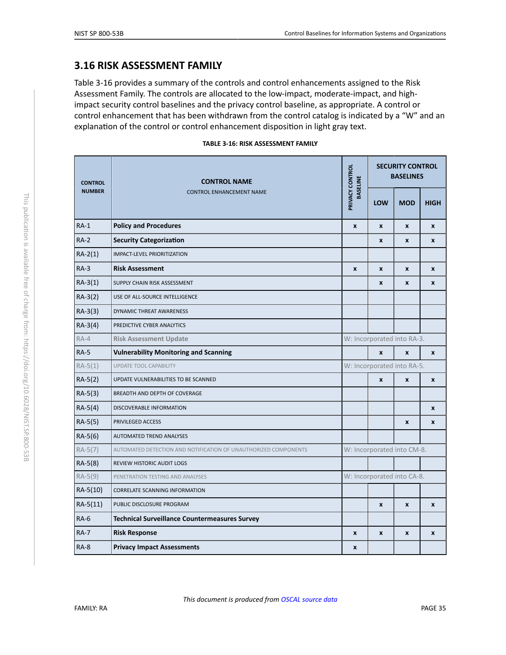#### <span id="page-35-3"></span>**3.16 RISK ASSESSMENT FAMILY**

Table 3-16 provides a summary of the controls and control enhancements assigned to the Risk Assessment Family. The controls are allocated to the low-impact, moderate-impact, and highimpact security control baselines and the privacy control baseline, as appropriate. A control or control enhancement that has been withdrawn from the control catalog is indicated by a "W" and an explanation of the control or control enhancement disposition in light gray text.

|  |  |  |  | TABLE 3-16: RISK ASSESSMENT FAMILY |  |  |
|--|--|--|--|------------------------------------|--|--|
|--|--|--|--|------------------------------------|--|--|

<span id="page-35-4"></span><span id="page-35-2"></span><span id="page-35-1"></span><span id="page-35-0"></span>

| <b>CONTROL</b><br><b>NUMBER</b> | <b>CONTROL NAME</b><br><b>CONTROL ENHANCEMENT NAME</b>          | PRIVACY CONTROL<br><b>BASELINE</b> | <b>SECURITY CONTROL</b><br><b>BASELINES</b> |                            |              |  |  |
|---------------------------------|-----------------------------------------------------------------|------------------------------------|---------------------------------------------|----------------------------|--------------|--|--|
|                                 |                                                                 |                                    | <b>LOW</b>                                  | <b>MOD</b>                 | <b>HIGH</b>  |  |  |
| $RA-1$                          | <b>Policy and Procedures</b>                                    | $\boldsymbol{x}$                   | $\mathbf{x}$                                | $\boldsymbol{x}$           | $\mathbf{x}$ |  |  |
| $RA-2$                          | <b>Security Categorization</b>                                  |                                    | $\mathbf{x}$                                | X                          | X            |  |  |
| $RA-2(1)$                       | <b>IMPACT-LEVEL PRIORITIZATION</b>                              |                                    |                                             |                            |              |  |  |
| $RA-3$                          | <b>Risk Assessment</b>                                          | $\boldsymbol{x}$                   | $\boldsymbol{x}$                            | $\mathbf{x}$               | $\mathbf{x}$ |  |  |
| $RA-3(1)$                       | SUPPLY CHAIN RISK ASSESSMENT                                    |                                    | X                                           | X                          | X            |  |  |
| $RA-3(2)$                       | USE OF ALL-SOURCE INTELLIGENCE                                  |                                    |                                             |                            |              |  |  |
| $RA-3(3)$                       | DYNAMIC THREAT AWARENESS                                        |                                    |                                             |                            |              |  |  |
| $RA-3(4)$                       | PREDICTIVE CYBER ANALYTICS                                      |                                    |                                             |                            |              |  |  |
| $RA-4$                          | <b>Risk Assessment Update</b>                                   |                                    |                                             | W: Incorporated into RA-3. |              |  |  |
| <b>RA-5</b>                     | <b>Vulnerability Monitoring and Scanning</b>                    |                                    | $\mathbf{x}$                                | $\boldsymbol{x}$           | $\mathbf{x}$ |  |  |
| $RA-5(1)$                       | <b>UPDATE TOOL CAPABILITY</b>                                   |                                    |                                             | W: Incorporated into RA-5. |              |  |  |
| $RA-5(2)$                       | UPDATE VULNERABILITIES TO BE SCANNED                            |                                    | $\mathbf{x}$                                | $\mathbf{x}$               | $\mathbf{x}$ |  |  |
| $RA-5(3)$                       | BREADTH AND DEPTH OF COVERAGE                                   |                                    |                                             |                            |              |  |  |
| $RA-5(4)$                       | DISCOVERABLE INFORMATION                                        |                                    |                                             |                            | $\mathbf{x}$ |  |  |
| $RA-5(5)$                       | PRIVILEGED ACCESS                                               |                                    |                                             | $\mathbf{x}$               | X            |  |  |
| $RA-5(6)$                       | AUTOMATED TREND ANALYSES                                        |                                    |                                             |                            |              |  |  |
| $RA-5(7)$                       | AUTOMATED DETECTION AND NOTIFICATION OF UNAUTHORIZED COMPONENTS |                                    |                                             | W: Incorporated into CM-8. |              |  |  |
| $RA-5(8)$                       | REVIEW HISTORIC AUDIT LOGS                                      |                                    |                                             |                            |              |  |  |
| $RA-5(9)$                       | PENETRATION TESTING AND ANALYSES                                |                                    |                                             | W: Incorporated into CA-8. |              |  |  |
| RA-5(10)                        | <b>CORRELATE SCANNING INFORMATION</b>                           |                                    |                                             |                            |              |  |  |
| $RA-5(11)$                      | PUBLIC DISCLOSURE PROGRAM                                       |                                    | $\mathbf{x}$                                | $\mathbf{x}$               | X            |  |  |
| $RA-6$                          | <b>Technical Surveillance Countermeasures Survey</b>            |                                    |                                             |                            |              |  |  |
| <b>RA-7</b>                     | <b>Risk Response</b>                                            | $\boldsymbol{x}$                   | X                                           | X                          | $\mathbf{x}$ |  |  |
| $RA-8$                          | <b>Privacy Impact Assessments</b>                               | X                                  |                                             |                            |              |  |  |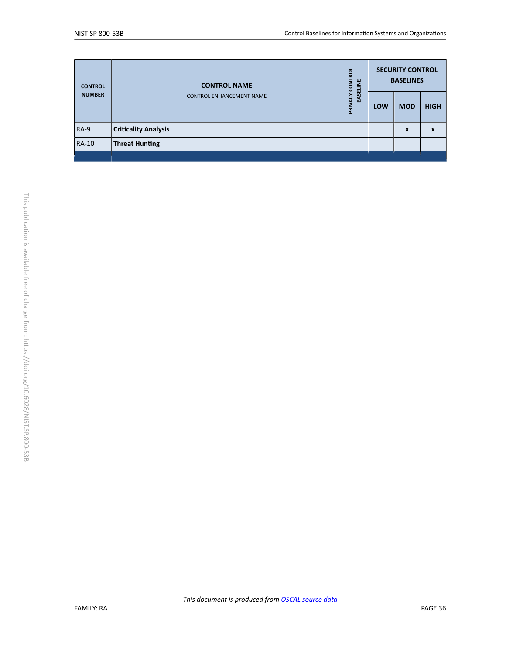<span id="page-36-0"></span>

| <b>CONTROL</b><br><b>NUMBER</b> | <b>CONTROL NAME</b>             | <b>ROL</b><br>CONTE<br><b>BASELINE</b> |            | <b>SECURITY CONTROL</b><br><b>BASELINES</b> |             |
|---------------------------------|---------------------------------|----------------------------------------|------------|---------------------------------------------|-------------|
|                                 | <b>CONTROL ENHANCEMENT NAME</b> | <b>ACY</b><br>PRIV                     | <b>LOW</b> | <b>MOD</b>                                  | <b>HIGH</b> |
| <b>RA-9</b>                     | <b>Criticality Analysis</b>     |                                        |            | X                                           | X           |
| <b>RA-10</b>                    | <b>Threat Hunting</b>           |                                        |            |                                             |             |
|                                 |                                 |                                        |            |                                             |             |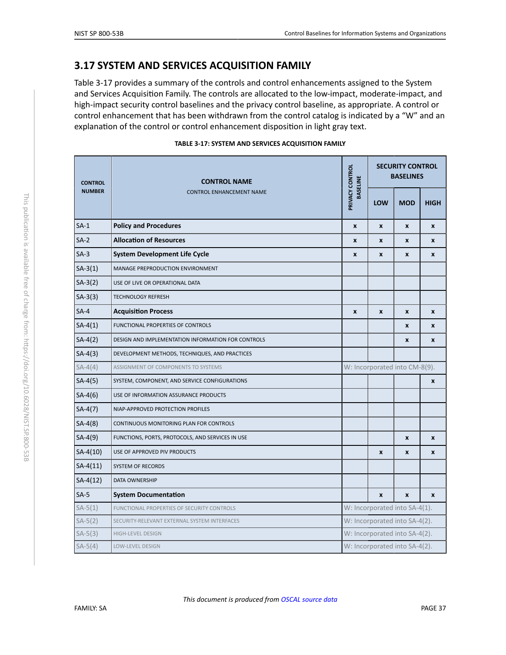# <span id="page-37-2"></span>**3.17 SYSTEM AND SERVICES ACQUISITION FAMILY**

Table 3-17 provides a summary of the controls and control enhancements assigned to the System and Services Acquisition Family. The controls are allocated to the low-impact, moderate-impact, and high-impact security control baselines and the privacy control baseline, as appropriate. A control or control enhancement that has been withdrawn from the control catalog is indicated by a "W" and an explanation of the control or control enhancement disposition in light gray text.

<span id="page-37-3"></span><span id="page-37-1"></span><span id="page-37-0"></span>

| <b>CONTROL</b> | <b>CONTROL NAME</b><br><b>CONTROL ENHANCEMENT NAME</b> | PRIVACY CONTROL<br><b>BASELINE</b> | <b>SECURITY CONTROL</b><br><b>BASELINES</b> |                               |              |  |  |
|----------------|--------------------------------------------------------|------------------------------------|---------------------------------------------|-------------------------------|--------------|--|--|
| <b>NUMBER</b>  |                                                        |                                    | LOW                                         | <b>MOD</b>                    | <b>HIGH</b>  |  |  |
| $SA-1$         | <b>Policy and Procedures</b>                           | $\pmb{\times}$                     | $\boldsymbol{x}$                            | $\pmb{\chi}$                  | $\pmb{\chi}$ |  |  |
| $SA-2$         | <b>Allocation of Resources</b>                         | $\pmb{\chi}$                       | $\mathbf{x}$                                | $\mathbf{x}$                  | $\mathbf{x}$ |  |  |
| $SA-3$         | <b>System Development Life Cycle</b>                   | $\pmb{\chi}$                       | $\pmb{\chi}$                                | $\boldsymbol{x}$              | $\mathbf{x}$ |  |  |
| $SA-3(1)$      | MANAGE PREPRODUCTION ENVIRONMENT                       |                                    |                                             |                               |              |  |  |
| $SA-3(2)$      | USE OF LIVE OR OPERATIONAL DATA                        |                                    |                                             |                               |              |  |  |
| $SA-3(3)$      | <b>TECHNOLOGY REFRESH</b>                              |                                    |                                             |                               |              |  |  |
| $SA-4$         | <b>Acquisition Process</b>                             | $\pmb{\times}$                     | $\pmb{\chi}$                                | $\pmb{\chi}$                  | $\pmb{\chi}$ |  |  |
| $SA-4(1)$      | FUNCTIONAL PROPERTIES OF CONTROLS                      |                                    |                                             | X                             | X            |  |  |
| $SA-4(2)$      | DESIGN AND IMPLEMENTATION INFORMATION FOR CONTROLS     |                                    |                                             | $\boldsymbol{x}$              | $\mathbf{x}$ |  |  |
| $SA-4(3)$      | DEVELOPMENT METHODS, TECHNIQUES, AND PRACTICES         |                                    |                                             |                               |              |  |  |
| $SA-4(4)$      | ASSIGNMENT OF COMPONENTS TO SYSTEMS                    |                                    |                                             | W: Incorporated into CM-8(9). |              |  |  |
| $SA-4(5)$      | SYSTEM, COMPONENT, AND SERVICE CONFIGURATIONS          |                                    |                                             |                               | X            |  |  |
| $SA-4(6)$      | USE OF INFORMATION ASSURANCE PRODUCTS                  |                                    |                                             |                               |              |  |  |
| $SA-4(7)$      | NIAP-APPROVED PROTECTION PROFILES                      |                                    |                                             |                               |              |  |  |
| $SA-4(8)$      | CONTINUOUS MONITORING PLAN FOR CONTROLS                |                                    |                                             |                               |              |  |  |
| $SA-4(9)$      | FUNCTIONS, PORTS, PROTOCOLS, AND SERVICES IN USE       |                                    |                                             | $\pmb{\times}$                | $\pmb{\chi}$ |  |  |
| $SA-4(10)$     | USE OF APPROVED PIV PRODUCTS                           |                                    | $\pmb{\chi}$                                | $\pmb{\chi}$                  | $\pmb{\chi}$ |  |  |
| $SA-4(11)$     | <b>SYSTEM OF RECORDS</b>                               |                                    |                                             |                               |              |  |  |
| $SA-4(12)$     | DATA OWNERSHIP                                         |                                    |                                             |                               |              |  |  |
| $SA-5$         | <b>System Documentation</b>                            |                                    | $\pmb{\chi}$                                | $\pmb{\chi}$                  | $\pmb{\chi}$ |  |  |
| $SA-5(1)$      | FUNCTIONAL PROPERTIES OF SECURITY CONTROLS             |                                    |                                             | W: Incorporated into SA-4(1). |              |  |  |
| $SA-5(2)$      | SECURITY-RELEVANT EXTERNAL SYSTEM INTERFACES           |                                    |                                             | W: Incorporated into SA-4(2). |              |  |  |
| $SA-5(3)$      | <b>HIGH-LEVEL DESIGN</b>                               |                                    |                                             | W: Incorporated into SA-4(2). |              |  |  |
| $SA-5(4)$      | LOW-LEVEL DESIGN                                       | W: Incorporated into SA-4(2).      |                                             |                               |              |  |  |

#### **TABLE 3-17: SYSTEM AND SERVICES ACQUISITION FAMILY**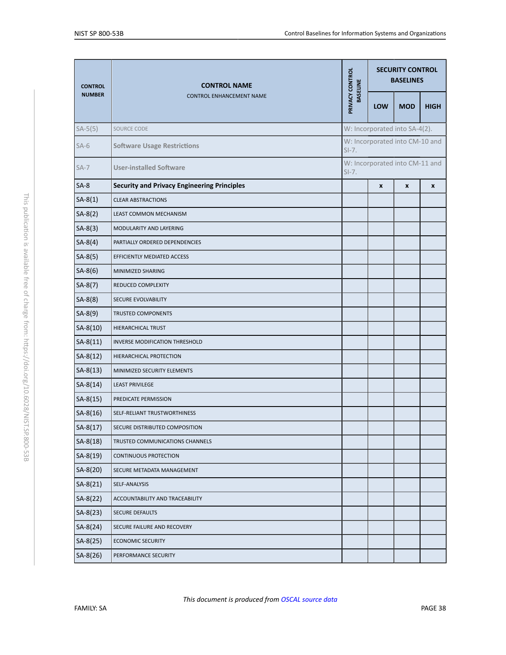<span id="page-38-0"></span>

| <b>CONTROL</b> | <b>CONTROL NAME</b><br><b>CONTROL ENHANCEMENT NAME</b> | PRIVACY CONTROL<br><b>BASELINE</b> | <b>SECURITY CONTROL</b><br><b>BASELINES</b> |                                |             |  |
|----------------|--------------------------------------------------------|------------------------------------|---------------------------------------------|--------------------------------|-------------|--|
| <b>NUMBER</b>  |                                                        |                                    | <b>LOW</b>                                  | <b>MOD</b>                     | <b>HIGH</b> |  |
| $SA-5(5)$      | SOURCE CODE                                            |                                    |                                             | W: Incorporated into SA-4(2).  |             |  |
| $SA-6$         | <b>Software Usage Restrictions</b>                     | $S-I.$                             |                                             | W: Incorporated into CM-10 and |             |  |
| $SA-7$         | <b>User-installed Software</b>                         | $SI-7.$                            |                                             | W: Incorporated into CM-11 and |             |  |
| $SA-8$         | <b>Security and Privacy Engineering Principles</b>     |                                    | $\pmb{\chi}$                                | x                              | X           |  |
| $SA-8(1)$      | <b>CLEAR ABSTRACTIONS</b>                              |                                    |                                             |                                |             |  |
| $SA-8(2)$      | LEAST COMMON MECHANISM                                 |                                    |                                             |                                |             |  |
| $SA-8(3)$      | MODULARITY AND LAYERING                                |                                    |                                             |                                |             |  |
| $SA-8(4)$      | PARTIALLY ORDERED DEPENDENCIES                         |                                    |                                             |                                |             |  |
| $SA-8(5)$      | EFFICIENTLY MEDIATED ACCESS                            |                                    |                                             |                                |             |  |
| $SA-8(6)$      | MINIMIZED SHARING                                      |                                    |                                             |                                |             |  |
| $SA-8(7)$      | REDUCED COMPLEXITY                                     |                                    |                                             |                                |             |  |
| $SA-8(8)$      | SECURE EVOLVABILITY                                    |                                    |                                             |                                |             |  |
| $SA-8(9)$      | <b>TRUSTED COMPONENTS</b>                              |                                    |                                             |                                |             |  |
| $SA-8(10)$     | HIERARCHICAL TRUST                                     |                                    |                                             |                                |             |  |
| $SA-8(11)$     | INVERSE MODIFICATION THRESHOLD                         |                                    |                                             |                                |             |  |
| $SA-8(12)$     | HIERARCHICAL PROTECTION                                |                                    |                                             |                                |             |  |
| $SA-8(13)$     | MINIMIZED SECURITY ELEMENTS                            |                                    |                                             |                                |             |  |
| $SA-8(14)$     | <b>LEAST PRIVILEGE</b>                                 |                                    |                                             |                                |             |  |
| $SA-8(15)$     | PREDICATE PERMISSION                                   |                                    |                                             |                                |             |  |
| $SA-8(16)$     | SELF-RELIANT TRUSTWORTHINESS                           |                                    |                                             |                                |             |  |
| $SA-8(17)$     | SECURE DISTRIBUTED COMPOSITION                         |                                    |                                             |                                |             |  |
| $SA-8(18)$     | TRUSTED COMMUNICATIONS CHANNELS                        |                                    |                                             |                                |             |  |
| $SA-8(19)$     | CONTINUOUS PROTECTION                                  |                                    |                                             |                                |             |  |
| $SA-8(20)$     | SECURE METADATA MANAGEMENT                             |                                    |                                             |                                |             |  |
| $SA-8(21)$     | SELF-ANALYSIS                                          |                                    |                                             |                                |             |  |
| $SA-8(22)$     | ACCOUNTABILITY AND TRACEABILITY                        |                                    |                                             |                                |             |  |
| $SA-8(23)$     | SECURE DEFAULTS                                        |                                    |                                             |                                |             |  |
| $SA-8(24)$     | SECURE FAILURE AND RECOVERY                            |                                    |                                             |                                |             |  |
| $SA-8(25)$     | <b>ECONOMIC SECURITY</b>                               |                                    |                                             |                                |             |  |
| SA-8(26)       | PERFORMANCE SECURITY                                   |                                    |                                             |                                |             |  |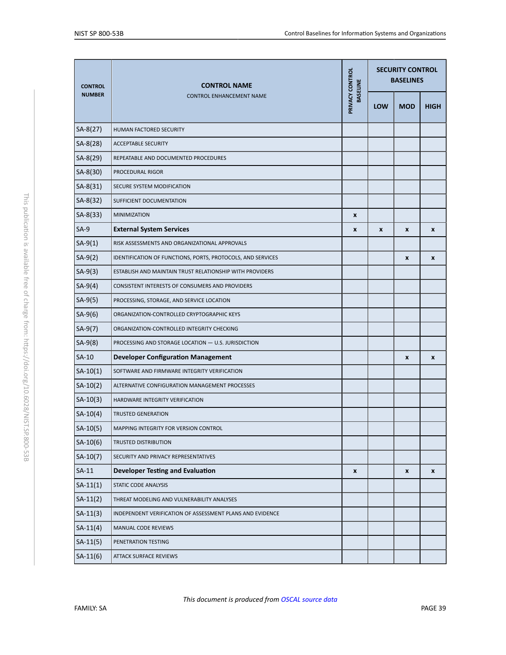<span id="page-39-0"></span>

| <b>CONTROL</b> | <b>CONTROL NAME</b><br><b>CONTROL ENHANCEMENT NAME</b>      | PRIVACY CONTROL | <b>SECURITY CONTROL</b><br><b>BASELINES</b> |                    |                    |  |
|----------------|-------------------------------------------------------------|-----------------|---------------------------------------------|--------------------|--------------------|--|
| <b>NUMBER</b>  |                                                             | <b>BASELINE</b> | <b>LOW</b>                                  | <b>MOD</b>         | <b>HIGH</b>        |  |
| $SA-8(27)$     | HUMAN FACTORED SECURITY                                     |                 |                                             |                    |                    |  |
| SA-8(28)       | <b>ACCEPTABLE SECURITY</b>                                  |                 |                                             |                    |                    |  |
| $SA-8(29)$     | REPEATABLE AND DOCUMENTED PROCEDURES                        |                 |                                             |                    |                    |  |
| SA-8(30)       | PROCEDURAL RIGOR                                            |                 |                                             |                    |                    |  |
| $SA-8(31)$     | SECURE SYSTEM MODIFICATION                                  |                 |                                             |                    |                    |  |
| SA-8(32)       | SUFFICIENT DOCUMENTATION                                    |                 |                                             |                    |                    |  |
| $SA-8(33)$     | <b>MINIMIZATION</b>                                         | $\pmb{\chi}$    |                                             |                    |                    |  |
| $SA-9$         | <b>External System Services</b>                             | X               | X                                           | $\pmb{\mathsf{x}}$ | $\pmb{\mathsf{x}}$ |  |
| $SA-9(1)$      | RISK ASSESSMENTS AND ORGANIZATIONAL APPROVALS               |                 |                                             |                    |                    |  |
| $SA-9(2)$      | IDENTIFICATION OF FUNCTIONS, PORTS, PROTOCOLS, AND SERVICES |                 |                                             | $\pmb{\chi}$       | X                  |  |
| $SA-9(3)$      | ESTABLISH AND MAINTAIN TRUST RELATIONSHIP WITH PROVIDERS    |                 |                                             |                    |                    |  |
| $SA-9(4)$      | CONSISTENT INTERESTS OF CONSUMERS AND PROVIDERS             |                 |                                             |                    |                    |  |
| $SA-9(5)$      | PROCESSING, STORAGE, AND SERVICE LOCATION                   |                 |                                             |                    |                    |  |
| $SA-9(6)$      | ORGANIZATION-CONTROLLED CRYPTOGRAPHIC KEYS                  |                 |                                             |                    |                    |  |
| $SA-9(7)$      | ORGANIZATION-CONTROLLED INTEGRITY CHECKING                  |                 |                                             |                    |                    |  |
| $SA-9(8)$      | PROCESSING AND STORAGE LOCATION - U.S. JURISDICTION         |                 |                                             |                    |                    |  |
| $SA-10$        | <b>Developer Configuration Management</b>                   |                 |                                             | X                  | X                  |  |
| $SA-10(1)$     | SOFTWARE AND FIRMWARE INTEGRITY VERIFICATION                |                 |                                             |                    |                    |  |
| $SA-10(2)$     | ALTERNATIVE CONFIGURATION MANAGEMENT PROCESSES              |                 |                                             |                    |                    |  |
| $SA-10(3)$     | HARDWARE INTEGRITY VERIFICATION                             |                 |                                             |                    |                    |  |
| $SA-10(4)$     | <b>TRUSTED GENERATION</b>                                   |                 |                                             |                    |                    |  |
| $SA-10(5)$     | MAPPING INTEGRITY FOR VERSION CONTROL                       |                 |                                             |                    |                    |  |
| $SA-10(6)$     | <b>TRUSTED DISTRIBUTION</b>                                 |                 |                                             |                    |                    |  |
| $SA-10(7)$     | SECURITY AND PRIVACY REPRESENTATIVES                        |                 |                                             |                    |                    |  |
| $SA-11$        | <b>Developer Testing and Evaluation</b>                     | X               |                                             | X                  | X                  |  |
| $SA-11(1)$     | STATIC CODE ANALYSIS                                        |                 |                                             |                    |                    |  |
| $SA-11(2)$     | THREAT MODELING AND VULNERABILITY ANALYSES                  |                 |                                             |                    |                    |  |
| $SA-11(3)$     | INDEPENDENT VERIFICATION OF ASSESSMENT PLANS AND EVIDENCE   |                 |                                             |                    |                    |  |
| $SA-11(4)$     | MANUAL CODE REVIEWS                                         |                 |                                             |                    |                    |  |
| $SA-11(5)$     | PENETRATION TESTING                                         |                 |                                             |                    |                    |  |
| $SA-11(6)$     | <b>ATTACK SURFACE REVIEWS</b>                               |                 |                                             |                    |                    |  |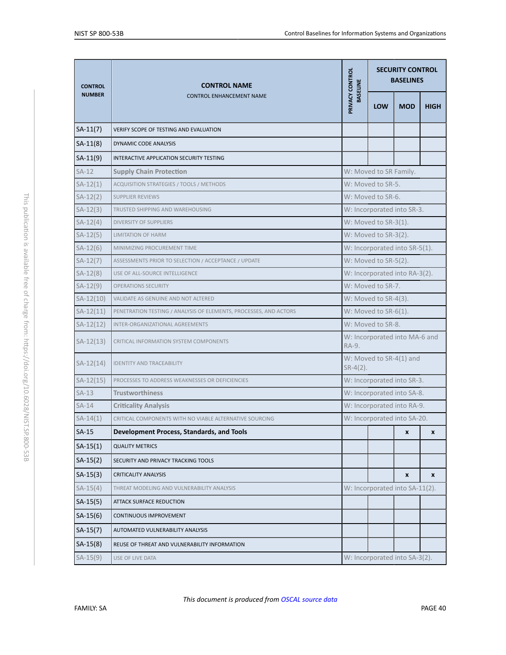| <b>CONTROL</b> | <b>CONTROL NAME</b>                                               | PRIVACY CONTROL<br><b>BASELINE</b> | <b>SECURITY CONTROL</b><br><b>BASELINES</b> |                                |             |  |
|----------------|-------------------------------------------------------------------|------------------------------------|---------------------------------------------|--------------------------------|-------------|--|
| <b>NUMBER</b>  | <b>CONTROL ENHANCEMENT NAME</b>                                   |                                    | <b>LOW</b>                                  | <b>MOD</b>                     | <b>HIGH</b> |  |
| $SA-11(7)$     | VERIFY SCOPE OF TESTING AND EVALUATION                            |                                    |                                             |                                |             |  |
| $SA-11(8)$     | DYNAMIC CODE ANALYSIS                                             |                                    |                                             |                                |             |  |
| $SA-11(9)$     | INTERACTIVE APPLICATION SECURITY TESTING                          |                                    |                                             |                                |             |  |
| $SA-12$        | <b>Supply Chain Protection</b>                                    |                                    | W: Moved to SR Family.                      |                                |             |  |
| $SA-12(1)$     | ACQUISITION STRATEGIES / TOOLS / METHODS                          |                                    | W: Moved to SR-5.                           |                                |             |  |
| $SA-12(2)$     | <b>SUPPLIER REVIEWS</b>                                           |                                    | W: Moved to SR-6.                           |                                |             |  |
| $SA-12(3)$     | TRUSTED SHIPPING AND WAREHOUSING                                  |                                    |                                             | W: Incorporated into SR-3.     |             |  |
| $SA-12(4)$     | <b>DIVERSITY OF SUPPLIERS</b>                                     |                                    | W: Moved to SR-3(1).                        |                                |             |  |
| $SA-12(5)$     | <b>LIMITATION OF HARM</b>                                         |                                    | W: Moved to SR-3(2).                        |                                |             |  |
| $SA-12(6)$     | MINIMIZING PROCUREMENT TIME                                       |                                    |                                             | W: Incorporated into SR-5(1).  |             |  |
| $SA-12(7)$     | ASSESSMENTS PRIOR TO SELECTION / ACCEPTANCE / UPDATE              |                                    | W: Moved to SR-5(2).                        |                                |             |  |
| $SA-12(8)$     | USE OF ALL-SOURCE INTELLIGENCE                                    |                                    |                                             | W: Incorporated into RA-3(2).  |             |  |
| $SA-12(9)$     | <b>OPERATIONS SECURITY</b>                                        |                                    | W: Moved to SR-7.                           |                                |             |  |
| $SA-12(10)$    | VALIDATE AS GENUINE AND NOT ALTERED                               |                                    | W: Moved to SR-4(3).                        |                                |             |  |
| $SA-12(11)$    | PENETRATION TESTING / ANALYSIS OF ELEMENTS, PROCESSES, AND ACTORS |                                    | W: Moved to SR-6(1).                        |                                |             |  |
| $SA-12(12)$    | INTER-ORGANIZATIONAL AGREEMENTS                                   |                                    | W: Moved to SR-8.                           |                                |             |  |
| $SA-12(13)$    | CRITICAL INFORMATION SYSTEM COMPONENTS                            | RA-9.                              |                                             | W: Incorporated into MA-6 and  |             |  |
| $SA-12(14)$    | <b>IDENTITY AND TRACEABILITY</b>                                  | $SR-4(2)$ .                        |                                             | W: Moved to SR-4(1) and        |             |  |
| $SA-12(15)$    | PROCESSES TO ADDRESS WEAKNESSES OR DEFICIENCIES                   |                                    |                                             | W: Incorporated into SR-3.     |             |  |
| $SA-13$        | <b>Trustworthiness</b>                                            |                                    |                                             | W: Incorporated into SA-8.     |             |  |
| $SA-14$        | <b>Criticality Analysis</b>                                       |                                    |                                             | W: Incorporated into RA-9.     |             |  |
| $SA-14(1)$     | CRITICAL COMPONENTS WITH NO VIABLE ALTERNATIVE SOURCING           |                                    |                                             | W: Incorporated into SA-20.    |             |  |
| SA-15          | Development Process, Standards, and Tools                         |                                    |                                             | x                              | x           |  |
| $SA-15(1)$     | <b>QUALITY METRICS</b>                                            |                                    |                                             |                                |             |  |
| $SA-15(2)$     | SECURITY AND PRIVACY TRACKING TOOLS                               |                                    |                                             |                                |             |  |
| $SA-15(3)$     | <b>CRITICALITY ANALYSIS</b>                                       |                                    |                                             | X                              | X           |  |
| $SA-15(4)$     | THREAT MODELING AND VULNERABILITY ANALYSIS                        |                                    |                                             | W: Incorporated into SA-11(2). |             |  |
| $SA-15(5)$     | <b>ATTACK SURFACE REDUCTION</b>                                   |                                    |                                             |                                |             |  |
| $SA-15(6)$     | CONTINUOUS IMPROVEMENT                                            |                                    |                                             |                                |             |  |
| $SA-15(7)$     | AUTOMATED VULNERABILITY ANALYSIS                                  |                                    |                                             |                                |             |  |
| $SA-15(8)$     | REUSE OF THREAT AND VULNERABILITY INFORMATION                     |                                    |                                             |                                |             |  |
| $SA-15(9)$     | USE OF LIVE DATA                                                  |                                    |                                             | W: Incorporated into SA-3(2).  |             |  |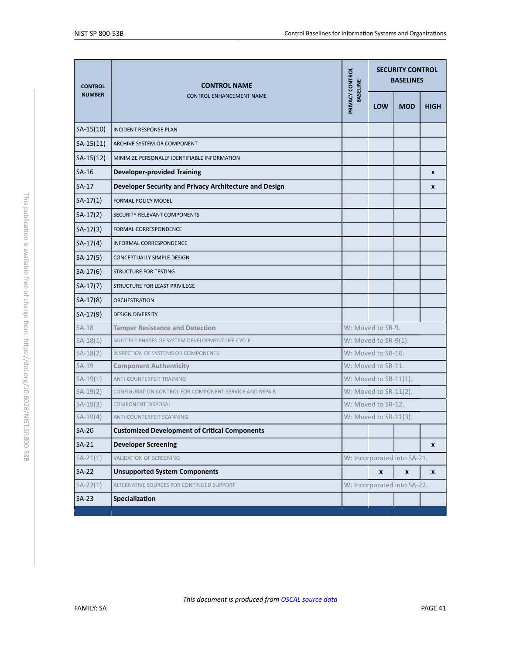<span id="page-41-2"></span><span id="page-41-1"></span><span id="page-41-0"></span>

| <b>CONTROL</b> | <b>CONTROL NAME</b><br><b>CONTROL ENHANCEMENT NAME</b> | PRIVACY CONTROL<br><b>BASELINE</b> | <b>SECURITY CONTROL</b><br><b>BASELINES</b> |            |                    |  |
|----------------|--------------------------------------------------------|------------------------------------|---------------------------------------------|------------|--------------------|--|
| <b>NUMBER</b>  |                                                        |                                    | <b>LOW</b>                                  | <b>MOD</b> | <b>HIGH</b>        |  |
| $SA-15(10)$    | <b>INCIDENT RESPONSE PLAN</b>                          |                                    |                                             |            |                    |  |
| $SA-15(11)$    | ARCHIVE SYSTEM OR COMPONENT                            |                                    |                                             |            |                    |  |
| $SA-15(12)$    | MINIMIZE PERSONALLY IDENTIFIABLE INFORMATION           |                                    |                                             |            |                    |  |
| $SA-16$        | <b>Developer-provided Training</b>                     |                                    |                                             |            | X                  |  |
| $SA-17$        | Developer Security and Privacy Architecture and Design |                                    |                                             |            | X                  |  |
| $SA-17(1)$     | FORMAL POLICY MODEL                                    |                                    |                                             |            |                    |  |
| $SA-17(2)$     | SECURITY-RELEVANT COMPONENTS                           |                                    |                                             |            |                    |  |
| $SA-17(3)$     | FORMAL CORRESPONDENCE                                  |                                    |                                             |            |                    |  |
| $SA-17(4)$     | INFORMAL CORRESPONDENCE                                |                                    |                                             |            |                    |  |
| $SA-17(5)$     | CONCEPTUALLY SIMPLE DESIGN                             |                                    |                                             |            |                    |  |
| $SA-17(6)$     | STRUCTURE FOR TESTING                                  |                                    |                                             |            |                    |  |
| $SA-17(7)$     | STRUCTURE FOR LEAST PRIVILEGE                          |                                    |                                             |            |                    |  |
| $SA-17(8)$     | <b>ORCHESTRATION</b>                                   |                                    |                                             |            |                    |  |
| $SA-17(9)$     | <b>DESIGN DIVERSITY</b>                                |                                    |                                             |            |                    |  |
| $SA-18$        | <b>Tamper Resistance and Detection</b>                 |                                    | W: Moved to SR-9.                           |            |                    |  |
| $SA-18(1)$     | MULTIPLE PHASES OF SYSTEM DEVELOPMENT LIFE CYCLE       |                                    | W: Moved to SR-9(1).                        |            |                    |  |
| $SA-18(2)$     | INSPECTION OF SYSTEMS OR COMPONENTS                    |                                    | W: Moved to SR-10.                          |            |                    |  |
| $SA-19$        | <b>Component Authenticity</b>                          |                                    | W: Moved to SR-11.                          |            |                    |  |
| $SA-19(1)$     | ANTI-COUNTERFEIT TRAINING                              |                                    | W: Moved to SR-11(1).                       |            |                    |  |
| $SA-19(2)$     | CONFIGURATION CONTROL FOR COMPONENT SERVICE AND REPAIR |                                    | W: Moved to SR-11(2).                       |            |                    |  |
| $SA-19(3)$     | <b>COMPONENT DISPOSAL</b>                              |                                    | W: Moved to SR-12.                          |            |                    |  |
| $SA-19(4)$     | ANTI-COUNTERFEIT SCANNING                              |                                    | W: Moved to SR-11(3).                       |            |                    |  |
| $SA-20$        | <b>Customized Development of Critical Components</b>   |                                    |                                             |            |                    |  |
| $SA-21$        | <b>Developer Screening</b>                             |                                    |                                             |            | X                  |  |
| $SA-21(1)$     | VALIDATION OF SCREENING                                |                                    | W: Incorporated into SA-21.                 |            |                    |  |
| $SA-22$        | <b>Unsupported System Components</b>                   |                                    | $\pmb{\chi}$                                | X          | $\pmb{\mathsf{x}}$ |  |
| $SA-22(1)$     | ALTERNATIVE SOURCES FOR CONTINUED SUPPORT              |                                    | W: Incorporated into SA-22.                 |            |                    |  |
| $SA-23$        | Specialization                                         |                                    |                                             |            |                    |  |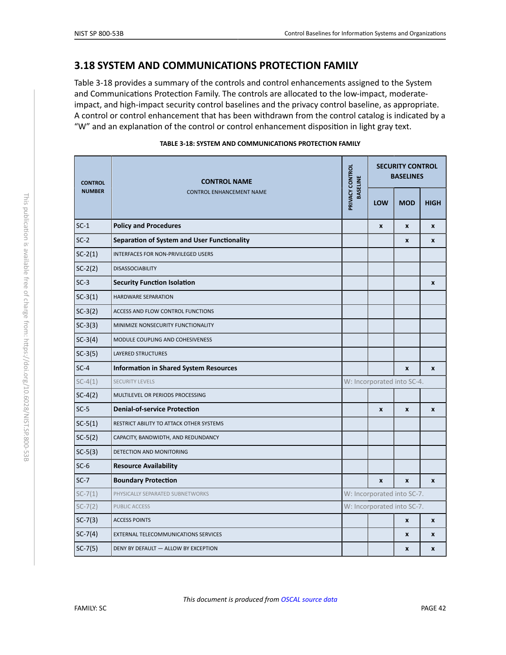## <span id="page-42-3"></span>**3.18 SYSTEM AND COMMUNICATIONS PROTECTION FAMILY**

Table 3-18 provides a summary of the controls and control enhancements assigned to the System and Communications Protection Family. The controls are allocated to the low-impact, moderateimpact, and high-impact security control baselines and the privacy control baseline, as appropriate. A control or control enhancement that has been withdrawn from the control catalog is indicated by a "W" and an explanation of the control or control enhancement disposition in light gray text.

<span id="page-42-2"></span><span id="page-42-1"></span><span id="page-42-0"></span>

| <b>CONTROL</b> | <b>CONTROL NAME</b><br><b>CONTROL ENHANCEMENT NAME</b> | PRIVACY CONTROL<br><b>BASELINE</b> | <b>SECURITY CONTROL</b><br><b>BASELINES</b> |                  |                  |  |
|----------------|--------------------------------------------------------|------------------------------------|---------------------------------------------|------------------|------------------|--|
| <b>NUMBER</b>  |                                                        |                                    | LOW                                         | <b>MOD</b>       | <b>HIGH</b>      |  |
| $SC-1$         | <b>Policy and Procedures</b>                           |                                    | $\pmb{\chi}$                                | $\pmb{\chi}$     | X                |  |
| $SC-2$         | Separation of System and User Functionality            |                                    |                                             | $\mathbf{x}$     | $\mathbf{x}$     |  |
| $SC-2(1)$      | INTERFACES FOR NON-PRIVILEGED USERS                    |                                    |                                             |                  |                  |  |
| $SC-2(2)$      | <b>DISASSOCIABILITY</b>                                |                                    |                                             |                  |                  |  |
| $SC-3$         | <b>Security Function Isolation</b>                     |                                    |                                             |                  | $\boldsymbol{x}$ |  |
| $SC-3(1)$      | HARDWARE SEPARATION                                    |                                    |                                             |                  |                  |  |
| $SC-3(2)$      | ACCESS AND FLOW CONTROL FUNCTIONS                      |                                    |                                             |                  |                  |  |
| $SC-3(3)$      | MINIMIZE NONSECURITY FUNCTIONALITY                     |                                    |                                             |                  |                  |  |
| $SC-3(4)$      | MODULE COUPLING AND COHESIVENESS                       |                                    |                                             |                  |                  |  |
| $SC-3(5)$      | LAYERED STRUCTURES                                     |                                    |                                             |                  |                  |  |
| $SC-4$         | <b>Information in Shared System Resources</b>          |                                    |                                             | $\mathbf{x}$     | $\mathbf{x}$     |  |
| $SC-4(1)$      | <b>SECURITY LEVELS</b>                                 |                                    | W: Incorporated into SC-4.                  |                  |                  |  |
| $SC-4(2)$      | MULTILEVEL OR PERIODS PROCESSING                       |                                    |                                             |                  |                  |  |
| $SC-5$         | <b>Denial-of-service Protection</b>                    |                                    | $\mathbf{x}$                                | $\boldsymbol{x}$ | $\boldsymbol{x}$ |  |
| $SC-5(1)$      | RESTRICT ABILITY TO ATTACK OTHER SYSTEMS               |                                    |                                             |                  |                  |  |
| $SC-5(2)$      | CAPACITY, BANDWIDTH, AND REDUNDANCY                    |                                    |                                             |                  |                  |  |
| $SC-5(3)$      | DETECTION AND MONITORING                               |                                    |                                             |                  |                  |  |
| $SC-6$         | <b>Resource Availability</b>                           |                                    |                                             |                  |                  |  |
| $SC-7$         | <b>Boundary Protection</b>                             |                                    | $\mathbf{x}$                                | $\mathbf{x}$     | $\mathbf{x}$     |  |
| $SC-7(1)$      | PHYSICALLY SEPARATED SUBNETWORKS                       |                                    | W: Incorporated into SC-7.                  |                  |                  |  |
| $SC-7(2)$      | PUBLIC ACCESS                                          |                                    | W: Incorporated into SC-7.                  |                  |                  |  |
| $SC-7(3)$      | <b>ACCESS POINTS</b>                                   |                                    |                                             | $\pmb{\chi}$     | X                |  |
| $SC-7(4)$      | EXTERNAL TELECOMMUNICATIONS SERVICES                   |                                    |                                             | X                | X                |  |
| $SC-7(5)$      | DENY BY DEFAULT - ALLOW BY EXCEPTION                   |                                    |                                             | X                | X                |  |

#### **TABLE 3-18: SYSTEM AND COMMUNICATIONS PROTECTION FAMILY**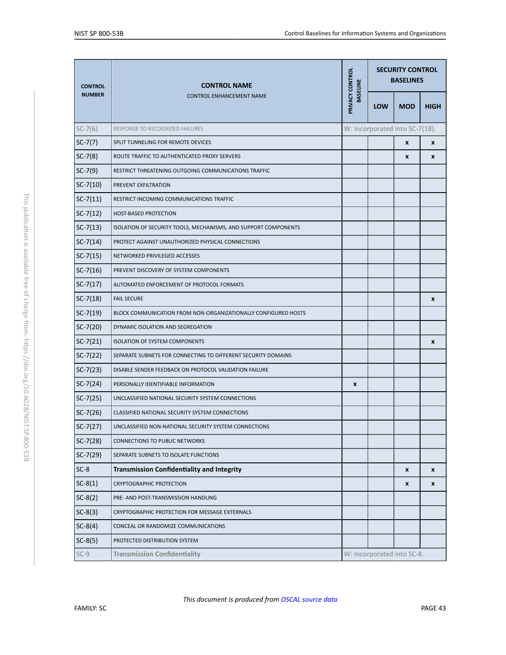<span id="page-43-5"></span><span id="page-43-4"></span><span id="page-43-3"></span><span id="page-43-2"></span><span id="page-43-1"></span><span id="page-43-0"></span>

| <b>CONTROL</b> | <b>CONTROL NAME</b><br><b>CONTROL ENHANCEMENT NAME</b>          | PRIVACY CONTROL | <b>SECURITY CONTROL</b><br><b>BASELINES</b> |                                |             |  |
|----------------|-----------------------------------------------------------------|-----------------|---------------------------------------------|--------------------------------|-------------|--|
| <b>NUMBER</b>  |                                                                 | <b>BASELINE</b> | <b>LOW</b>                                  | <b>MOD</b>                     | <b>HIGH</b> |  |
| $SC-7(6)$      | RESPONSE TO RECOGNIZED FAILURES                                 |                 |                                             | W: Incorporated into SC-7(18). |             |  |
| $SC-7(7)$      | SPLIT TUNNELING FOR REMOTE DEVICES                              |                 |                                             | X                              | X           |  |
| $SC-7(8)$      | ROUTE TRAFFIC TO AUTHENTICATED PROXY SERVERS                    |                 |                                             | x                              | X           |  |
| $SC-7(9)$      | RESTRICT THREATENING OUTGOING COMMUNICATIONS TRAFFIC            |                 |                                             |                                |             |  |
| $SC-7(10)$     | PREVENT EXFILTRATION                                            |                 |                                             |                                |             |  |
| $SC-7(11)$     | RESTRICT INCOMING COMMUNICATIONS TRAFFIC                        |                 |                                             |                                |             |  |
| $SC-7(12)$     | <b>HOST-BASED PROTECTION</b>                                    |                 |                                             |                                |             |  |
| $SC-7(13)$     | ISOLATION OF SECURITY TOOLS, MECHANISMS, AND SUPPORT COMPONENTS |                 |                                             |                                |             |  |
| $SC-7(14)$     | PROTECT AGAINST UNAUTHORIZED PHYSICAL CONNECTIONS               |                 |                                             |                                |             |  |
| $SC-7(15)$     | NETWORKED PRIVILEGED ACCESSES                                   |                 |                                             |                                |             |  |
| $SC-7(16)$     | PREVENT DISCOVERY OF SYSTEM COMPONENTS                          |                 |                                             |                                |             |  |
| $SC-7(17)$     | AUTOMATED ENFORCEMENT OF PROTOCOL FORMATS                       |                 |                                             |                                |             |  |
| $SC-7(18)$     | <b>FAIL SECURE</b>                                              |                 |                                             |                                | X           |  |
| $SC-7(19)$     | BLOCK COMMUNICATION FROM NON-ORGANIZATIONALLY CONFIGURED HOSTS  |                 |                                             |                                |             |  |
| $SC-7(20)$     | DYNAMIC ISOLATION AND SEGREGATION                               |                 |                                             |                                |             |  |
| $SC-7(21)$     | <b>ISOLATION OF SYSTEM COMPONENTS</b>                           |                 |                                             |                                | X           |  |
| $SC-7(22)$     | SEPARATE SUBNETS FOR CONNECTING TO DIFFERENT SECURITY DOMAINS   |                 |                                             |                                |             |  |
| $SC-7(23)$     | DISABLE SENDER FEEDBACK ON PROTOCOL VALIDATION FAILURE          |                 |                                             |                                |             |  |
| $SC-7(24)$     | PERSONALLY IDENTIFIABLE INFORMATION                             | X               |                                             |                                |             |  |
| $SC-7(25)$     | UNCLASSIFIED NATIONAL SECURITY SYSTEM CONNECTIONS               |                 |                                             |                                |             |  |
| $SC-7(26)$     | CLASSIFIED NATIONAL SECURITY SYSTEM CONNECTIONS                 |                 |                                             |                                |             |  |
| $SC-7(27)$     | UNCLASSIFIED NON-NATIONAL SECURITY SYSTEM CONNECTIONS           |                 |                                             |                                |             |  |
| $SC-7(28)$     | <b>CONNECTIONS TO PUBLIC NETWORKS</b>                           |                 |                                             |                                |             |  |
| $SC-7(29)$     | SEPARATE SUBNETS TO ISOLATE FUNCTIONS                           |                 |                                             |                                |             |  |
| $SC-8$         | <b>Transmission Confidentiality and Integrity</b>               |                 |                                             | x                              | X           |  |
| $SC-8(1)$      | <b>CRYPTOGRAPHIC PROTECTION</b>                                 |                 |                                             | x                              | X           |  |
| $SC-8(2)$      | PRE- AND POST-TRANSMISSION HANDLING                             |                 |                                             |                                |             |  |
| $SC-8(3)$      | CRYPTOGRAPHIC PROTECTION FOR MESSAGE EXTERNALS                  |                 |                                             |                                |             |  |
| $SC-8(4)$      | CONCEAL OR RANDOMIZE COMMUNICATIONS                             |                 |                                             |                                |             |  |
| $SC-8(5)$      | PROTECTED DISTRIBUTION SYSTEM                                   |                 |                                             |                                |             |  |
| $SC-9$         | <b>Transmission Confidentiality</b>                             |                 |                                             | W: Incorporated into SC-8.     |             |  |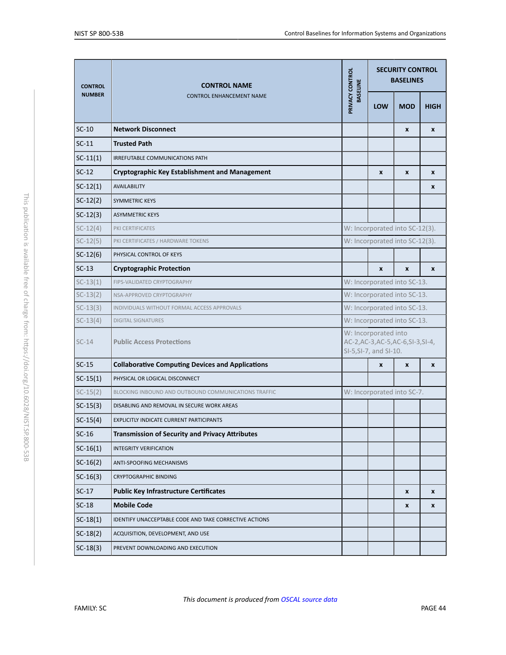<span id="page-44-1"></span><span id="page-44-0"></span>

| <b>CONTROL</b><br><b>NUMBER</b> | <b>CONTROL NAME</b><br><b>CONTROL ENHANCEMENT NAME</b>  | PRIVACY CONTROL<br><b>BASELINE</b> | <b>SECURITY CONTROL</b><br><b>BASELINES</b>                                           |                    |              |  |  |
|---------------------------------|---------------------------------------------------------|------------------------------------|---------------------------------------------------------------------------------------|--------------------|--------------|--|--|
|                                 |                                                         |                                    | <b>LOW</b>                                                                            | <b>MOD</b>         | <b>HIGH</b>  |  |  |
| $SC-10$                         | <b>Network Disconnect</b>                               |                                    |                                                                                       | $\pmb{\chi}$       | $\pmb{\chi}$ |  |  |
| $SC-11$                         | <b>Trusted Path</b>                                     |                                    |                                                                                       |                    |              |  |  |
| $SC-11(1)$                      | IRREFUTABLE COMMUNICATIONS PATH                         |                                    |                                                                                       |                    |              |  |  |
| $SC-12$                         | <b>Cryptographic Key Establishment and Management</b>   |                                    | X                                                                                     | $\mathbf{x}$       | X            |  |  |
| $SC-12(1)$                      | <b>AVAILABILITY</b>                                     |                                    |                                                                                       |                    | X            |  |  |
| $SC-12(2)$                      | <b>SYMMETRIC KEYS</b>                                   |                                    |                                                                                       |                    |              |  |  |
| $SC-12(3)$                      | <b>ASYMMETRIC KEYS</b>                                  |                                    |                                                                                       |                    |              |  |  |
| $SC-12(4)$                      | PKI CERTIFICATES                                        |                                    | W: Incorporated into SC-12(3).                                                        |                    |              |  |  |
| $SC-12(5)$                      | PKI CERTIFICATES / HARDWARE TOKENS                      |                                    | W: Incorporated into SC-12(3).                                                        |                    |              |  |  |
| $SC-12(6)$                      | PHYSICAL CONTROL OF KEYS                                |                                    |                                                                                       |                    |              |  |  |
| $SC-13$                         | <b>Cryptographic Protection</b>                         |                                    | X                                                                                     | $\pmb{\mathsf{x}}$ | X            |  |  |
| $SC-13(1)$                      | FIPS-VALIDATED CRYPTOGRAPHY                             |                                    | W: Incorporated into SC-13.                                                           |                    |              |  |  |
| $SC-13(2)$                      | NSA-APPROVED CRYPTOGRAPHY                               |                                    | W: Incorporated into SC-13.                                                           |                    |              |  |  |
| $SC-13(3)$                      | INDIVIDUALS WITHOUT FORMAL ACCESS APPROVALS             | W: Incorporated into SC-13.        |                                                                                       |                    |              |  |  |
| $SC-13(4)$                      | <b>DIGITAL SIGNATURES</b>                               |                                    | W: Incorporated into SC-13.                                                           |                    |              |  |  |
| $SC-14$                         | <b>Public Access Protections</b>                        |                                    | W: Incorporated into<br>AC-2, AC-3, AC-5, AC-6, SI-3, SI-4,<br>SI-5, SI-7, and SI-10. |                    |              |  |  |
| $SC-15$                         | <b>Collaborative Computing Devices and Applications</b> |                                    | $\mathbf{x}$                                                                          | $\mathbf{x}$       | X            |  |  |
| $SC-15(1)$                      | PHYSICAL OR LOGICAL DISCONNECT                          |                                    |                                                                                       |                    |              |  |  |
| $SC-15(2)$                      | BLOCKING INBOUND AND OUTBOUND COMMUNICATIONS TRAFFIC    |                                    | W: Incorporated into SC-7.                                                            |                    |              |  |  |
| $SC-15(3)$                      | DISABLING AND REMOVAL IN SECURE WORK AREAS              |                                    |                                                                                       |                    |              |  |  |
| $SC-15(4)$                      | EXPLICITLY INDICATE CURRENT PARTICIPANTS                |                                    |                                                                                       |                    |              |  |  |
| $SC-16$                         | <b>Transmission of Security and Privacy Attributes</b>  |                                    |                                                                                       |                    |              |  |  |
| $SC-16(1)$                      | <b>INTEGRITY VERIFICATION</b>                           |                                    |                                                                                       |                    |              |  |  |
| $SC-16(2)$                      | ANTI-SPOOFING MECHANISMS                                |                                    |                                                                                       |                    |              |  |  |
| $SC-16(3)$                      | <b>CRYPTOGRAPHIC BINDING</b>                            |                                    |                                                                                       |                    |              |  |  |
| $SC-17$                         | <b>Public Key Infrastructure Certificates</b>           |                                    |                                                                                       | X                  | X            |  |  |
| $SC-18$                         | <b>Mobile Code</b>                                      |                                    |                                                                                       | X                  | X            |  |  |
| $SC-18(1)$                      | IDENTIFY UNACCEPTABLE CODE AND TAKE CORRECTIVE ACTIONS  |                                    |                                                                                       |                    |              |  |  |
| $SC-18(2)$                      | ACQUISITION, DEVELOPMENT, AND USE                       |                                    |                                                                                       |                    |              |  |  |
| $SC-18(3)$                      | PREVENT DOWNLOADING AND EXECUTION                       |                                    |                                                                                       |                    |              |  |  |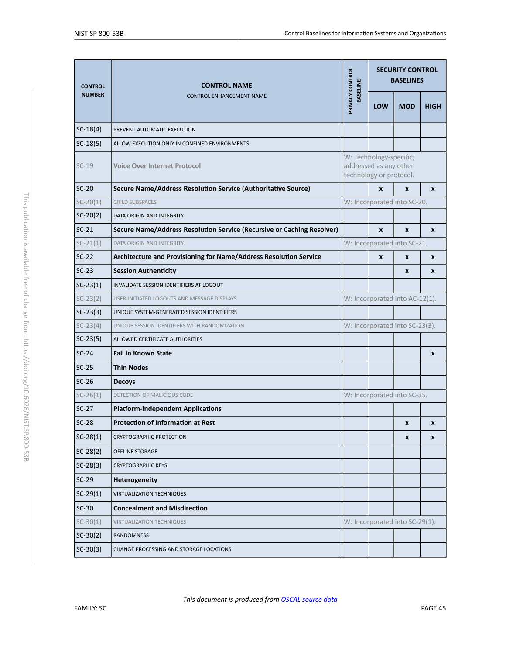<span id="page-45-5"></span><span id="page-45-4"></span><span id="page-45-3"></span><span id="page-45-2"></span><span id="page-45-1"></span><span id="page-45-0"></span>

| <b>CONTROL</b><br><b>NUMBER</b> | <b>CONTROL NAME</b><br><b>CONTROL ENHANCEMENT NAME</b>                 | PRIVACY CONTROL<br><b>BASELINE</b> | <b>SECURITY CONTROL</b><br><b>BASELINES</b>                                  |                                |             |  |
|---------------------------------|------------------------------------------------------------------------|------------------------------------|------------------------------------------------------------------------------|--------------------------------|-------------|--|
|                                 |                                                                        |                                    | <b>LOW</b>                                                                   | <b>MOD</b>                     | <b>HIGH</b> |  |
| $SC-18(4)$                      | PREVENT AUTOMATIC EXECUTION                                            |                                    |                                                                              |                                |             |  |
| $SC-18(5)$                      | ALLOW EXECUTION ONLY IN CONFINED ENVIRONMENTS                          |                                    |                                                                              |                                |             |  |
| $SC-19$                         | <b>Voice Over Internet Protocol</b>                                    |                                    | W: Technology-specific;<br>addressed as any other<br>technology or protocol. |                                |             |  |
| $SC-20$                         | Secure Name/Address Resolution Service (Authoritative Source)          |                                    | X                                                                            | $\pmb{\chi}$                   | X           |  |
| $SC-20(1)$                      | <b>CHILD SUBSPACES</b>                                                 |                                    |                                                                              | W: Incorporated into SC-20.    |             |  |
| $SC-20(2)$                      | DATA ORIGIN AND INTEGRITY                                              |                                    |                                                                              |                                |             |  |
| $SC-21$                         | Secure Name/Address Resolution Service (Recursive or Caching Resolver) |                                    | X                                                                            | $\boldsymbol{x}$               | X           |  |
| $SC-21(1)$                      | <b>DATA ORIGIN AND INTEGRITY</b>                                       |                                    |                                                                              | W: Incorporated into SC-21.    |             |  |
| $SC-22$                         | Architecture and Provisioning for Name/Address Resolution Service      |                                    | X                                                                            | $\mathbf{x}$                   | X           |  |
| $SC-23$                         | <b>Session Authenticity</b>                                            |                                    |                                                                              | $\mathbf{x}$                   | X           |  |
| $SC-23(1)$                      | INVALIDATE SESSION IDENTIFIERS AT LOGOUT                               |                                    |                                                                              |                                |             |  |
| $SC-23(2)$                      | USER-INITIATED LOGOUTS AND MESSAGE DISPLAYS                            |                                    |                                                                              | W: Incorporated into AC-12(1). |             |  |
| $SC-23(3)$                      | UNIQUE SYSTEM-GENERATED SESSION IDENTIFIERS                            |                                    |                                                                              |                                |             |  |
| $SC-23(4)$                      | UNIQUE SESSION IDENTIFIERS WITH RANDOMIZATION                          |                                    |                                                                              | W: Incorporated into SC-23(3). |             |  |
| $SC-23(5)$                      | ALLOWED CERTIFICATE AUTHORITIES                                        |                                    |                                                                              |                                |             |  |
| $SC-24$                         | <b>Fail in Known State</b>                                             |                                    |                                                                              |                                | X           |  |
| $SC-25$                         | <b>Thin Nodes</b>                                                      |                                    |                                                                              |                                |             |  |
| $SC-26$                         | <b>Decoys</b>                                                          |                                    |                                                                              |                                |             |  |
| $SC-26(1)$                      | DETECTION OF MALICIOUS CODE                                            |                                    |                                                                              | W: Incorporated into SC-35.    |             |  |
| $SC-27$                         | <b>Platform-independent Applications</b>                               |                                    |                                                                              |                                |             |  |
| $SC-28$                         | <b>Protection of Information at Rest</b>                               |                                    |                                                                              | X                              | X           |  |
| $SC-28(1)$                      | <b>CRYPTOGRAPHIC PROTECTION</b>                                        |                                    |                                                                              | $\pmb{\chi}$                   | X           |  |
| $SC-28(2)$                      | <b>OFFLINE STORAGE</b>                                                 |                                    |                                                                              |                                |             |  |
| $SC-28(3)$                      | <b>CRYPTOGRAPHIC KEYS</b>                                              |                                    |                                                                              |                                |             |  |
| $SC-29$                         | <b>Heterogeneity</b>                                                   |                                    |                                                                              |                                |             |  |
| $SC-29(1)$                      | <b>VIRTUALIZATION TECHNIQUES</b>                                       |                                    |                                                                              |                                |             |  |
| $SC-30$                         | <b>Concealment and Misdirection</b>                                    |                                    |                                                                              |                                |             |  |
| $SC-30(1)$                      | <b>VIRTUALIZATION TECHNIQUES</b>                                       |                                    |                                                                              | W: Incorporated into SC-29(1). |             |  |
| $SC-30(2)$                      | <b>RANDOMNESS</b>                                                      |                                    |                                                                              |                                |             |  |
| $SC-30(3)$                      | CHANGE PROCESSING AND STORAGE LOCATIONS                                |                                    |                                                                              |                                |             |  |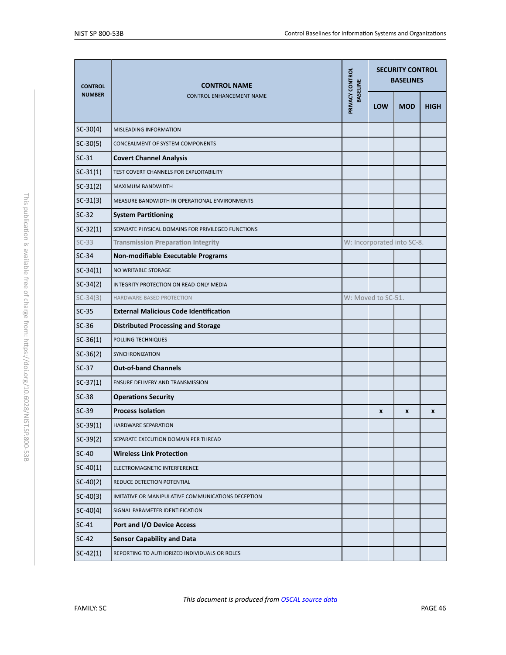<span id="page-46-1"></span><span id="page-46-0"></span>

| <b>CONTROL</b> | <b>CONTROL NAME</b><br><b>CONTROL ENHANCEMENT NAME</b> | PRIVACY CONTROL<br><b>BASELINE</b> | <b>SECURITY CONTROL</b><br><b>BASELINES</b> |                            |             |  |
|----------------|--------------------------------------------------------|------------------------------------|---------------------------------------------|----------------------------|-------------|--|
| <b>NUMBER</b>  |                                                        |                                    | LOW                                         | <b>MOD</b>                 | <b>HIGH</b> |  |
| $SC-30(4)$     | MISLEADING INFORMATION                                 |                                    |                                             |                            |             |  |
| $SC-30(5)$     | CONCEALMENT OF SYSTEM COMPONENTS                       |                                    |                                             |                            |             |  |
| $SC-31$        | <b>Covert Channel Analysis</b>                         |                                    |                                             |                            |             |  |
| $SC-31(1)$     | TEST COVERT CHANNELS FOR EXPLOITABILITY                |                                    |                                             |                            |             |  |
| $SC-31(2)$     | MAXIMUM BANDWIDTH                                      |                                    |                                             |                            |             |  |
| $SC-31(3)$     | MEASURE BANDWIDTH IN OPERATIONAL ENVIRONMENTS          |                                    |                                             |                            |             |  |
| $SC-32$        | <b>System Partitioning</b>                             |                                    |                                             |                            |             |  |
| $SC-32(1)$     | SEPARATE PHYSICAL DOMAINS FOR PRIVILEGED FUNCTIONS     |                                    |                                             |                            |             |  |
| $SC-33$        | <b>Transmission Preparation Integrity</b>              |                                    |                                             | W: Incorporated into SC-8. |             |  |
| $SC-34$        | Non-modifiable Executable Programs                     |                                    |                                             |                            |             |  |
| $SC-34(1)$     | NO WRITABLE STORAGE                                    |                                    |                                             |                            |             |  |
| $SC-34(2)$     | INTEGRITY PROTECTION ON READ-ONLY MEDIA                |                                    |                                             |                            |             |  |
| $SC-34(3)$     | HARDWARE-BASED PROTECTION                              |                                    | W: Moved to SC-51.                          |                            |             |  |
| $SC-35$        | <b>External Malicious Code Identification</b>          |                                    |                                             |                            |             |  |
| $SC-36$        | <b>Distributed Processing and Storage</b>              |                                    |                                             |                            |             |  |
| $SC-36(1)$     | POLLING TECHNIQUES                                     |                                    |                                             |                            |             |  |
| $SC-36(2)$     | SYNCHRONIZATION                                        |                                    |                                             |                            |             |  |
| $SC-37$        | <b>Out-of-band Channels</b>                            |                                    |                                             |                            |             |  |
| $SC-37(1)$     | ENSURE DELIVERY AND TRANSMISSION                       |                                    |                                             |                            |             |  |
| $SC-38$        | <b>Operations Security</b>                             |                                    |                                             |                            |             |  |
| $SC-39$        | <b>Process Isolation</b>                               |                                    | $\boldsymbol{x}$                            | X                          | X           |  |
| $SC-39(1)$     | <b>HARDWARE SEPARATION</b>                             |                                    |                                             |                            |             |  |
| $SC-39(2)$     | SEPARATE EXECUTION DOMAIN PER THREAD                   |                                    |                                             |                            |             |  |
| $SC-40$        | <b>Wireless Link Protection</b>                        |                                    |                                             |                            |             |  |
| $SC-40(1)$     | ELECTROMAGNETIC INTERFERENCE                           |                                    |                                             |                            |             |  |
| $SC-40(2)$     | REDUCE DETECTION POTENTIAL                             |                                    |                                             |                            |             |  |
| $SC-40(3)$     | IMITATIVE OR MANIPULATIVE COMMUNICATIONS DECEPTION     |                                    |                                             |                            |             |  |
| $SC-40(4)$     | SIGNAL PARAMETER IDENTIFICATION                        |                                    |                                             |                            |             |  |
| $SC-41$        | Port and I/O Device Access                             |                                    |                                             |                            |             |  |
| $SC-42$        | <b>Sensor Capability and Data</b>                      |                                    |                                             |                            |             |  |
| $SC-42(1)$     | REPORTING TO AUTHORIZED INDIVIDUALS OR ROLES           |                                    |                                             |                            |             |  |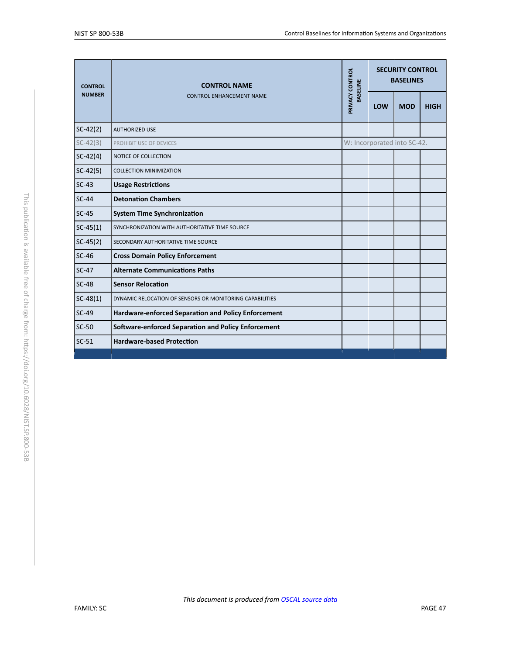<span id="page-47-2"></span><span id="page-47-1"></span><span id="page-47-0"></span>

| <b>CONTROL</b><br><b>NUMBER</b> | <b>CONTROL NAME</b>                                        | PRIVACY CONTROL<br><b>BASELINE</b> |     | <b>SECURITY CONTROL</b><br><b>BASELINES</b> |             |
|---------------------------------|------------------------------------------------------------|------------------------------------|-----|---------------------------------------------|-------------|
|                                 | <b>CONTROL ENHANCEMENT NAME</b>                            |                                    | LOW | <b>MOD</b>                                  | <b>HIGH</b> |
| $SC-42(2)$                      | <b>AUTHORIZED USE</b>                                      |                                    |     |                                             |             |
| $SC-42(3)$                      | PROHIBIT USE OF DEVICES                                    |                                    |     | W: Incorporated into SC-42.                 |             |
| $SC-42(4)$                      | NOTICE OF COLLECTION                                       |                                    |     |                                             |             |
| $SC-42(5)$                      | <b>COLLECTION MINIMIZATION</b>                             |                                    |     |                                             |             |
| $SC-43$                         | <b>Usage Restrictions</b>                                  |                                    |     |                                             |             |
| $SC-44$                         | <b>Detonation Chambers</b>                                 |                                    |     |                                             |             |
| $SC-45$                         | <b>System Time Synchronization</b>                         |                                    |     |                                             |             |
| $SC-45(1)$                      | SYNCHRONIZATION WITH AUTHORITATIVE TIME SOURCE             |                                    |     |                                             |             |
| $SC-45(2)$                      | SECONDARY AUTHORITATIVE TIME SOURCE                        |                                    |     |                                             |             |
| $SC-46$                         | <b>Cross Domain Policy Enforcement</b>                     |                                    |     |                                             |             |
| $SC-47$                         | <b>Alternate Communications Paths</b>                      |                                    |     |                                             |             |
| $SC-48$                         | <b>Sensor Relocation</b>                                   |                                    |     |                                             |             |
| $SC-48(1)$                      | DYNAMIC RELOCATION OF SENSORS OR MONITORING CAPABILITIES   |                                    |     |                                             |             |
| $SC-49$                         | <b>Hardware-enforced Separation and Policy Enforcement</b> |                                    |     |                                             |             |
| $SC-50$                         | <b>Software-enforced Separation and Policy Enforcement</b> |                                    |     |                                             |             |
| $SC-51$                         | <b>Hardware-based Protection</b>                           |                                    |     |                                             |             |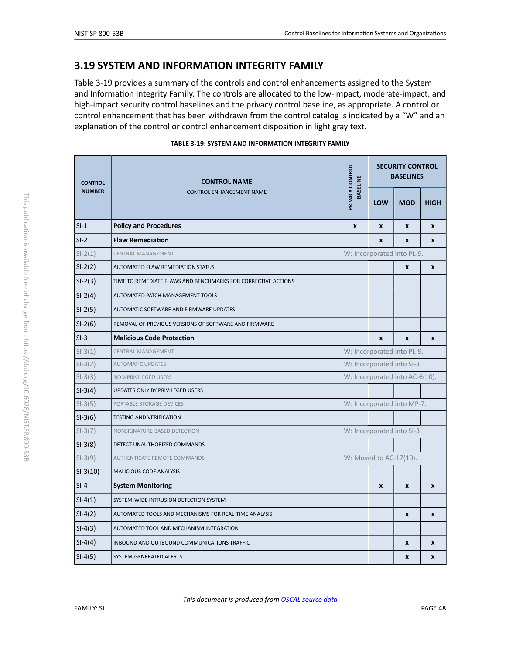## <span id="page-48-2"></span>**3.19 SYSTEM AND INFORMATION INTEGRITY FAMILY**

Table 3-19 provides a summary of the controls and control enhancements assigned to the System and Information Integrity Family. The controls are allocated to the low-impact, moderate-impact, and high-impact security control baselines and the privacy control baseline, as appropriate. A control or control enhancement that has been withdrawn from the control catalog is indicated by a "W" and an explanation of the control or control enhancement disposition in light gray text.

<span id="page-48-1"></span><span id="page-48-0"></span>

| <b>CONTROL</b><br><b>NUMBER</b> | <b>CONTROL NAME</b>                                           | PRIVACY CONTROL<br><b>BASELINE</b><br>LOW |                                | <b>SECURITY CONTROL</b><br><b>BASELINES</b> |                  |  |  |
|---------------------------------|---------------------------------------------------------------|-------------------------------------------|--------------------------------|---------------------------------------------|------------------|--|--|
|                                 | <b>CONTROL ENHANCEMENT NAME</b>                               |                                           |                                | <b>MOD</b>                                  | <b>HIGH</b>      |  |  |
| $SI-1$                          | <b>Policy and Procedures</b>                                  | $\mathbf{x}$                              | $\mathbf{x}$                   | $\mathbf{x}$                                | $\mathbf{x}$     |  |  |
| $SI-2$                          | <b>Flaw Remediation</b>                                       |                                           | $\mathbf{x}$                   | $\mathbf{x}$                                | $\mathbf{x}$     |  |  |
| $SI-2(1)$                       | <b>CENTRAL MANAGEMENT</b>                                     |                                           | W: Incorporated into PL-9.     |                                             |                  |  |  |
| $SI-2(2)$                       | AUTOMATED FLAW REMEDIATION STATUS                             |                                           |                                | $\pmb{\chi}$                                | $\pmb{\chi}$     |  |  |
| $SI-2(3)$                       | TIME TO REMEDIATE FLAWS AND BENCHMARKS FOR CORRECTIVE ACTIONS |                                           |                                |                                             |                  |  |  |
| $SI-2(4)$                       | AUTOMATED PATCH MANAGEMENT TOOLS                              |                                           |                                |                                             |                  |  |  |
| $SI-2(5)$                       | AUTOMATIC SOFTWARE AND FIRMWARE UPDATES                       |                                           |                                |                                             |                  |  |  |
| $SI-2(6)$                       | REMOVAL OF PREVIOUS VERSIONS OF SOFTWARE AND FIRMWARE         |                                           |                                |                                             |                  |  |  |
| $SI-3$                          | <b>Malicious Code Protection</b>                              |                                           | $\boldsymbol{x}$               | $\boldsymbol{x}$                            | $\boldsymbol{x}$ |  |  |
| $SI-3(1)$                       | <b>CENTRAL MANAGEMENT</b>                                     |                                           | W: Incorporated into PL-9.     |                                             |                  |  |  |
| $SI-3(2)$                       | <b>AUTOMATIC UPDATES</b>                                      |                                           | W: Incorporated into SI-3.     |                                             |                  |  |  |
| $SI-3(3)$                       | NON-PRIVILEGED USERS                                          |                                           | W: Incorporated into AC-6(10). |                                             |                  |  |  |
| $SI-3(4)$                       | UPDATES ONLY BY PRIVILEGED USERS                              |                                           |                                |                                             |                  |  |  |
| $SI-3(5)$                       | PORTABLE STORAGE DEVICES                                      |                                           | W: Incorporated into MP-7.     |                                             |                  |  |  |
| $SI-3(6)$                       | <b>TESTING AND VERIFICATION</b>                               |                                           |                                |                                             |                  |  |  |
| $SI-3(7)$                       | NONSIGNATURE-BASED DETECTION                                  |                                           | W: Incorporated into SI-3.     |                                             |                  |  |  |
| $SI-3(8)$                       | DETECT UNAUTHORIZED COMMANDS                                  |                                           |                                |                                             |                  |  |  |
| $SI-3(9)$                       | <b>AUTHENTICATE REMOTE COMMANDS</b>                           |                                           | W: Moved to AC-17(10).         |                                             |                  |  |  |
| $SI-3(10)$                      | <b>MALICIOUS CODE ANALYSIS</b>                                |                                           |                                |                                             |                  |  |  |
| $SI-4$                          | <b>System Monitoring</b>                                      |                                           | $\pmb{\times}$                 | $\mathbf{x}$                                | $\mathbf{x}$     |  |  |
| $SI-4(1)$                       | SYSTEM-WIDE INTRUSION DETECTION SYSTEM                        |                                           |                                |                                             |                  |  |  |
| $SI-4(2)$                       | AUTOMATED TOOLS AND MECHANISMS FOR REAL-TIME ANALYSIS         |                                           |                                | $\boldsymbol{x}$                            | $\boldsymbol{x}$ |  |  |
| $SI-4(3)$                       | AUTOMATED TOOL AND MECHANISM INTEGRATION                      |                                           |                                |                                             |                  |  |  |
| $SI-4(4)$                       | INBOUND AND OUTBOUND COMMUNICATIONS TRAFFIC                   |                                           |                                | $\pmb{\chi}$                                | $\boldsymbol{x}$ |  |  |
| $SI-4(5)$                       | SYSTEM-GENERATED ALERTS                                       |                                           |                                | $\boldsymbol{x}$                            | $\boldsymbol{x}$ |  |  |

*This document is produced from [OSCAL source data](https://github.com/usnistgov/oscal-content/blob/master/nist.gov/SP800-53/rev5/xml/NIST_SP-800-53_rev5_catalog.xml)*

#### **TABLE 3-19: SYSTEM AND INFORMATION INTEGRITY FAMILY**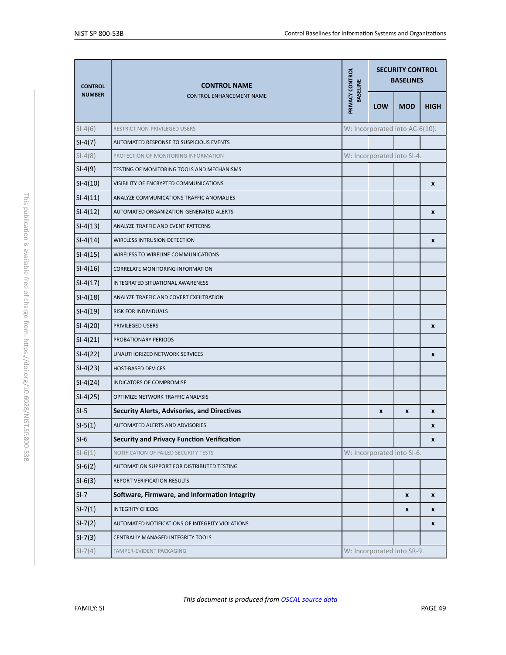<span id="page-49-2"></span><span id="page-49-1"></span><span id="page-49-0"></span>

| <b>CONTROL</b> | <b>CONTROL NAME</b>                                |                                    | <b>SECURITY CONTROL</b><br><b>BASELINES</b> |                                |                    |
|----------------|----------------------------------------------------|------------------------------------|---------------------------------------------|--------------------------------|--------------------|
| <b>NUMBER</b>  | <b>CONTROL ENHANCEMENT NAME</b>                    | PRIVACY CONTROL<br><b>BASELINE</b> | LOW                                         | <b>MOD</b>                     | <b>HIGH</b>        |
| $SI-4(6)$      | RESTRICT NON-PRIVILEGED USERS                      |                                    |                                             | W: Incorporated into AC-6(10). |                    |
| $SI-4(7)$      | AUTOMATED RESPONSE TO SUSPICIOUS EVENTS            |                                    |                                             |                                |                    |
| $SI-4(8)$      | PROTECTION OF MONITORING INFORMATION               |                                    |                                             | W: Incorporated into SI-4.     |                    |
| $SI-4(9)$      | TESTING OF MONITORING TOOLS AND MECHANISMS         |                                    |                                             |                                |                    |
| $SI-4(10)$     | VISIBILITY OF ENCRYPTED COMMUNICATIONS             |                                    |                                             |                                | X                  |
| $SI-4(11)$     | ANALYZE COMMUNICATIONS TRAFFIC ANOMALIES           |                                    |                                             |                                |                    |
| $SI-4(12)$     | AUTOMATED ORGANIZATION-GENERATED ALERTS            |                                    |                                             |                                | X                  |
| $SI-4(13)$     | ANALYZE TRAFFIC AND EVENT PATTERNS                 |                                    |                                             |                                |                    |
| $SI-4(14)$     | <b>WIRELESS INTRUSION DETECTION</b>                |                                    |                                             |                                | $\pmb{\mathsf{x}}$ |
| $SI-4(15)$     | WIRELESS TO WIRELINE COMMUNICATIONS                |                                    |                                             |                                |                    |
| $SI-4(16)$     | CORRELATE MONITORING INFORMATION                   |                                    |                                             |                                |                    |
| $SI-4(17)$     | INTEGRATED SITUATIONAL AWARENESS                   |                                    |                                             |                                |                    |
| $SI-4(18)$     | ANALYZE TRAFFIC AND COVERT EXFILTRATION            |                                    |                                             |                                |                    |
| $SI-4(19)$     | RISK FOR INDIVIDUALS                               |                                    |                                             |                                |                    |
| $SI-4(20)$     | PRIVILEGED USERS                                   |                                    |                                             |                                | X                  |
| $SI-4(21)$     | PROBATIONARY PERIODS                               |                                    |                                             |                                |                    |
| $SI-4(22)$     | UNAUTHORIZED NETWORK SERVICES                      |                                    |                                             |                                | $\pmb{\chi}$       |
| $SI-4(23)$     | <b>HOST-BASED DEVICES</b>                          |                                    |                                             |                                |                    |
| $SI-4(24)$     | INDICATORS OF COMPROMISE                           |                                    |                                             |                                |                    |
| $SI-4(25)$     | OPTIMIZE NETWORK TRAFFIC ANALYSIS                  |                                    |                                             |                                |                    |
| $SI-5$         | <b>Security Alerts, Advisories, and Directives</b> |                                    | X                                           | X                              | X                  |
| $SI-5(1)$      | AUTOMATED ALERTS AND ADVISORIES                    |                                    |                                             |                                | X                  |
| $SI-6$         | <b>Security and Privacy Function Verification</b>  |                                    |                                             |                                | X                  |
| $SI-6(1)$      | NOTIFICATION OF FAILED SECURITY TESTS              |                                    |                                             | W: Incorporated into SI-6.     |                    |
| $SI-6(2)$      | AUTOMATION SUPPORT FOR DISTRIBUTED TESTING         |                                    |                                             |                                |                    |
| $SI-6(3)$      | REPORT VERIFICATION RESULTS                        |                                    |                                             |                                |                    |
| $SI-7$         | Software, Firmware, and Information Integrity      |                                    |                                             | X                              | X                  |
| $SI-7(1)$      | <b>INTEGRITY CHECKS</b>                            |                                    |                                             | X                              | X                  |
| $SI-7(2)$      | AUTOMATED NOTIFICATIONS OF INTEGRITY VIOLATIONS    |                                    |                                             |                                | X                  |
| $SI-7(3)$      | CENTRALLY MANAGED INTEGRITY TOOLS                  |                                    |                                             |                                |                    |
| $SI-7(4)$      | TAMPER-EVIDENT PACKAGING                           |                                    |                                             | W: Incorporated into SR-9.     |                    |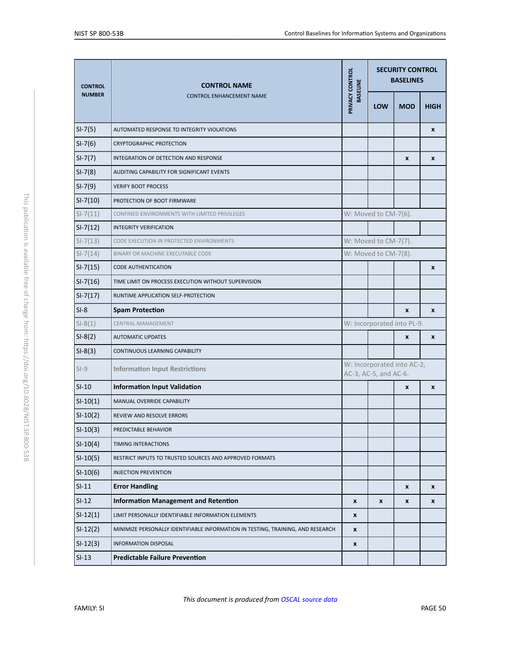<span id="page-50-2"></span><span id="page-50-1"></span><span id="page-50-0"></span>

| <b>CONTROL</b> | <b>CONTROL NAME</b>                                                             | PRIVACY CONTROL<br><b>BASELINE</b> |                       |                            | <b>SECURITY CONTROL</b><br><b>BASELINES</b> |  |
|----------------|---------------------------------------------------------------------------------|------------------------------------|-----------------------|----------------------------|---------------------------------------------|--|
| <b>NUMBER</b>  | <b>CONTROL ENHANCEMENT NAME</b>                                                 |                                    | <b>LOW</b>            | <b>MOD</b>                 | <b>HIGH</b>                                 |  |
| $SI-7(5)$      | AUTOMATED RESPONSE TO INTEGRITY VIOLATIONS                                      |                                    |                       |                            | X                                           |  |
| $SI-7(6)$      | <b>CRYPTOGRAPHIC PROTECTION</b>                                                 |                                    |                       |                            |                                             |  |
| $SI-7(7)$      | INTEGRATION OF DETECTION AND RESPONSE                                           |                                    |                       | X                          | X                                           |  |
| $SI-7(8)$      | AUDITING CAPABILITY FOR SIGNIFICANT EVENTS                                      |                                    |                       |                            |                                             |  |
| $SI-7(9)$      | <b>VERIFY BOOT PROCESS</b>                                                      |                                    |                       |                            |                                             |  |
| $SI-7(10)$     | PROTECTION OF BOOT FIRMWARE                                                     |                                    |                       |                            |                                             |  |
| $SI - 7(11)$   | CONFINED ENVIRONMENTS WITH LIMITED PRIVILEGES                                   |                                    | W: Moved to CM-7(6).  |                            |                                             |  |
| $SI-7(12)$     | <b>INTEGRITY VERIFICATION</b>                                                   |                                    |                       |                            |                                             |  |
| $SI-7(13)$     | CODE EXECUTION IN PROTECTED ENVIRONMENTS                                        |                                    | W: Moved to CM-7(7).  |                            |                                             |  |
| $SI-7(14)$     | BINARY OR MACHINE EXECUTABLE CODE                                               | W: Moved to CM-7(8).               |                       |                            |                                             |  |
| $SI-7(15)$     | <b>CODE AUTHENTICATION</b>                                                      |                                    |                       |                            | X                                           |  |
| $SI-7(16)$     | TIME LIMIT ON PROCESS EXECUTION WITHOUT SUPERVISION                             |                                    |                       |                            |                                             |  |
| $SI-7(17)$     | RUNTIME APPLICATION SELF-PROTECTION                                             |                                    |                       |                            |                                             |  |
| $SI-8$         | <b>Spam Protection</b>                                                          |                                    |                       | $\pmb{\chi}$               | $\pmb{\chi}$                                |  |
| $SI-8(1)$      | CENTRAL MANAGEMENT                                                              |                                    |                       | W: Incorporated into PL-9. |                                             |  |
| $SI-8(2)$      | <b>AUTOMATIC UPDATES</b>                                                        |                                    |                       | X                          | X                                           |  |
| $SI-8(3)$      | CONTINUOUS LEARNING CAPABILITY                                                  |                                    |                       |                            |                                             |  |
| $SI-9$         | <b>Information Input Restrictions</b>                                           |                                    | AC-3, AC-5, and AC-6. | W: Incorporated into AC-2, |                                             |  |
| $SI-10$        | <b>Information Input Validation</b>                                             |                                    |                       | X                          | X                                           |  |
| $SI-10(1)$     | MANUAL OVERRIDE CAPABILITY                                                      |                                    |                       |                            |                                             |  |
| $SI-10(2)$     | REVIEW AND RESOLVE ERRORS                                                       |                                    |                       |                            |                                             |  |
| $SI-10(3)$     | PREDICTABLE BEHAVIOR                                                            |                                    |                       |                            |                                             |  |
| $SI-10(4)$     | TIMING INTERACTIONS                                                             |                                    |                       |                            |                                             |  |
| $SI-10(5)$     | RESTRICT INPUTS TO TRUSTED SOURCES AND APPROVED FORMATS                         |                                    |                       |                            |                                             |  |
| $SI-10(6)$     | <b>INJECTION PREVENTION</b>                                                     |                                    |                       |                            |                                             |  |
| $SI-11$        | <b>Error Handling</b>                                                           |                                    |                       | $\pmb{\mathsf{x}}$         | X                                           |  |
| $SI-12$        | <b>Information Management and Retention</b>                                     | X                                  | X                     | X                          | X                                           |  |
| $SI-12(1)$     | LIMIT PERSONALLY IDENTIFIABLE INFORMATION ELEMENTS                              | X                                  |                       |                            |                                             |  |
| $SI-12(2)$     | MINIMIZE PERSONALLY IDENTIFIABLE INFORMATION IN TESTING, TRAINING, AND RESEARCH | $\pmb{\chi}$                       |                       |                            |                                             |  |
| $SI-12(3)$     | <b>INFORMATION DISPOSAL</b>                                                     | $\pmb{\chi}$                       |                       |                            |                                             |  |
| $SI-13$        | <b>Predictable Failure Prevention</b>                                           |                                    |                       |                            |                                             |  |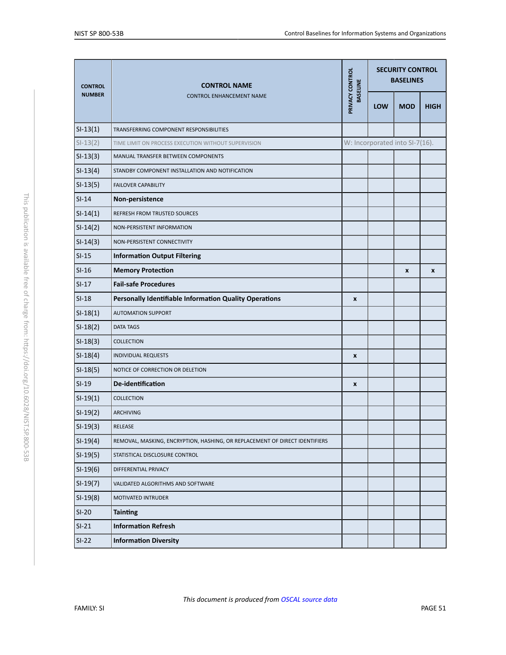| <b>CONTROL</b> | <b>CONTROL NAME</b>                                                         | PRIVACY CONTROL<br><b>BASELINE</b> |     | <b>SECURITY CONTROL</b><br><b>BASELINES</b> |             |
|----------------|-----------------------------------------------------------------------------|------------------------------------|-----|---------------------------------------------|-------------|
| <b>NUMBER</b>  | CONTROL ENHANCEMENT NAME                                                    |                                    | LOW | <b>MOD</b>                                  | <b>HIGH</b> |
| $SI-13(1)$     | TRANSFERRING COMPONENT RESPONSIBILITIES                                     |                                    |     |                                             |             |
| $SI-13(2)$     | TIME LIMIT ON PROCESS EXECUTION WITHOUT SUPERVISION                         |                                    |     | W: Incorporated into SI-7(16).              |             |
| $SI-13(3)$     | MANUAL TRANSFER BETWEEN COMPONENTS                                          |                                    |     |                                             |             |
| $SI-13(4)$     | STANDBY COMPONENT INSTALLATION AND NOTIFICATION                             |                                    |     |                                             |             |
| $SI-13(5)$     | <b>FAILOVER CAPABILITY</b>                                                  |                                    |     |                                             |             |
| $SI-14$        | Non-persistence                                                             |                                    |     |                                             |             |
| $SI-14(1)$     | REFRESH FROM TRUSTED SOURCES                                                |                                    |     |                                             |             |
| $SI-14(2)$     | NON-PERSISTENT INFORMATION                                                  |                                    |     |                                             |             |
| $SI-14(3)$     | NON-PERSISTENT CONNECTIVITY                                                 |                                    |     |                                             |             |
| $SI-15$        | <b>Information Output Filtering</b>                                         |                                    |     |                                             |             |
| $SI-16$        | <b>Memory Protection</b>                                                    |                                    |     | $\boldsymbol{x}$                            | X           |
| $SI-17$        | <b>Fail-safe Procedures</b>                                                 |                                    |     |                                             |             |
| $SI-18$        | Personally Identifiable Information Quality Operations                      | $\pmb{\chi}$                       |     |                                             |             |
| $SI-18(1)$     | <b>AUTOMATION SUPPORT</b>                                                   |                                    |     |                                             |             |
| $SI-18(2)$     | <b>DATA TAGS</b>                                                            |                                    |     |                                             |             |
| $SI-18(3)$     | <b>COLLECTION</b>                                                           |                                    |     |                                             |             |
| $SI-18(4)$     | <b>INDIVIDUAL REQUESTS</b>                                                  | X                                  |     |                                             |             |
| $SI-18(5)$     | NOTICE OF CORRECTION OR DELETION                                            |                                    |     |                                             |             |
| $SI-19$        | <b>De-identification</b>                                                    | X                                  |     |                                             |             |
| $SI-19(1)$     | <b>COLLECTION</b>                                                           |                                    |     |                                             |             |
| $SI-19(2)$     | ARCHIVING                                                                   |                                    |     |                                             |             |
| $SI-19(3)$     | RELEASE                                                                     |                                    |     |                                             |             |
| $SI-19(4)$     | REMOVAL, MASKING, ENCRYPTION, HASHING, OR REPLACEMENT OF DIRECT IDENTIFIERS |                                    |     |                                             |             |
| $SI-19(5)$     | STATISTICAL DISCLOSURE CONTROL                                              |                                    |     |                                             |             |
| $SI-19(6)$     | DIFFERENTIAL PRIVACY                                                        |                                    |     |                                             |             |
| $SI-19(7)$     | VALIDATED ALGORITHMS AND SOFTWARE                                           |                                    |     |                                             |             |
| $SI-19(8)$     | MOTIVATED INTRUDER                                                          |                                    |     |                                             |             |
| $SI-20$        | <b>Tainting</b>                                                             |                                    |     |                                             |             |
| $SI-21$        | <b>Information Refresh</b>                                                  |                                    |     |                                             |             |
| $SI-22$        | <b>Information Diversity</b>                                                |                                    |     |                                             |             |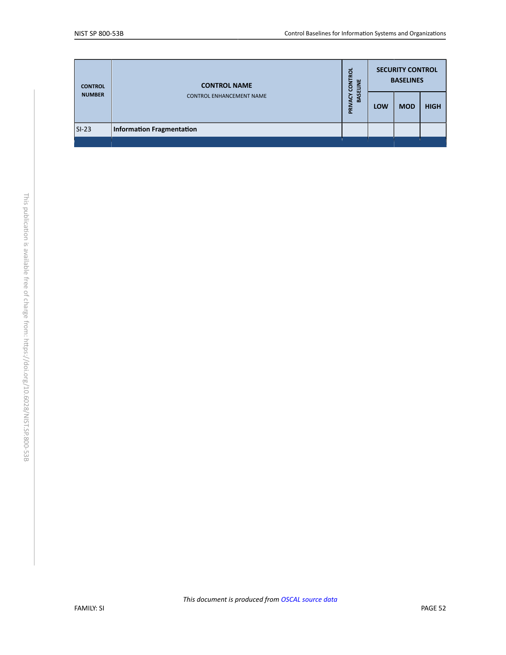| <b>CONTROL</b> | <b>CONTROL NAME</b>              | <b>ROL</b><br><b>LNO2</b><br><b>BASELINE</b><br><b>ACY</b><br>PRIV | <b>SECURITY CONTROL</b><br><b>BASELINES</b> |            |             |  |
|----------------|----------------------------------|--------------------------------------------------------------------|---------------------------------------------|------------|-------------|--|
| <b>NUMBER</b>  | <b>CONTROL ENHANCEMENT NAME</b>  |                                                                    | <b>LOW</b>                                  | <b>MOD</b> | <b>HIGH</b> |  |
| $SI-23$        | <b>Information Fragmentation</b> |                                                                    |                                             |            |             |  |
|                |                                  |                                                                    |                                             |            |             |  |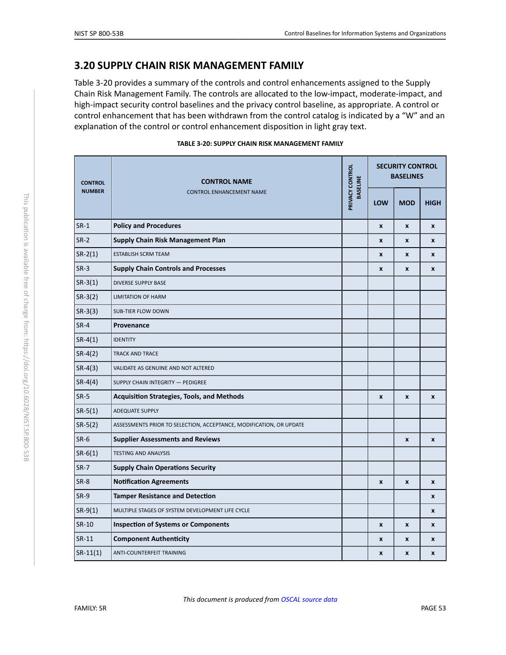### <span id="page-53-0"></span>**3.20 SUPPLY CHAIN RISK MANAGEMENT FAMILY**

Table 3-20 provides a summary of the controls and control enhancements assigned to the Supply Chain Risk Management Family. The controls are allocated to the low-impact, moderate-impact, and high-impact security control baselines and the privacy control baseline, as appropriate. A control or control enhancement that has been withdrawn from the control catalog is indicated by a "W" and an explanation of the control or control enhancement disposition in light gray text.

| TABLE 3-20: SUPPLY CHAIN RISK MANAGEMENT FAMILY |  |  |
|-------------------------------------------------|--|--|
|                                                 |  |  |

<span id="page-53-18"></span><span id="page-53-17"></span><span id="page-53-16"></span><span id="page-53-15"></span><span id="page-53-14"></span><span id="page-53-13"></span><span id="page-53-12"></span><span id="page-53-11"></span><span id="page-53-10"></span><span id="page-53-9"></span><span id="page-53-8"></span><span id="page-53-7"></span><span id="page-53-6"></span><span id="page-53-5"></span><span id="page-53-4"></span><span id="page-53-3"></span><span id="page-53-2"></span><span id="page-53-1"></span>

| <b>CONTROL</b><br><b>NUMBER</b> | <b>CONTROL NAME</b>                                                 | PRIVACY CONTROL<br><b>BASELINE</b> |                    | <b>SECURITY CONTROL</b><br><b>BASELINES</b> |                    |
|---------------------------------|---------------------------------------------------------------------|------------------------------------|--------------------|---------------------------------------------|--------------------|
|                                 | <b>CONTROL ENHANCEMENT NAME</b>                                     |                                    | LOW                | <b>MOD</b>                                  | <b>HIGH</b>        |
| $SR-1$                          | <b>Policy and Procedures</b>                                        |                                    | $\pmb{\mathsf{x}}$ | $\pmb{\times}$                              | $\pmb{\mathsf{x}}$ |
| $SR-2$                          | Supply Chain Risk Management Plan                                   |                                    | $\mathbf{x}$       | $\mathbf{x}$                                | X                  |
| $SR-2(1)$                       | <b>ESTABLISH SCRM TEAM</b>                                          |                                    | X                  | X                                           | X                  |
| $SR-3$                          | <b>Supply Chain Controls and Processes</b>                          |                                    | X                  | $\pmb{\mathsf{x}}$                          | X                  |
| $SR-3(1)$                       | <b>DIVERSE SUPPLY BASE</b>                                          |                                    |                    |                                             |                    |
| $SR-3(2)$                       | <b>LIMITATION OF HARM</b>                                           |                                    |                    |                                             |                    |
| $SR-3(3)$                       | <b>SUB-TIER FLOW DOWN</b>                                           |                                    |                    |                                             |                    |
| $SR-4$                          | Provenance                                                          |                                    |                    |                                             |                    |
| $SR-4(1)$                       | <b>IDENTITY</b>                                                     |                                    |                    |                                             |                    |
| $SR-4(2)$                       | <b>TRACK AND TRACE</b>                                              |                                    |                    |                                             |                    |
| $SR-4(3)$                       | VALIDATE AS GENUINE AND NOT ALTERED                                 |                                    |                    |                                             |                    |
| $SR-4(4)$                       | SUPPLY CHAIN INTEGRITY - PEDIGREE                                   |                                    |                    |                                             |                    |
| $SR-5$                          | <b>Acquisition Strategies, Tools, and Methods</b>                   |                                    | $\mathbf{x}$       | $\mathbf{x}$                                | $\pmb{\mathsf{x}}$ |
| $SR-5(1)$                       | <b>ADEQUATE SUPPLY</b>                                              |                                    |                    |                                             |                    |
| $SR-5(2)$                       | ASSESSMENTS PRIOR TO SELECTION, ACCEPTANCE, MODIFICATION, OR UPDATE |                                    |                    |                                             |                    |
| $SR-6$                          | <b>Supplier Assessments and Reviews</b>                             |                                    |                    | $\pmb{\mathsf{x}}$                          | $\pmb{\mathsf{x}}$ |
| $SR-6(1)$                       | <b>TESTING AND ANALYSIS</b>                                         |                                    |                    |                                             |                    |
| <b>SR-7</b>                     | <b>Supply Chain Operations Security</b>                             |                                    |                    |                                             |                    |
| $SR-8$                          | <b>Notification Agreements</b>                                      |                                    | $\mathbf{x}$       | $\mathbf{x}$                                | $\mathbf{x}$       |
| $SR-9$                          | <b>Tamper Resistance and Detection</b>                              |                                    |                    |                                             | X                  |
| $SR-9(1)$                       | MULTIPLE STAGES OF SYSTEM DEVELOPMENT LIFE CYCLE                    |                                    |                    |                                             | X                  |
| SR-10                           | <b>Inspection of Systems or Components</b>                          |                                    | $\mathbf{x}$       | $\boldsymbol{x}$                            | X                  |
| SR-11                           | <b>Component Authenticity</b>                                       |                                    | X                  | X                                           | X                  |
| $SR-11(1)$                      | ANTI-COUNTERFEIT TRAINING                                           |                                    | X                  | $\pmb{\mathsf{x}}$                          | x                  |